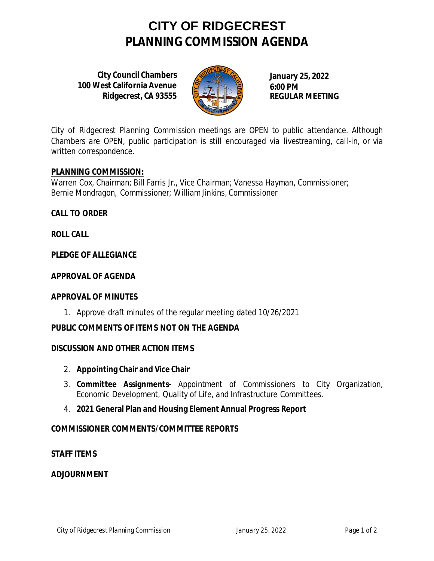### **CITY OF RIDGECREST PLANNING COMMISSION AGENDA**

**City Council Chambers 100 West California Avenue Ridgecrest, CA 93555**



**January 25, 2022 6:00 PM REGULAR MEETING**

*City of Ridgecrest Planning Commission meetings are OPEN to public attendance. Although Chambers are OPEN, public participation is still encouraged via livestreaming, call-in, or via written correspondence.*

**PLANNING COMMISSION:**

Warren Cox, Chairman; Bill Farris Jr., Vice Chairman; Vanessa Hayman, Commissioner; Bernie Mondragon, Commissioner; William Jinkins, Commissioner

**CALL TO ORDER**

**ROLL CALL**

**PLEDGE OF ALLEGIANCE**

**APPROVAL OF AGENDA**

**APPROVAL OF MINUTES**

1. Approve draft minutes of the regular meeting dated 10/26/2021

**PUBLIC COMMENTS OF ITEMS NOT ON THE AGENDA**

**DISCUSSION AND OTHER ACTION ITEMS**

- 2. **Appointing Chair and Vice Chair**
- 3. **Committee Assignments-** Appointment of Commissioners to City Organization, Economic Development, Quality of Life, and Infrastructure Committees.
- 4. **2021 General Plan and Housing Element Annual Progress Report**

**COMMISSIONER COMMENTS/COMMITTEE REPORTS**

**STAFF ITEMS**

**ADJOURNMENT**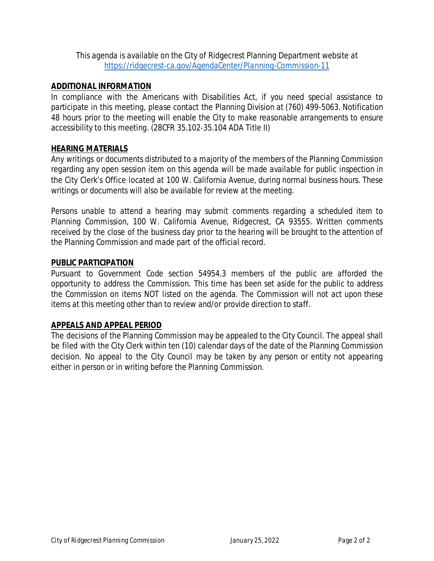*This agenda is available on the City of Ridgecrest Planning Department website at <https://ridgecrest-ca.gov/AgendaCenter/Planning-Commission-11>*

### **ADDITIONAL INFORMATION**

*In compliance with the Americans with Disabilities Act, if you need special assistance to participate in this meeting, please contact the Planning Division at (760) 499-5063. Notification 48 hours prior to the meeting will enable the City to make reasonable arrangements to ensure accessibility to this meeting. (28CFR 35.102-35.104 ADA Title II)*

### **HEARING MATERIALS**

*Any writings or documents distributed to a majority of the members of the Planning Commission regarding any open session item on this agenda will be made available for public inspection in the City Clerk's Office located at 100 W. California Avenue, during normal business hours. These writings or documents will also be available for review at the meeting.*

*Persons unable to attend a hearing may submit comments regarding a scheduled item to Planning Commission, 100 W. California Avenue, Ridgecrest, CA 93555. Written comments received by the close of the business day prior to the hearing will be brought to the attention of the Planning Commission and made part of the official record.*

### **PUBLIC PARTICIPATION**

*Pursuant to Government Code section 54954.3 members of the public are afforded the opportunity to address the Commission. This time has been set aside for the public to address the Commission on items NOT listed on the agenda. The Commission will not act upon these items at this meeting other than to review and/or provide direction to staff.*

#### **APPEALS AND APPEAL PERIOD**

*The decisions of the Planning Commission may be appealed to the City Council. The appeal shall be filed with the City Clerk within ten (10) calendar days of the date of the Planning Commission decision. No appeal to the City Council may be taken by any person or entity not appearing either in person or in writing before the Planning Commission.*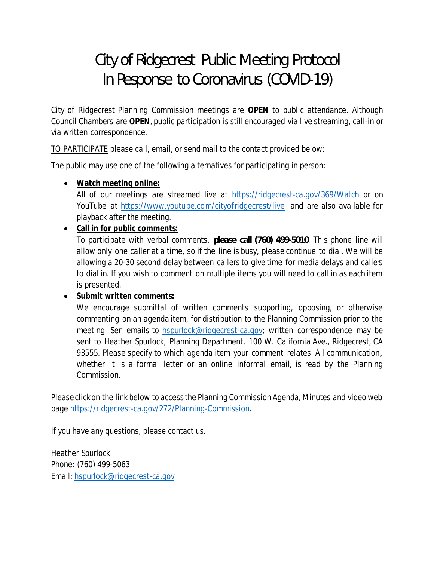# City of Ridgecrest Public Meeting Protocol In Response to Coronavirus (COVID-19)

City of Ridgecrest Planning Commission meetings are **OPEN** to public attendance. Although Council Chambers are **OPEN**, public participation is still encouraged via live streaming, call-in or via written correspondence.

TO PARTICIPATE please call, email, or send mail to the contact provided below:

The public may use one of the following alternatives for participating in person:

· **Watch meeting online:**

All of our meetings are streamed live at <https://ridgecrest-ca.gov/369/Watch> or on YouTube at <https://www.youtube.com/cityofridgecrest/live> and are also available for playback after the meeting.

· **Call in for public comments:**

To participate with verbal comments, *please call (760) 499-5010*. This phone line will allow only one caller at a time, so if the line is busy, please continue to dial. We will be allowing a 20-30 second delay between callers to give time for media delays and callers to dial in. If you wish to comment on multiple items you will need to call in as each item is presented.

· **Submit written comments:**

We encourage submittal of written comments supporting, opposing, or otherwise commenting on an agenda item, for distribution to the Planning Commission prior to the meeting. Sen emails to [hspurlock@ridgecrest-ca.gov;](mailto:hspurlock@ridgecrest-ca.gov) written correspondence may be sent to Heather Spurlock, Planning Department, 100 W. California Ave., Ridgecrest, CA 93555. Please specify to which agenda item your comment relates. All communication, whether it is a formal letter or an online informal email, is read by the Planning Commission.

Please click on the link below to access the Planning Commission Agenda, Minutes and video web page [https://ridgecrest-ca.gov/272/Planning-Commission.](https://ridgecrest-ca.gov/272/Planning-Commission)

If you have any questions, please contact us.

Heather Spurlock Phone: (760) 499-5063 Email: [hspurlock@ridgecrest-ca.gov](mailto:hspurlock@ridgecrest-ca.gov)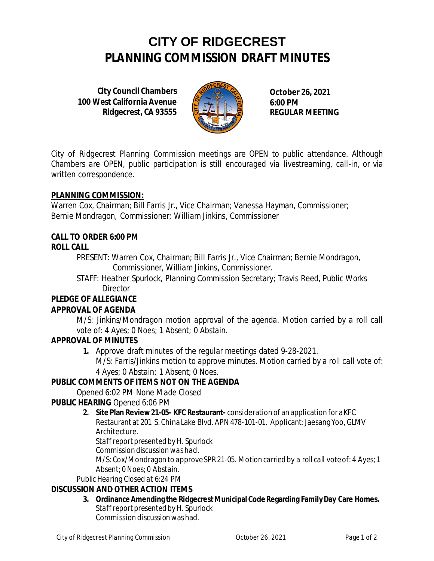## **CITY OF RIDGECREST PLANNING COMMISSION DRAFT MINUTES**

**City Council Chambers 100 West California Avenue Ridgecrest, CA 93555**



**October 26, 2021 6:00 PM REGULAR MEETING**

*City of Ridgecrest Planning Commission meetings are OPEN to public attendance. Although Chambers are OPEN, public participation is still encouraged via livestreaming, call-in, or via written correspondence.*

### **PLANNING COMMISSION:**

Warren Cox, Chairman; Bill Farris Jr., Vice Chairman; Vanessa Hayman, Commissioner; Bernie Mondragon, Commissioner; William Jinkins, Commissioner

### **CALL TO ORDER 6:00 PM**

### **ROLL CALL**

PRESENT: Warren Cox, Chairman; Bill Farris Jr., Vice Chairman; Bernie Mondragon, Commissioner, William Jinkins, Commissioner.

STAFF: Heather Spurlock, Planning Commission Secretary; Travis Reed, Public Works **Director** 

### **PLEDGE OF ALLEGIANCE**

### **APPROVAL OF AGENDA**

*M/S: Jinkins/Mondragon motion approval of the agenda. Motion carried by a roll call vote of: 4 Ayes; 0 Noes; 1 Absent; 0 Abstain.*

### **APPROVAL OF MINUTES**

**1.** Approve draft minutes of the regular meetings dated 9-28-2021.

*M/S: Farris/Jinkins motion to approve minutes. Motion carried by a roll call vote of: 4 Ayes; 0 Abstain; 1 Absent; 0 Noes.*

### **PUBLIC COMMENTS OF ITEMS NOT ON THE AGENDA**

*Opened 6:02 PM None Made Closed*

**PUBLIC HEARING** *Opened 6:06 PM*

**2. Site Plan Review 21-05- KFC Restaurant-** consideration of an application for a KFC Restaurant at 201 S. China Lake Blvd. APN 478-101-01. Applicant: Jaesang Yoo, GLMV Architecture.

*Staff report presented by H. Spurlock*

*Commission discussion was had.*

*M/S: Cox/Mondragon to approve SPR 21-05. Motion carried by a roll call vote of: 4 Ayes; 1 Absent; 0 Noes; 0 Abstain.*

*Public Hearing Closed at 6:24 PM*

### **DISCUSSION AND OTHER ACTION ITEMS**

**3. Ordinance Amending the Ridgecrest Municipal Code Regarding Family Day Care Homes.** *Staff reportpresented by H. Spurlock* Commission discussion was had.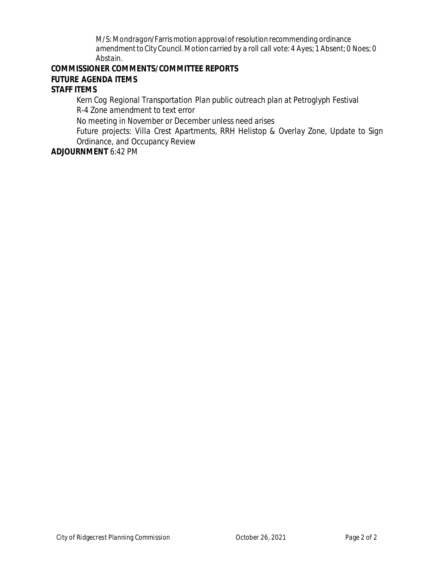*M/S: Mondragon/Farrismotion approval of resolution recommending ordinance amendment to City Council. Motion carried by a roll call vote: 4 Ayes; 1 Absent; 0 Noes; 0 Abstain.*

**COMMISSIONER COMMENTS/COMMITTEE REPORTS**

**FUTURE AGENDA ITEMS**

**STAFF ITEMS**

*Kern Cog Regional Transportation Plan public outreach plan at Petroglyph Festival R-4 Zone amendment to text error*

*No meeting in November or December unless need arises*

*Future projects: Villa Crest Apartments, RRH Helistop & Overlay Zone, Update to Sign Ordinance, and Occupancy Review*

**ADJOURNMENT** *6:42 PM*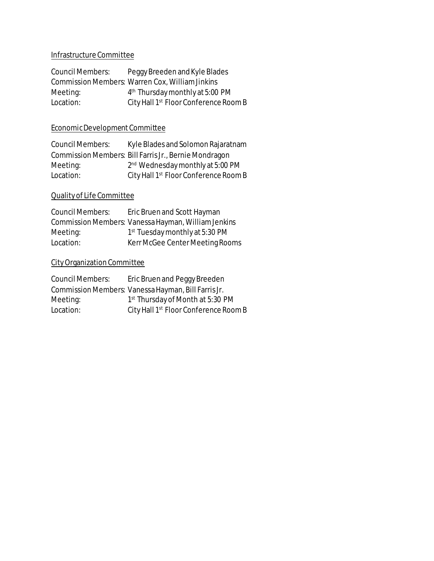### Infrastructure Committee

| Council Members: | Peggy Breeden and Kyle Blades                     |
|------------------|---------------------------------------------------|
|                  | Commission Members: Warren Cox, William Jinkins   |
| Meeting:         | 4 <sup>th</sup> Thursday monthly at 5:00 PM       |
| Location:        | City Hall 1 <sup>st</sup> Floor Conference Room B |

### Economic Development Committee

| Council Members: | Kyle Blades and Solomon Rajaratnam                    |
|------------------|-------------------------------------------------------|
|                  | Commission Members: Bill Farris Jr., Bernie Mondragon |
| Meeting:         | 2 <sup>nd</sup> Wednesday monthly at 5:00 PM          |
| Location:        | City Hall 1 <sup>st</sup> Floor Conference Room B     |

### Quality of Life Committee

| Council Members: | Eric Bruen and Scott Hayman                         |
|------------------|-----------------------------------------------------|
|                  | Commission Members: Vanessa Hayman, William Jenkins |
| Meeting:         | 1 <sup>st</sup> Tuesday monthly at 5:30 PM          |
| Location:        | Kerr McGee Center Meeting Rooms                     |

### City Organization Committee

| Council Members: | Eric Bruen and Peggy Breeden                        |
|------------------|-----------------------------------------------------|
|                  | Commission Members: Vanessa Hayman, Bill Farris Jr. |
| Meeting:         | 1 <sup>st</sup> Thursday of Month at 5:30 PM        |
| Location:        | City Hall 1 <sup>st</sup> Floor Conference Room B   |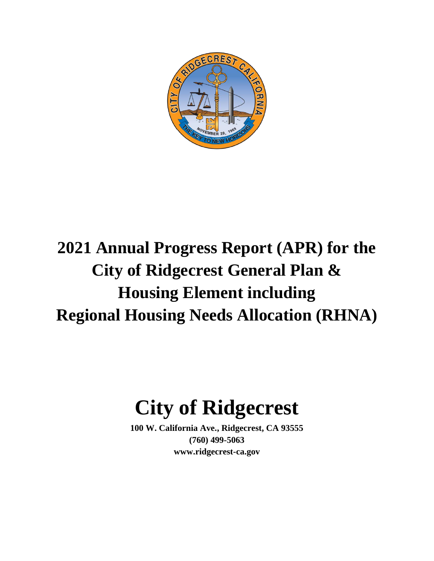

# **2021 Annual Progress Report (APR) for the City of Ridgecrest General Plan & Housing Element including Regional Housing Needs Allocation (RHNA)**

# **City of Ridgecrest**

**100 W. California Ave., Ridgecrest, CA 93555 (760) 499-5063 www.ridgecrest-ca.gov**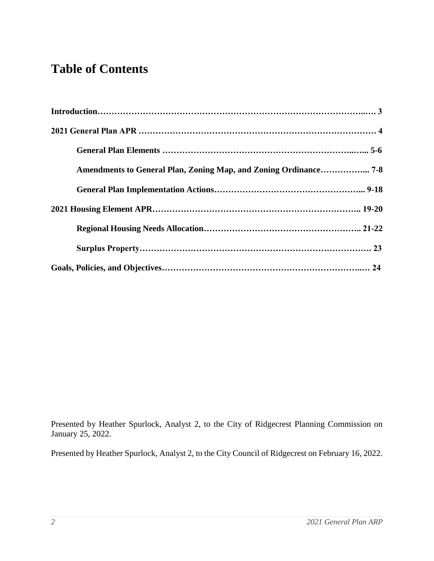### **Table of Contents**

Presented by Heather Spurlock, Analyst 2, to the City of Ridgecrest Planning Commission on January 25, 2022.

Presented by Heather Spurlock, Analyst 2, to the City Council of Ridgecrest on February 16, 2022.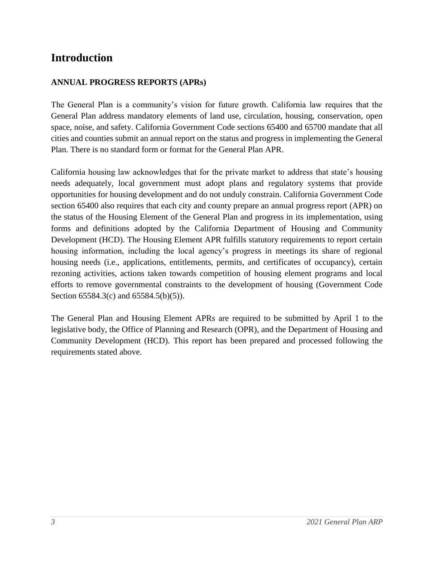### **Introduction**

### **ANNUAL PROGRESS REPORTS (APRs)**

The General Plan is a community's vision for future growth. California law requires that the General Plan address mandatory elements of land use, circulation, housing, conservation, open space, noise, and safety. California Government Code sections 65400 and 65700 mandate that all cities and counties submit an annual report on the status and progress in implementing the General Plan. There is no standard form or format for the General Plan APR.

California housing law acknowledges that for the private market to address that state's housing needs adequately, local government must adopt plans and regulatory systems that provide opportunities for housing development and do not unduly constrain. California Government Code section 65400 also requires that each city and county prepare an annual progress report (APR) on the status of the Housing Element of the General Plan and progress in its implementation, using forms and definitions adopted by the California Department of Housing and Community Development (HCD). The Housing Element APR fulfills statutory requirements to report certain housing information, including the local agency's progress in meetings its share of regional housing needs (i.e., applications, entitlements, permits, and certificates of occupancy), certain rezoning activities, actions taken towards competition of housing element programs and local efforts to remove governmental constraints to the development of housing (Government Code Section 65584.3(c) and 65584.5(b)(5)).

The General Plan and Housing Element APRs are required to be submitted by April 1 to the legislative body, the Office of Planning and Research (OPR), and the Department of Housing and Community Development (HCD). This report has been prepared and processed following the requirements stated above.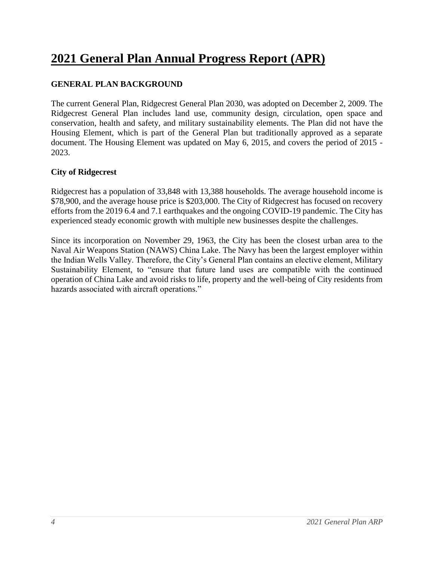### **2021 General Plan Annual Progress Report (APR)**

### **GENERAL PLAN BACKGROUND**

The current General Plan, Ridgecrest General Plan 2030, was adopted on December 2, 2009. The Ridgecrest General Plan includes land use, community design, circulation, open space and conservation, health and safety, and military sustainability elements. The Plan did not have the Housing Element, which is part of the General Plan but traditionally approved as a separate document. The Housing Element was updated on May 6, 2015, and covers the period of 2015 - 2023.

### **City of Ridgecrest**

Ridgecrest has a population of 33,848 with 13,388 households. The average household income is \$78,900, and the average house price is \$203,000. The City of Ridgecrest has focused on recovery efforts from the 2019 6.4 and 7.1 earthquakes and the ongoing COVID-19 pandemic. The City has experienced steady economic growth with multiple new businesses despite the challenges.

Since its incorporation on November 29, 1963, the City has been the closest urban area to the Naval Air Weapons Station (NAWS) China Lake. The Navy has been the largest employer within the Indian Wells Valley. Therefore, the City's General Plan contains an elective element, Military Sustainability Element, to "ensure that future land uses are compatible with the continued operation of China Lake and avoid risks to life, property and the well-being of City residents from hazards associated with aircraft operations."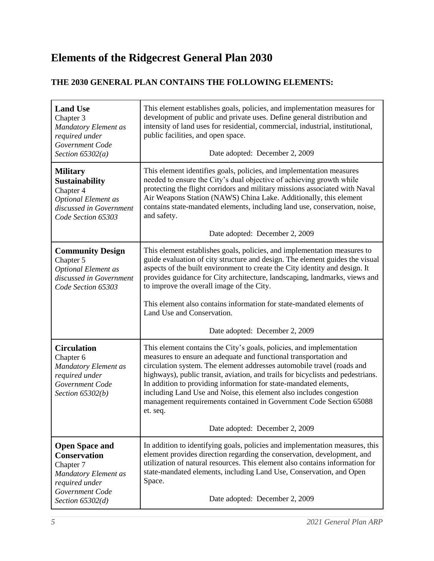### **Elements of the Ridgecrest General Plan 2030**

### **THE 2030 GENERAL PLAN CONTAINS THE FOLLOWING ELEMENTS:**

| <b>Land Use</b><br>Chapter 3<br><b>Mandatory Element as</b><br>required under<br>Government Code<br>Section $65302(a)$               | This element establishes goals, policies, and implementation measures for<br>development of public and private uses. Define general distribution and<br>intensity of land uses for residential, commercial, industrial, institutional,<br>public facilities, and open space.<br>Date adopted: December 2, 2009                                                                                                                                                                                                                      |
|--------------------------------------------------------------------------------------------------------------------------------------|-------------------------------------------------------------------------------------------------------------------------------------------------------------------------------------------------------------------------------------------------------------------------------------------------------------------------------------------------------------------------------------------------------------------------------------------------------------------------------------------------------------------------------------|
| <b>Military</b><br><b>Sustainability</b><br>Chapter 4<br><b>Optional Element as</b><br>discussed in Government<br>Code Section 65303 | This element identifies goals, policies, and implementation measures<br>needed to ensure the City's dual objective of achieving growth while<br>protecting the flight corridors and military missions associated with Naval<br>Air Weapons Station (NAWS) China Lake. Additionally, this element<br>contains state-mandated elements, including land use, conservation, noise,<br>and safety.<br>Date adopted: December 2, 2009                                                                                                     |
|                                                                                                                                      |                                                                                                                                                                                                                                                                                                                                                                                                                                                                                                                                     |
| <b>Community Design</b><br>Chapter 5<br><b>Optional Element as</b><br>discussed in Government<br>Code Section 65303                  | This element establishes goals, policies, and implementation measures to<br>guide evaluation of city structure and design. The element guides the visual<br>aspects of the built environment to create the City identity and design. It<br>provides guidance for City architecture, landscaping, landmarks, views and<br>to improve the overall image of the City.                                                                                                                                                                  |
|                                                                                                                                      | This element also contains information for state-mandated elements of<br>Land Use and Conservation.                                                                                                                                                                                                                                                                                                                                                                                                                                 |
|                                                                                                                                      | Date adopted: December 2, 2009                                                                                                                                                                                                                                                                                                                                                                                                                                                                                                      |
| <b>Circulation</b><br>Chapter 6<br>Mandatory Element as<br>required under<br>Government Code<br>Section 65302(b)                     | This element contains the City's goals, policies, and implementation<br>measures to ensure an adequate and functional transportation and<br>circulation system. The element addresses automobile travel (roads and<br>highways), public transit, aviation, and trails for bicyclists and pedestrians.<br>In addition to providing information for state-mandated elements,<br>including Land Use and Noise, this element also includes congestion<br>management requirements contained in Government Code Section 65088<br>et. seq. |
|                                                                                                                                      | Date adopted: December 2, 2009                                                                                                                                                                                                                                                                                                                                                                                                                                                                                                      |
| <b>Open Space and</b><br><b>Conservation</b><br>Chapter 7<br>Mandatory Element as<br>required under<br>Government Code               | In addition to identifying goals, policies and implementation measures, this<br>element provides direction regarding the conservation, development, and<br>utilization of natural resources. This element also contains information for<br>state-mandated elements, including Land Use, Conservation, and Open<br>Space.                                                                                                                                                                                                            |
| Section $65302(d)$                                                                                                                   | Date adopted: December 2, 2009                                                                                                                                                                                                                                                                                                                                                                                                                                                                                                      |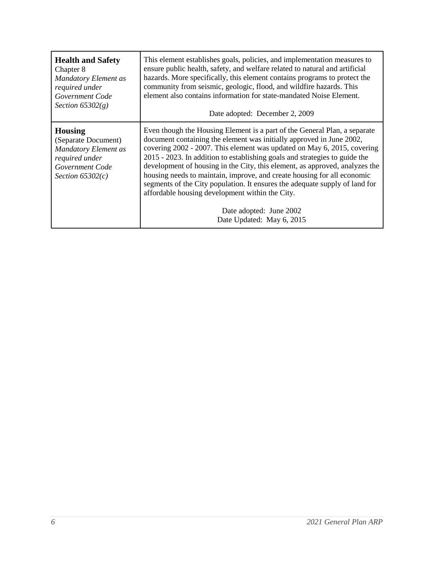| <b>Health and Safety</b>                                                                                                        | This element establishes goals, policies, and implementation measures to                                                                                                                                                                                                                                                                                                                                                                                                                                                                                                                                                                                       |
|---------------------------------------------------------------------------------------------------------------------------------|----------------------------------------------------------------------------------------------------------------------------------------------------------------------------------------------------------------------------------------------------------------------------------------------------------------------------------------------------------------------------------------------------------------------------------------------------------------------------------------------------------------------------------------------------------------------------------------------------------------------------------------------------------------|
| Chapter 8                                                                                                                       | ensure public health, safety, and welfare related to natural and artificial                                                                                                                                                                                                                                                                                                                                                                                                                                                                                                                                                                                    |
| <b>Mandatory Element as</b>                                                                                                     | hazards. More specifically, this element contains programs to protect the                                                                                                                                                                                                                                                                                                                                                                                                                                                                                                                                                                                      |
| required under                                                                                                                  | community from seismic, geologic, flood, and wildfire hazards. This                                                                                                                                                                                                                                                                                                                                                                                                                                                                                                                                                                                            |
| Government Code                                                                                                                 | element also contains information for state-mandated Noise Element.                                                                                                                                                                                                                                                                                                                                                                                                                                                                                                                                                                                            |
| Section $65302(g)$                                                                                                              | Date adopted: December 2, 2009                                                                                                                                                                                                                                                                                                                                                                                                                                                                                                                                                                                                                                 |
| <b>Housing</b><br>(Separate Document)<br><b>Mandatory Element as</b><br>required under<br>Government Code<br>Section $65302(c)$ | Even though the Housing Element is a part of the General Plan, a separate<br>document containing the element was initially approved in June 2002,<br>covering 2002 - 2007. This element was updated on May 6, 2015, covering<br>2015 - 2023. In addition to establishing goals and strategies to guide the<br>development of housing in the City, this element, as approved, analyzes the<br>housing needs to maintain, improve, and create housing for all economic<br>segments of the City population. It ensures the adequate supply of land for<br>affordable housing development within the City.<br>Date adopted: June 2002<br>Date Updated: May 6, 2015 |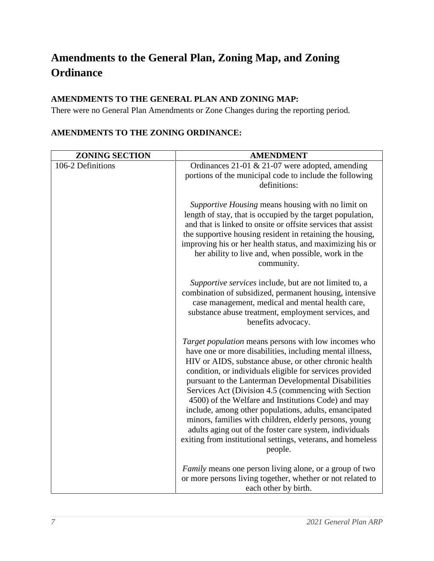### **Amendments to the General Plan, Zoning Map, and Zoning Ordinance**

### **AMENDMENTS TO THE GENERAL PLAN AND ZONING MAP:**

There were no General Plan Amendments or Zone Changes during the reporting period.

| <b>ZONING SECTION</b> | <b>AMENDMENT</b>                                                                                                                                                                                                                                                                                                                                                                                                                                                                                                                                                                                                                                                    |
|-----------------------|---------------------------------------------------------------------------------------------------------------------------------------------------------------------------------------------------------------------------------------------------------------------------------------------------------------------------------------------------------------------------------------------------------------------------------------------------------------------------------------------------------------------------------------------------------------------------------------------------------------------------------------------------------------------|
| 106-2 Definitions     | Ordinances 21-01 $\&$ 21-07 were adopted, amending<br>portions of the municipal code to include the following<br>definitions:                                                                                                                                                                                                                                                                                                                                                                                                                                                                                                                                       |
|                       | Supportive Housing means housing with no limit on<br>length of stay, that is occupied by the target population,<br>and that is linked to onsite or offsite services that assist<br>the supportive housing resident in retaining the housing,<br>improving his or her health status, and maximizing his or<br>her ability to live and, when possible, work in the<br>community.                                                                                                                                                                                                                                                                                      |
|                       | Supportive services include, but are not limited to, a<br>combination of subsidized, permanent housing, intensive<br>case management, medical and mental health care,<br>substance abuse treatment, employment services, and<br>benefits advocacy.                                                                                                                                                                                                                                                                                                                                                                                                                  |
|                       | Target population means persons with low incomes who<br>have one or more disabilities, including mental illness,<br>HIV or AIDS, substance abuse, or other chronic health<br>condition, or individuals eligible for services provided<br>pursuant to the Lanterman Developmental Disabilities<br>Services Act (Division 4.5 (commencing with Section<br>4500) of the Welfare and Institutions Code) and may<br>include, among other populations, adults, emancipated<br>minors, families with children, elderly persons, young<br>adults aging out of the foster care system, individuals<br>exiting from institutional settings, veterans, and homeless<br>people. |
|                       | <i>Family</i> means one person living alone, or a group of two<br>or more persons living together, whether or not related to<br>each other by birth.                                                                                                                                                                                                                                                                                                                                                                                                                                                                                                                |

### **AMENDMENTS TO THE ZONING ORDINANCE:**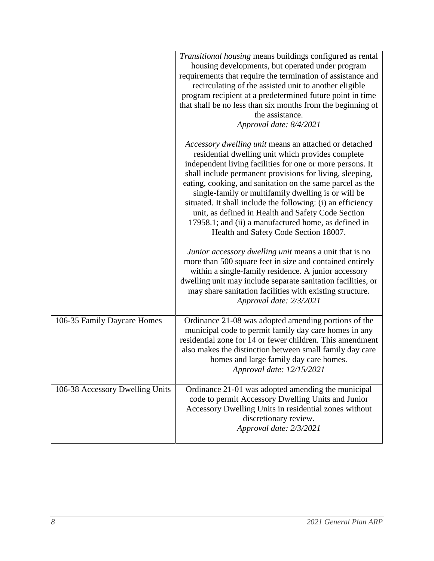|                                 | Transitional housing means buildings configured as rental<br>housing developments, but operated under program<br>requirements that require the termination of assistance and<br>recirculating of the assisted unit to another eligible<br>program recipient at a predetermined future point in time<br>that shall be no less than six months from the beginning of<br>the assistance.<br>Approval date: 8/4/2021                                                                                                                                                              |
|---------------------------------|-------------------------------------------------------------------------------------------------------------------------------------------------------------------------------------------------------------------------------------------------------------------------------------------------------------------------------------------------------------------------------------------------------------------------------------------------------------------------------------------------------------------------------------------------------------------------------|
|                                 | Accessory dwelling unit means an attached or detached<br>residential dwelling unit which provides complete<br>independent living facilities for one or more persons. It<br>shall include permanent provisions for living, sleeping,<br>eating, cooking, and sanitation on the same parcel as the<br>single-family or multifamily dwelling is or will be<br>situated. It shall include the following: (i) an efficiency<br>unit, as defined in Health and Safety Code Section<br>17958.1; and (ii) a manufactured home, as defined in<br>Health and Safety Code Section 18007. |
|                                 | Junior accessory dwelling unit means a unit that is no<br>more than 500 square feet in size and contained entirely<br>within a single-family residence. A junior accessory<br>dwelling unit may include separate sanitation facilities, or<br>may share sanitation facilities with existing structure.<br>Approval date: 2/3/2021                                                                                                                                                                                                                                             |
| 106-35 Family Daycare Homes     | Ordinance 21-08 was adopted amending portions of the<br>municipal code to permit family day care homes in any<br>residential zone for 14 or fewer children. This amendment<br>also makes the distinction between small family day care<br>homes and large family day care homes.<br>Approval date: 12/15/2021                                                                                                                                                                                                                                                                 |
| 106-38 Accessory Dwelling Units | Ordinance 21-01 was adopted amending the municipal<br>code to permit Accessory Dwelling Units and Junior<br>Accessory Dwelling Units in residential zones without<br>discretionary review.<br>Approval date: 2/3/2021                                                                                                                                                                                                                                                                                                                                                         |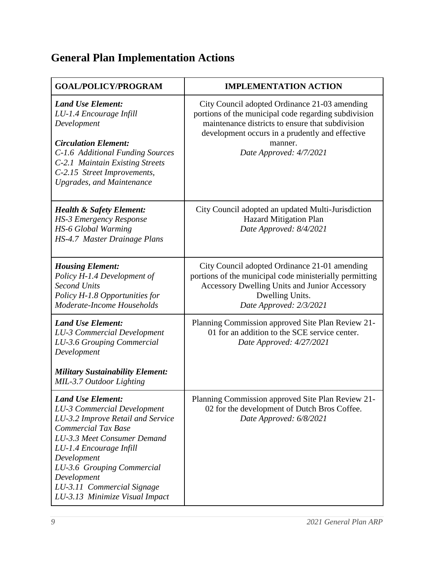# **General Plan Implementation Actions**

| <b>GOAL/POLICY/PROGRAM</b>                                                                                                                                                                                                                                                                                              | <b>IMPLEMENTATION ACTION</b>                                                                                                                                                                                                                       |
|-------------------------------------------------------------------------------------------------------------------------------------------------------------------------------------------------------------------------------------------------------------------------------------------------------------------------|----------------------------------------------------------------------------------------------------------------------------------------------------------------------------------------------------------------------------------------------------|
| <b>Land Use Element:</b><br>LU-1.4 Encourage Infill<br>Development<br><b>Circulation Element:</b><br>C-1.6 Additional Funding Sources<br>C-2.1 Maintain Existing Streets                                                                                                                                                | City Council adopted Ordinance 21-03 amending<br>portions of the municipal code regarding subdivision<br>maintenance districts to ensure that subdivision<br>development occurs in a prudently and effective<br>manner.<br>Date Approved: 4/7/2021 |
| C-2.15 Street Improvements,<br><b>Upgrades, and Maintenance</b>                                                                                                                                                                                                                                                         |                                                                                                                                                                                                                                                    |
| <b>Health &amp; Safety Element:</b><br><b>HS-3 Emergency Response</b><br>HS-6 Global Warming<br>HS-4.7 Master Drainage Plans                                                                                                                                                                                            | City Council adopted an updated Multi-Jurisdiction<br><b>Hazard Mitigation Plan</b><br>Date Approved: 8/4/2021                                                                                                                                     |
| <b>Housing Element:</b><br>Policy H-1.4 Development of<br><b>Second Units</b><br>Policy H-1.8 Opportunities for<br>Moderate-Income Households                                                                                                                                                                           | City Council adopted Ordinance 21-01 amending<br>portions of the municipal code ministerially permitting<br>Accessory Dwelling Units and Junior Accessory<br>Dwelling Units.<br>Date Approved: 2/3/2021                                            |
| <b>Land Use Element:</b><br><b>LU-3 Commercial Development</b><br>LU-3.6 Grouping Commercial<br>Development                                                                                                                                                                                                             | Planning Commission approved Site Plan Review 21-<br>01 for an addition to the SCE service center.<br>Date Approved: 4/27/2021                                                                                                                     |
| <b>Military Sustainability Element:</b><br>MIL-3.7 Outdoor Lighting                                                                                                                                                                                                                                                     |                                                                                                                                                                                                                                                    |
| <b>Land Use Element:</b><br><b>LU-3 Commercial Development</b><br>LU-3.2 Improve Retail and Service<br><b>Commercial Tax Base</b><br>LU-3.3 Meet Consumer Demand<br>LU-1.4 Encourage Infill<br>Development<br>LU-3.6 Grouping Commercial<br>Development<br>LU-3.11 Commercial Signage<br>LU-3.13 Minimize Visual Impact | Planning Commission approved Site Plan Review 21-<br>02 for the development of Dutch Bros Coffee.<br>Date Approved: 6/8/2021                                                                                                                       |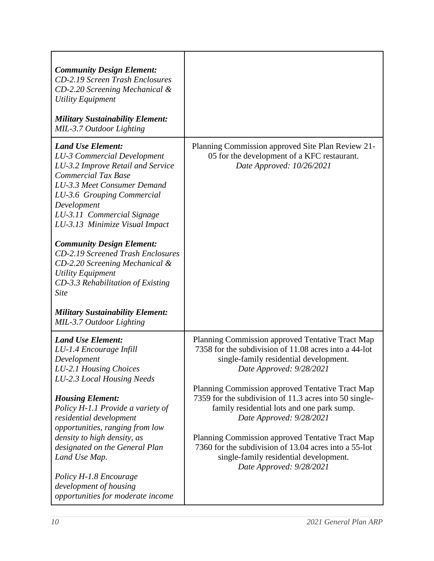| <b>Community Design Element:</b><br><b>CD-2.19 Screen Trash Enclosures</b><br>$CD-2.20$ Screening Mechanical $\&$<br><b>Utility Equipment</b><br><b>Military Sustainability Element:</b><br>MIL-3.7 Outdoor Lighting                                                                                                                                                                                                                                                                                                                                   |                                                                                                                                                                                                                                                                                                                                                                                                                                                                                                                                                            |
|--------------------------------------------------------------------------------------------------------------------------------------------------------------------------------------------------------------------------------------------------------------------------------------------------------------------------------------------------------------------------------------------------------------------------------------------------------------------------------------------------------------------------------------------------------|------------------------------------------------------------------------------------------------------------------------------------------------------------------------------------------------------------------------------------------------------------------------------------------------------------------------------------------------------------------------------------------------------------------------------------------------------------------------------------------------------------------------------------------------------------|
| <b>Land Use Element:</b><br><b>LU-3 Commercial Development</b><br>LU-3.2 Improve Retail and Service<br><b>Commercial Tax Base</b><br>LU-3.3 Meet Consumer Demand<br>LU-3.6 Grouping Commercial<br>Development<br>LU-3.11 Commercial Signage<br>LU-3.13 Minimize Visual Impact<br><b>Community Design Element:</b><br><b>CD-2.19 Screened Trash Enclosures</b><br>CD-2.20 Screening Mechanical &<br><b>Utility Equipment</b><br>CD-3.3 Rehabilitation of Existing<br><b>Site</b><br><b>Military Sustainability Element:</b><br>MIL-3.7 Outdoor Lighting | Planning Commission approved Site Plan Review 21-<br>05 for the development of a KFC restaurant.<br>Date Approved: 10/26/2021                                                                                                                                                                                                                                                                                                                                                                                                                              |
| <b>Land Use Element:</b><br>LU-1.4 Encourage Infill<br>Development<br>LU-2.1 Housing Choices<br>LU-2.3 Local Housing Needs<br><b>Housing Element:</b><br>Policy H-1.1 Provide a variety of<br>residential development<br>opportunities, ranging from low<br>density to high density, as<br>designated on the General Plan<br>Land Use Map.<br>Policy H-1.8 Encourage<br>development of housing<br>opportunities for moderate income                                                                                                                    | Planning Commission approved Tentative Tract Map<br>7358 for the subdivision of 11.08 acres into a 44-lot<br>single-family residential development.<br>Date Approved: 9/28/2021<br>Planning Commission approved Tentative Tract Map<br>7359 for the subdivision of 11.3 acres into 50 single-<br>family residential lots and one park sump.<br>Date Approved: 9/28/2021<br>Planning Commission approved Tentative Tract Map<br>7360 for the subdivision of 13.04 acres into a 55-lot<br>single-family residential development.<br>Date Approved: 9/28/2021 |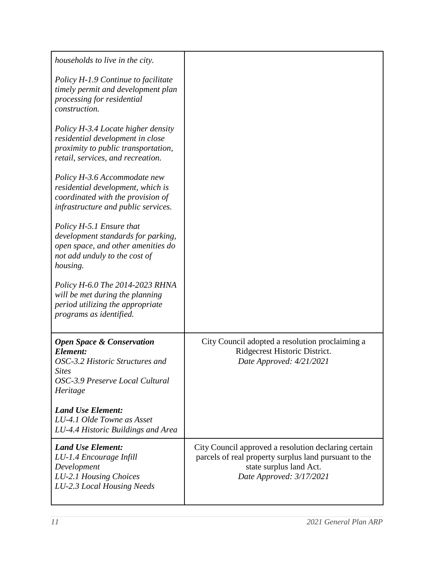| households to live in the city.                                                                                                                    |                                                                                                                                                                      |
|----------------------------------------------------------------------------------------------------------------------------------------------------|----------------------------------------------------------------------------------------------------------------------------------------------------------------------|
| Policy H-1.9 Continue to facilitate<br>timely permit and development plan<br>processing for residential<br>construction.                           |                                                                                                                                                                      |
| Policy H-3.4 Locate higher density<br>residential development in close<br>proximity to public transportation,<br>retail, services, and recreation. |                                                                                                                                                                      |
| Policy H-3.6 Accommodate new<br>residential development, which is<br>coordinated with the provision of<br>infrastructure and public services.      |                                                                                                                                                                      |
| Policy H-5.1 Ensure that<br>development standards for parking,<br>open space, and other amenities do<br>not add unduly to the cost of<br>housing.  |                                                                                                                                                                      |
| Policy H-6.0 The 2014-2023 RHNA<br>will be met during the planning<br>period utilizing the appropriate<br>programs as identified.                  |                                                                                                                                                                      |
| <b>Open Space &amp; Conservation</b><br>Element:<br>OSC-3.2 Historic Structures and<br><b>Sites</b><br>OSC-3.9 Preserve Local Cultural<br>Heritage | City Council adopted a resolution proclaiming a<br>Ridgecrest Historic District.<br>Date Approved: 4/21/2021                                                         |
| <b>Land Use Element:</b><br>LU-4.1 Olde Towne as Asset<br>LU-4.4 Historic Buildings and Area                                                       |                                                                                                                                                                      |
| <b>Land Use Element:</b><br>LU-1.4 Encourage Infill<br>Development<br>LU-2.1 Housing Choices<br>LU-2.3 Local Housing Needs                         | City Council approved a resolution declaring certain<br>parcels of real property surplus land pursuant to the<br>state surplus land Act.<br>Date Approved: 3/17/2021 |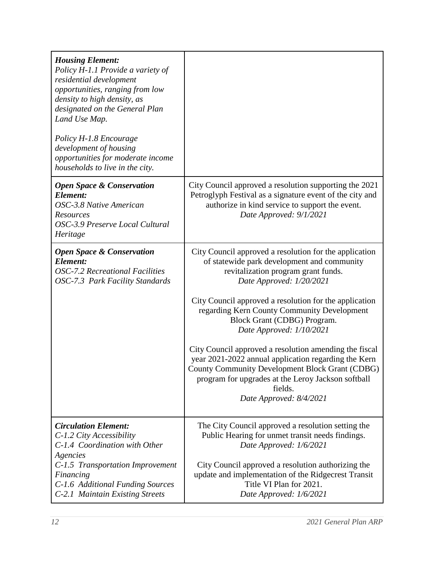| <b>Housing Element:</b><br>Policy H-1.1 Provide a variety of<br>residential development<br>opportunities, ranging from low<br>density to high density, as<br>designated on the General Plan<br>Land Use Map.<br>Policy H-1.8 Encourage<br>development of housing<br>opportunities for moderate income<br>households to live in the city. |                                                                                                                                                                                                                                                                                                                                                                                                                                                                                                                                                                                                               |
|------------------------------------------------------------------------------------------------------------------------------------------------------------------------------------------------------------------------------------------------------------------------------------------------------------------------------------------|---------------------------------------------------------------------------------------------------------------------------------------------------------------------------------------------------------------------------------------------------------------------------------------------------------------------------------------------------------------------------------------------------------------------------------------------------------------------------------------------------------------------------------------------------------------------------------------------------------------|
| <b>Open Space &amp; Conservation</b><br>Element:<br>OSC-3.8 Native American<br><b>Resources</b><br>OSC-3.9 Preserve Local Cultural<br>Heritage                                                                                                                                                                                           | City Council approved a resolution supporting the 2021<br>Petroglyph Festival as a signature event of the city and<br>authorize in kind service to support the event.<br>Date Approved: 9/1/2021                                                                                                                                                                                                                                                                                                                                                                                                              |
| <b>Open Space &amp; Conservation</b><br>Element:<br><b>OSC-7.2 Recreational Facilities</b><br>OSC-7.3 Park Facility Standards                                                                                                                                                                                                            | City Council approved a resolution for the application<br>of statewide park development and community<br>revitalization program grant funds.<br>Date Approved: 1/20/2021<br>City Council approved a resolution for the application<br>regarding Kern County Community Development<br>Block Grant (CDBG) Program.<br>Date Approved: 1/10/2021<br>City Council approved a resolution amending the fiscal<br>year 2021-2022 annual application regarding the Kern<br>County Community Development Block Grant (CDBG)<br>program for upgrades at the Leroy Jackson softball<br>fields.<br>Date Approved: 8/4/2021 |
| <b>Circulation Element:</b><br>C-1.2 City Accessibility<br>C-1.4 Coordination with Other<br>Agencies<br>C-1.5 Transportation Improvement<br>Financing<br>C-1.6 Additional Funding Sources<br>C-2.1 Maintain Existing Streets                                                                                                             | The City Council approved a resolution setting the<br>Public Hearing for unmet transit needs findings.<br>Date Approved: 1/6/2021<br>City Council approved a resolution authorizing the<br>update and implementation of the Ridgecrest Transit<br>Title VI Plan for 2021.<br>Date Approved: 1/6/2021                                                                                                                                                                                                                                                                                                          |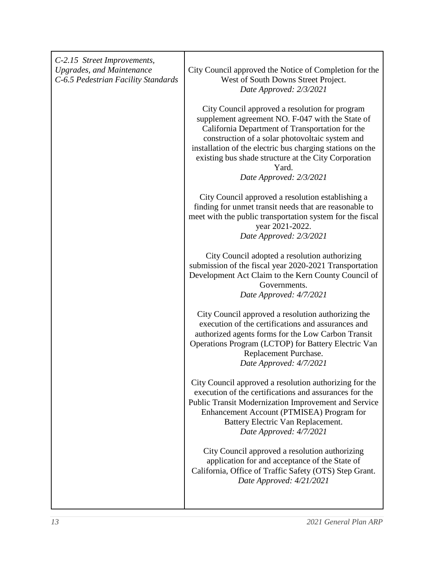| C-2.15 Street Improvements,<br><b>Upgrades, and Maintenance</b><br>C-6.5 Pedestrian Facility Standards | City Council approved the Notice of Completion for the<br>West of South Downs Street Project.<br>Date Approved: 2/3/2021                                                                                                                                                                                                                                          |
|--------------------------------------------------------------------------------------------------------|-------------------------------------------------------------------------------------------------------------------------------------------------------------------------------------------------------------------------------------------------------------------------------------------------------------------------------------------------------------------|
|                                                                                                        | City Council approved a resolution for program<br>supplement agreement NO. F-047 with the State of<br>California Department of Transportation for the<br>construction of a solar photovoltaic system and<br>installation of the electric bus charging stations on the<br>existing bus shade structure at the City Corporation<br>Yard.<br>Date Approved: 2/3/2021 |
|                                                                                                        | City Council approved a resolution establishing a<br>finding for unmet transit needs that are reasonable to<br>meet with the public transportation system for the fiscal<br>year 2021-2022.<br>Date Approved: 2/3/2021                                                                                                                                            |
|                                                                                                        | City Council adopted a resolution authorizing<br>submission of the fiscal year 2020-2021 Transportation<br>Development Act Claim to the Kern County Council of<br>Governments.<br>Date Approved: 4/7/2021                                                                                                                                                         |
|                                                                                                        | City Council approved a resolution authorizing the<br>execution of the certifications and assurances and<br>authorized agents forms for the Low Carbon Transit<br>Operations Program (LCTOP) for Battery Electric Van<br>Replacement Purchase.<br>Date Approved: 4/7/2021                                                                                         |
|                                                                                                        | City Council approved a resolution authorizing for the<br>execution of the certifications and assurances for the<br>Public Transit Modernization Improvement and Service<br>Enhancement Account (PTMISEA) Program for<br>Battery Electric Van Replacement.<br>Date Approved: 4/7/2021                                                                             |
|                                                                                                        | City Council approved a resolution authorizing<br>application for and acceptance of the State of<br>California, Office of Traffic Safety (OTS) Step Grant.<br>Date Approved: 4/21/2021                                                                                                                                                                            |
|                                                                                                        |                                                                                                                                                                                                                                                                                                                                                                   |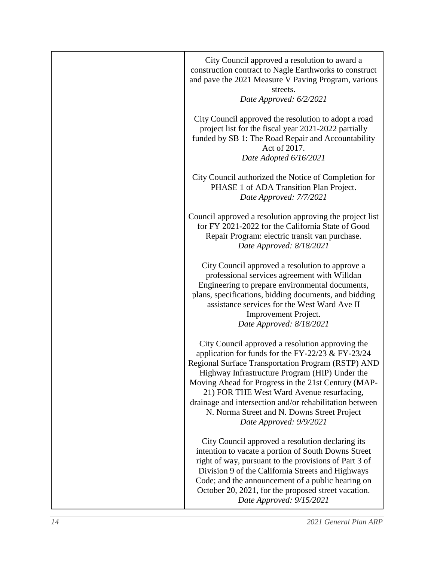| City Council approved a resolution to award a<br>construction contract to Nagle Earthworks to construct<br>and pave the 2021 Measure V Paving Program, various<br>streets.<br>Date Approved: 6/2/2021                                                                                                                                                                                                                                                  |
|--------------------------------------------------------------------------------------------------------------------------------------------------------------------------------------------------------------------------------------------------------------------------------------------------------------------------------------------------------------------------------------------------------------------------------------------------------|
| City Council approved the resolution to adopt a road<br>project list for the fiscal year 2021-2022 partially<br>funded by SB 1: The Road Repair and Accountability<br>Act of 2017.<br>Date Adopted 6/16/2021                                                                                                                                                                                                                                           |
| City Council authorized the Notice of Completion for<br>PHASE 1 of ADA Transition Plan Project.<br>Date Approved: 7/7/2021                                                                                                                                                                                                                                                                                                                             |
| Council approved a resolution approving the project list<br>for FY 2021-2022 for the California State of Good<br>Repair Program: electric transit van purchase.<br>Date Approved: 8/18/2021                                                                                                                                                                                                                                                            |
| City Council approved a resolution to approve a<br>professional services agreement with Willdan<br>Engineering to prepare environmental documents,<br>plans, specifications, bidding documents, and bidding<br>assistance services for the West Ward Ave II<br>Improvement Project.<br>Date Approved: 8/18/2021                                                                                                                                        |
| City Council approved a resolution approving the<br>application for funds for the FY-22/23 & FY-23/24<br>Regional Surface Transportation Program (RSTP) AND<br>Highway Infrastructure Program (HIP) Under the<br>Moving Ahead for Progress in the 21st Century (MAP-<br>21) FOR THE West Ward Avenue resurfacing,<br>drainage and intersection and/or rehabilitation between<br>N. Norma Street and N. Downs Street Project<br>Date Approved: 9/9/2021 |
| City Council approved a resolution declaring its<br>intention to vacate a portion of South Downs Street<br>right of way, pursuant to the provisions of Part 3 of<br>Division 9 of the California Streets and Highways<br>Code; and the announcement of a public hearing on<br>October 20, 2021, for the proposed street vacation.<br>Date Approved: 9/15/2021                                                                                          |

I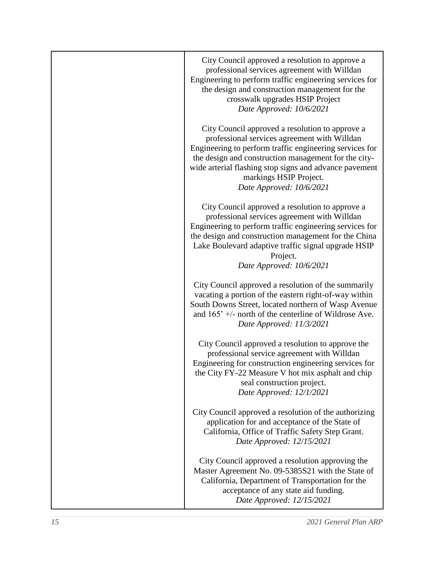| City Council approved a resolution to approve a<br>professional services agreement with Willdan<br>Engineering to perform traffic engineering services for<br>the design and construction management for the<br>crosswalk upgrades HSIP Project<br>Date Approved: 10/6/2021                                                        |
|------------------------------------------------------------------------------------------------------------------------------------------------------------------------------------------------------------------------------------------------------------------------------------------------------------------------------------|
| City Council approved a resolution to approve a<br>professional services agreement with Willdan<br>Engineering to perform traffic engineering services for<br>the design and construction management for the city-<br>wide arterial flashing stop signs and advance pavement<br>markings HSIP Project.<br>Date Approved: 10/6/2021 |
| City Council approved a resolution to approve a<br>professional services agreement with Willdan<br>Engineering to perform traffic engineering services for<br>the design and construction management for the China<br>Lake Boulevard adaptive traffic signal upgrade HSIP<br>Project.<br>Date Approved: 10/6/2021                  |
| City Council approved a resolution of the summarily<br>vacating a portion of the eastern right-of-way within<br>South Downs Street, located northern of Wasp Avenue<br>and $165'$ +/- north of the centerline of Wildrose Ave.<br>Date Approved: 11/3/2021                                                                         |
| City Council approved a resolution to approve the<br>professional service agreement with Willdan<br>Engineering for construction engineering services for<br>the City FY-22 Measure V hot mix asphalt and chip<br>seal construction project.<br>Date Approved: 12/1/2021                                                           |
| City Council approved a resolution of the authorizing<br>application for and acceptance of the State of<br>California, Office of Traffic Safety Step Grant.<br>Date Approved: 12/15/2021                                                                                                                                           |
| City Council approved a resolution approving the<br>Master Agreement No. 09-5385S21 with the State of<br>California, Department of Transportation for the<br>acceptance of any state aid funding.<br>Date Approved: 12/15/2021                                                                                                     |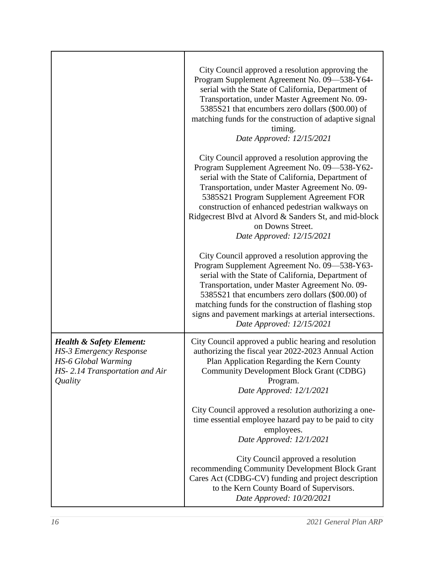|                                                                                                                                                  | City Council approved a resolution approving the<br>Program Supplement Agreement No. 09-538-Y64-<br>serial with the State of California, Department of<br>Transportation, under Master Agreement No. 09-<br>5385S21 that encumbers zero dollars (\$00.00) of<br>matching funds for the construction of adaptive signal<br>timing.<br>Date Approved: 12/15/2021                                                    |
|--------------------------------------------------------------------------------------------------------------------------------------------------|-------------------------------------------------------------------------------------------------------------------------------------------------------------------------------------------------------------------------------------------------------------------------------------------------------------------------------------------------------------------------------------------------------------------|
|                                                                                                                                                  | City Council approved a resolution approving the<br>Program Supplement Agreement No. 09-538-Y62-<br>serial with the State of California, Department of<br>Transportation, under Master Agreement No. 09-<br>5385S21 Program Supplement Agreement FOR<br>construction of enhanced pedestrian walkways on<br>Ridgecrest Blvd at Alvord & Sanders St, and mid-block<br>on Downs Street.<br>Date Approved: 12/15/2021 |
|                                                                                                                                                  | City Council approved a resolution approving the<br>Program Supplement Agreement No. 09-538-Y63-<br>serial with the State of California, Department of<br>Transportation, under Master Agreement No. 09-<br>5385S21 that encumbers zero dollars (\$00.00) of<br>matching funds for the construction of flashing stop<br>signs and pavement markings at arterial intersections.<br>Date Approved: 12/15/2021       |
| <b>Health &amp; Safety Element:</b><br><b>HS-3 Emergency Response</b><br><b>HS-6 Global Warming</b><br>HS-2.14 Transportation and Air<br>Quality | City Council approved a public hearing and resolution<br>authorizing the fiscal year 2022-2023 Annual Action<br>Plan Application Regarding the Kern County<br><b>Community Development Block Grant (CDBG)</b><br>Program.<br>Date Approved: 12/1/2021                                                                                                                                                             |
|                                                                                                                                                  | City Council approved a resolution authorizing a one-<br>time essential employee hazard pay to be paid to city<br>employees.<br>Date Approved: 12/1/2021                                                                                                                                                                                                                                                          |
|                                                                                                                                                  | City Council approved a resolution<br>recommending Community Development Block Grant<br>Cares Act (CDBG-CV) funding and project description<br>to the Kern County Board of Supervisors.<br>Date Approved: 10/20/2021                                                                                                                                                                                              |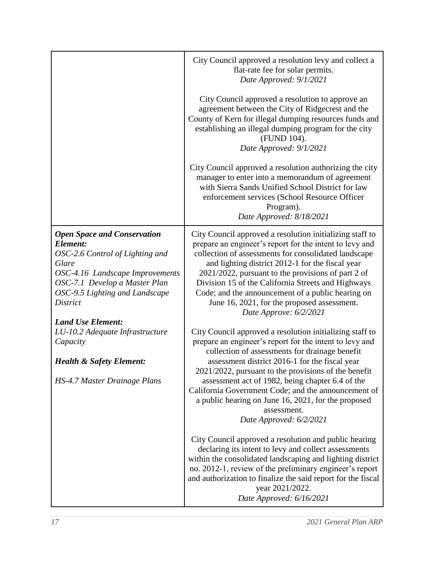|                                                                                                                                                                                                                                                 | City Council approved a resolution levy and collect a<br>flat-rate fee for solar permits.<br>Date Approved: 9/1/2021<br>City Council approved a resolution to approve an<br>agreement between the City of Ridgecrest and the<br>County of Kern for illegal dumping resources funds and                                                                                                                                                                                    |
|-------------------------------------------------------------------------------------------------------------------------------------------------------------------------------------------------------------------------------------------------|---------------------------------------------------------------------------------------------------------------------------------------------------------------------------------------------------------------------------------------------------------------------------------------------------------------------------------------------------------------------------------------------------------------------------------------------------------------------------|
|                                                                                                                                                                                                                                                 | establishing an illegal dumping program for the city<br>(FUND 104).<br>Date Approved: 9/1/2021                                                                                                                                                                                                                                                                                                                                                                            |
|                                                                                                                                                                                                                                                 | City Council approved a resolution authorizing the city<br>manager to enter into a memorandum of agreement<br>with Sierra Sands Unified School District for law<br>enforcement services (School Resource Officer<br>Program).<br>Date Approved: 8/18/2021                                                                                                                                                                                                                 |
| <b>Open Space and Conservation</b><br>Element:<br>OSC-2.6 Control of Lighting and<br>Glare<br>OSC-4.16 Landscape Improvements<br>OSC-7.1 Develop a Master Plan<br>OSC-9.5 Lighting and Landscape<br><b>District</b><br><b>Land Use Element:</b> | City Council approved a resolution initializing staff to<br>prepare an engineer's report for the intent to levy and<br>collection of assessments for consolidated landscape<br>and lighting district 2012-1 for the fiscal year<br>2021/2022, pursuant to the provisions of part 2 of<br>Division 15 of the California Streets and Highways<br>Code; and the announcement of a public hearing on<br>June 16, 2021, for the proposed assessment.<br>Date Approve: 6/2/2021 |
| LU-10.2 Adequate Infrastructure<br>Capacity                                                                                                                                                                                                     | City Council approved a resolution initializing staff to<br>prepare an engineer's report for the intent to levy and<br>collection of assessments for drainage benefit                                                                                                                                                                                                                                                                                                     |
| <b>Health &amp; Safety Element:</b><br>HS-4.7 Master Drainage Plans                                                                                                                                                                             | assessment district 2016-1 for the fiscal year<br>2021/2022, pursuant to the provisions of the benefit<br>assessment act of 1982, being chapter 6.4 of the<br>California Government Code; and the announcement of<br>a public hearing on June 16, 2021, for the proposed<br>assessment.<br>Date Approved: 6/2/2021                                                                                                                                                        |
|                                                                                                                                                                                                                                                 | City Council approved a resolution and public hearing<br>declaring its intent to levy and collect assessments<br>within the consolidated landscaping and lighting district<br>no. 2012-1, review of the preliminary engineer's report<br>and authorization to finalize the said report for the fiscal<br>year 2021/2022.<br>Date Approved: 6/16/2021                                                                                                                      |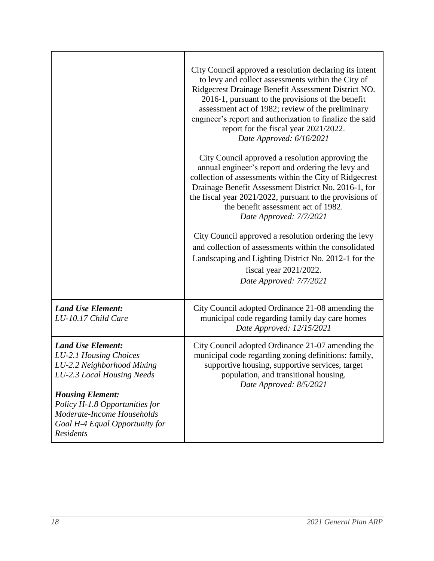|                                                                                                                                                                                                                                                          | City Council approved a resolution declaring its intent<br>to levy and collect assessments within the City of<br>Ridgecrest Drainage Benefit Assessment District NO.<br>2016-1, pursuant to the provisions of the benefit<br>assessment act of 1982; review of the preliminary<br>engineer's report and authorization to finalize the said<br>report for the fiscal year 2021/2022.<br>Date Approved: 6/16/2021<br>City Council approved a resolution approving the<br>annual engineer's report and ordering the levy and<br>collection of assessments within the City of Ridgecrest<br>Drainage Benefit Assessment District No. 2016-1, for<br>the fiscal year $2021/2022$ , pursuant to the provisions of<br>the benefit assessment act of 1982.<br>Date Approved: 7/7/2021<br>City Council approved a resolution ordering the levy<br>and collection of assessments within the consolidated<br>Landscaping and Lighting District No. 2012-1 for the<br>fiscal year 2021/2022.<br>Date Approved: 7/7/2021 |
|----------------------------------------------------------------------------------------------------------------------------------------------------------------------------------------------------------------------------------------------------------|-------------------------------------------------------------------------------------------------------------------------------------------------------------------------------------------------------------------------------------------------------------------------------------------------------------------------------------------------------------------------------------------------------------------------------------------------------------------------------------------------------------------------------------------------------------------------------------------------------------------------------------------------------------------------------------------------------------------------------------------------------------------------------------------------------------------------------------------------------------------------------------------------------------------------------------------------------------------------------------------------------------|
| <b>Land Use Element:</b><br>LU-10.17 Child Care                                                                                                                                                                                                          | City Council adopted Ordinance 21-08 amending the<br>municipal code regarding family day care homes<br>Date Approved: 12/15/2021                                                                                                                                                                                                                                                                                                                                                                                                                                                                                                                                                                                                                                                                                                                                                                                                                                                                            |
| <b>Land Use Element:</b><br>LU-2.1 Housing Choices<br>LU-2.2 Neighborhood Mixing<br>LU-2.3 Local Housing Needs<br><b>Housing Element:</b><br>Policy H-1.8 Opportunities for<br>Moderate-Income Households<br>Goal H-4 Equal Opportunity for<br>Residents | City Council adopted Ordinance 21-07 amending the<br>municipal code regarding zoning definitions: family,<br>supportive housing, supportive services, target<br>population, and transitional housing.<br>Date Approved: 8/5/2021                                                                                                                                                                                                                                                                                                                                                                                                                                                                                                                                                                                                                                                                                                                                                                            |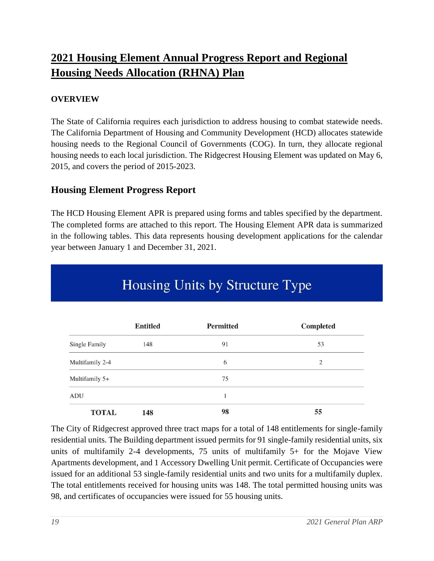### **2021 Housing Element Annual Progress Report and Regional Housing Needs Allocation (RHNA) Plan**

### **OVERVIEW**

The State of California requires each jurisdiction to address housing to combat statewide needs. The California Department of Housing and Community Development (HCD) allocates statewide housing needs to the Regional Council of Governments (COG). In turn, they allocate regional housing needs to each local jurisdiction. The Ridgecrest Housing Element was updated on May 6, 2015, and covers the period of 2015-2023.

### **Housing Element Progress Report**

The HCD Housing Element APR is prepared using forms and tables specified by the department. The completed forms are attached to this report. The Housing Element APR data is summarized in the following tables. This data represents housing development applications for the calendar year between January 1 and December 31, 2021.

|                      | <b>Entitled</b> | <b>Permitted</b> | <b>Completed</b> |
|----------------------|-----------------|------------------|------------------|
| <b>Single Family</b> | 148             | 91               | 53               |
| Multifamily 2-4      |                 | 6                | $\overline{2}$   |
| Multifamily 5+       |                 | 75               |                  |
| ADU                  |                 | $\mathbf{1}$     |                  |
| <b>TOTAL</b>         | 148             | 98               | 55               |

# Housing Units by Structure Type

The City of Ridgecrest approved three tract maps for a total of 148 entitlements for single-family residential units. The Building department issued permits for 91 single-family residential units, six units of multifamily 2-4 developments, 75 units of multifamily 5+ for the Mojave View Apartments development, and 1 Accessory Dwelling Unit permit. Certificate of Occupancies were issued for an additional 53 single-family residential units and two units for a multifamily duplex. The total entitlements received for housing units was 148. The total permitted housing units was 98, and certificates of occupancies were issued for 55 housing units.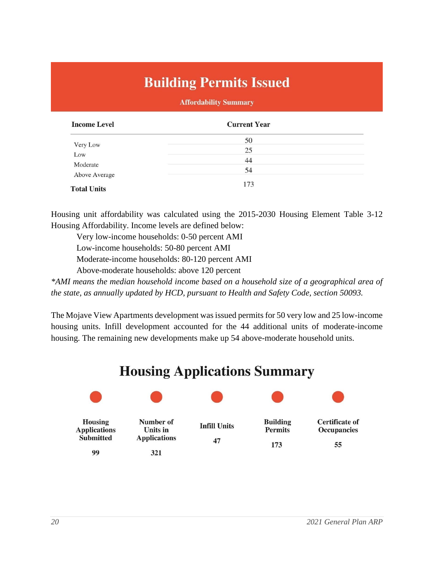# **Building Permits Issued**

#### **Affordability Summary**

| <b>Income Level</b>       | <b>Current Year</b> |  |
|---------------------------|---------------------|--|
|                           | 50                  |  |
| Very Low                  | 25                  |  |
| Low                       | 44                  |  |
| Moderate<br>Above Average | 54                  |  |
| <b>Total Units</b>        | 173                 |  |

Housing unit affordability was calculated using the 2015-2030 Housing Element Table 3-12 Housing Affordability. Income levels are defined below:

Very low-income households: 0-50 percent AMI Low-income households: 50-80 percent AMI

Moderate-income households: 80-120 percent AMI

Above-moderate households: above 120 percent

*\*AMI means the median household income based on a household size of a geographical area of the state, as annually updated by HCD, pursuant to Health and Safety Code, section 50093.* 

The Mojave View Apartments development was issued permits for 50 very low and 25 low-income housing units. Infill development accounted for the 44 additional units of moderate-income housing. The remaining new developments make up 54 above-moderate household units.

# **Housing Applications Summary**

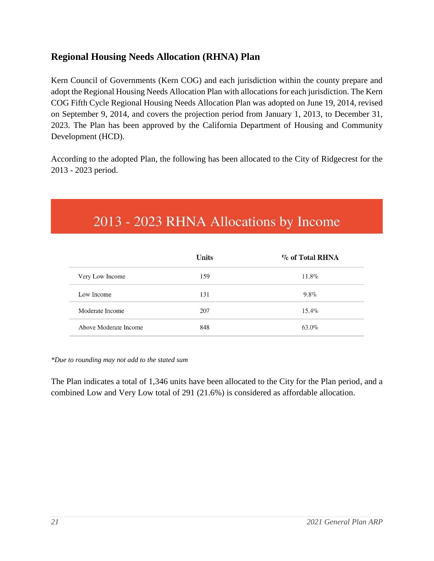### **Regional Housing Needs Allocation (RHNA) Plan**

Kern Council of Governments (Kern COG) and each jurisdiction within the county prepare and adopt the Regional Housing Needs Allocation Plan with allocations for each jurisdiction. The Kern COG Fifth Cycle Regional Housing Needs Allocation Plan was adopted on June 19, 2014, revised on September 9, 2014, and covers the projection period from January 1, 2013, to December 31, 2023. The Plan has been approved by the California Department of Housing and Community Development (HCD).

According to the adopted Plan, the following has been allocated to the City of Ridgecrest for the 2013 - 2023 period.

# 2013 - 2023 RHNA Allocations by Income

|                       | <b>Units</b> | $\%$ of Total RHNA |
|-----------------------|--------------|--------------------|
| Very Low Income       | 159          | 11.8%              |
| Low Income            | 131          | $9.8\%$            |
| Moderate Income       | 207          | $15.4\%$           |
| Above Moderate Income | 848          | 63.0%              |

*\*Due to rounding may not add to the stated sum*

The Plan indicates a total of 1,346 units have been allocated to the City for the Plan period, and a combined Low and Very Low total of 291 (21.6%) is considered as affordable allocation.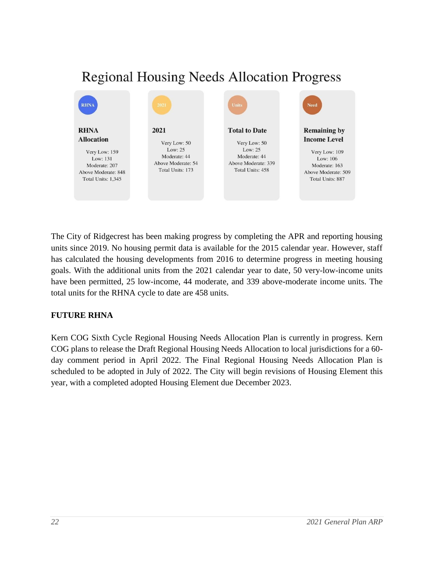## **Regional Housing Needs Allocation Progress**



The City of Ridgecrest has been making progress by completing the APR and reporting housing units since 2019. No housing permit data is available for the 2015 calendar year. However, staff has calculated the housing developments from 2016 to determine progress in meeting housing goals. With the additional units from the 2021 calendar year to date, 50 very-low-income units have been permitted, 25 low-income, 44 moderate, and 339 above-moderate income units. The total units for the RHNA cycle to date are 458 units.

### **FUTURE RHNA**

Kern COG Sixth Cycle Regional Housing Needs Allocation Plan is currently in progress. Kern COG plans to release the Draft Regional Housing Needs Allocation to local jurisdictions for a 60 day comment period in April 2022. The Final Regional Housing Needs Allocation Plan is scheduled to be adopted in July of 2022. The City will begin revisions of Housing Element this year, with a completed adopted Housing Element due December 2023.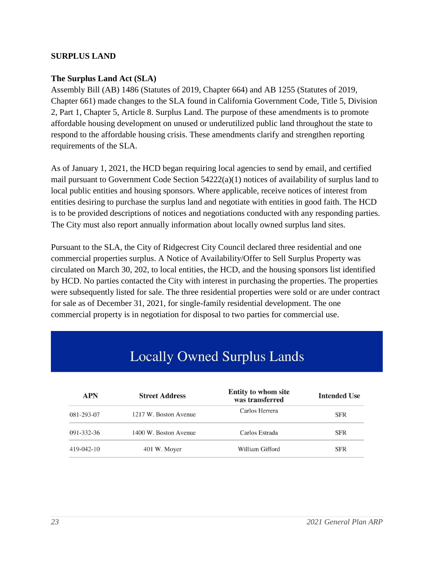### **SURPLUS LAND**

### **The Surplus Land Act (SLA)**

Assembly Bill (AB) 1486 (Statutes of 2019, Chapter 664) and AB 1255 (Statutes of 2019, Chapter 661) made changes to the SLA found in California Government Code, Title 5, Division 2, Part 1, Chapter 5, Article 8. Surplus Land. The purpose of these amendments is to promote affordable housing development on unused or underutilized public land throughout the state to respond to the affordable housing crisis. These amendments clarify and strengthen reporting requirements of the SLA.

As of January 1, 2021, the HCD began requiring local agencies to send by email, and certified mail pursuant to Government Code Section 54222(a)(1) notices of availability of surplus land to local public entities and housing sponsors. Where applicable, receive notices of interest from entities desiring to purchase the surplus land and negotiate with entities in good faith. The HCD is to be provided descriptions of notices and negotiations conducted with any responding parties. The City must also report annually information about locally owned surplus land sites.

Pursuant to the SLA, the City of Ridgecrest City Council declared three residential and one commercial properties surplus. A Notice of Availability/Offer to Sell Surplus Property was circulated on March 30, 202, to local entities, the HCD, and the housing sponsors list identified by HCD. No parties contacted the City with interest in purchasing the properties. The properties were subsequently listed for sale. The three residential properties were sold or are under contract for sale as of December 31, 2021, for single-family residential development. The one commercial property is in negotiation for disposal to two parties for commercial use.

# **Locally Owned Surplus Lands**

| <b>APN</b>       | <b>Street Address</b> | Entity to whom site<br>was transferred | <b>Intended Use</b> |
|------------------|-----------------------|----------------------------------------|---------------------|
| 081-293-07       | 1217 W. Boston Avenue | Carlos Herrera                         | <b>SFR</b>          |
| 091-332-36       | 1400 W. Boston Avenue | Carlos Estrada                         | <b>SFR</b>          |
| $419 - 042 - 10$ | 401 W. Moyer          | William Gifford                        | <b>SFR</b>          |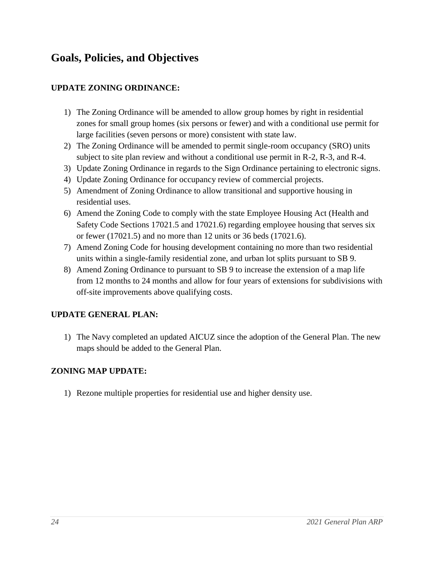### **Goals, Policies, and Objectives**

### **UPDATE ZONING ORDINANCE:**

- 1) The Zoning Ordinance will be amended to allow group homes by right in residential zones for small group homes (six persons or fewer) and with a conditional use permit for large facilities (seven persons or more) consistent with state law.
- 2) The Zoning Ordinance will be amended to permit single-room occupancy (SRO) units subject to site plan review and without a conditional use permit in R-2, R-3, and R-4.
- 3) Update Zoning Ordinance in regards to the Sign Ordinance pertaining to electronic signs.
- 4) Update Zoning Ordinance for occupancy review of commercial projects.
- 5) Amendment of Zoning Ordinance to allow transitional and supportive housing in residential uses.
- 6) Amend the Zoning Code to comply with the state Employee Housing Act (Health and Safety Code Sections 17021.5 and 17021.6) regarding employee housing that serves six or fewer (17021.5) and no more than 12 units or 36 beds (17021.6).
- 7) Amend Zoning Code for housing development containing no more than two residential units within a single-family residential zone, and urban lot splits pursuant to SB 9.
- 8) Amend Zoning Ordinance to pursuant to SB 9 to increase the extension of a map life from 12 months to 24 months and allow for four years of extensions for subdivisions with off-site improvements above qualifying costs.

### **UPDATE GENERAL PLAN:**

1) The Navy completed an updated AICUZ since the adoption of the General Plan. The new maps should be added to the General Plan.

### **ZONING MAP UPDATE:**

1) Rezone multiple properties for residential use and higher density use.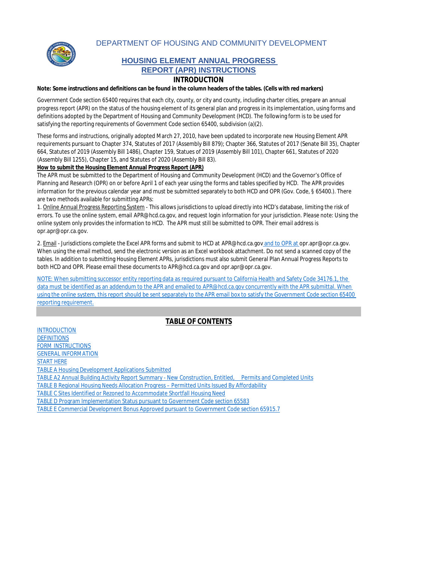DEPARTMENT OF HOUSING AND COMMUNITY DEVELOPMENT



#### **HOUSING ELEMENT ANNUAL PROGRESS REPORT (APR) INSTRUCTIONS**

#### **INTRODUCTION**

**Note: Some instructions and definitions can be found in the column headers of the tables. (Cells with red markers)**

Government Code section 65400 requires that each city, county, or city and county, including charter cities, prepare an annual progress report (APR) on the status of the housing element of its general plan and progress in its implementation, using forms and definitions adopted by the Department of Housing and Community Development (HCD). The following form is to be used for satisfying the reporting requirements of Government Code section 65400, subdivision (a)(2).

These forms and instructions, originally adopted March 27, 2010, have been updated to incorporate new Housing Element APR requirements pursuant to Chapter 374, Statutes of 2017 (Assembly Bill 879); Chapter 366, Statutes of 2017 (Senate Bill 35), Chapter 664, Statutes of 2019 (Assembly Bill 1486), Chapter 159, Statues of 2019 (Assembly Bill 101), Chapter 661, Statutes of 2020 (Assembly Bill 1255), Chapter 15, and Statutes of 2020 (Assembly Bill 83).

**How to submit the Housing Element Annual Progress Report (APR)**

The APR must be submitted to the Department of Housing and Community Development (HCD) and the Governor's Office of Planning and Research (OPR) on or before April 1 of each year using the forms and tables specified by HCD. The APR provides information for the previous calendar year and must be submitted separately to both HCD and OPR (Gov. Code, § 65400.). There are two methods available for submitting APRs:

1. Online Annual Progress Reporting System - This allows jurisdictions to upload directly into HCD's database, limiting the risk of errors. To use the online system, email APR@hcd.ca.gov, and request login information for your jurisdiction. *Please note: Using the online system only provides the information to HCD. The APR must still be submitted to OPR. Their email address is opr.apr@opr.ca.gov.*

2. Email - Jurisdictions complete the Excel APR forms and submit to HCD at APR@hcd.ca.gov and to OPR at opr.apr@opr.ca.gov. When using the email method, send the electronic version as an Excel workbook attachment. Do not send a scanned copy of the tables. In addition to submitting Housing Element APRs, jurisdictions must also submit General Plan Annual Progress Reports to both HCD and OPR. Please email these documents to APR@hcd.ca.gov and opr.apr@opr.ca.gov.

NOTE: When submitting successor entity reporting data as required pursuant to California Health and Safety Code 34176.1, the data must be identified as an addendum to the APR and emailed to APR@hcd.ca.gov concurrently with the APR submittal. When using the online system, this report should be sent separately to the APR email box to satisfy the Government Code section 65400 reporting requirement.

#### **TABLE OF CONTENTS**

INTRODUCTION **DEFINITIONS** FORM INSTRUCTIONS GENERAL INFORMATION START HERE TABLE A Housing Development Applications Submitted TABLE A2 Annual Building Activity Report Summary - New Construction, Entitled, Permits and Completed Units TABLE B Regional Housing Needs Allocation Progress – Permitted Units Issued By Affordability TABLE C Sites Identified or Rezoned to Accommodate Shortfall Housing Need TABLE D Program Implementation Status pursuant to Government Code section 65583

TABLE E Commercial Development Bonus Approved pursuant to Government Code section 65915.7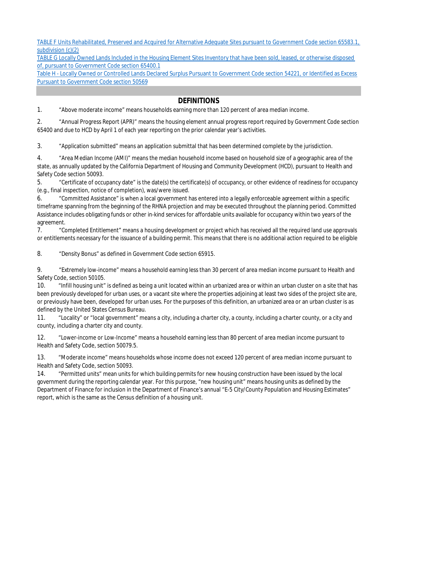TABLE F Units Rehabilitated, Preserved and Acquired for Alternative Adequate Sites pursuant to Government Code section 65583.1, subdivision (c)(2)

TABLE G Locally Owned Lands Included in the Housing Element Sites Inventory that have been sold, leased, or otherwise disposed of, pursuant to Government Code section 65400.1

Table H - Locally Owned or Controlled Lands Declared Surplus Pursuant to Government Code section 54221, or Identified as Excess Pursuant to Government Code section 50569

#### **DEFINITIONS**

1. "Above moderate income" means households earning more than 120 percent of area median income.

2. "Annual Progress Report (APR)" means the housing element annual progress report required by Government Code section 65400 and due to HCD by April 1 of each year reporting on the prior calendar year's activities.

3. "Application submitted" means an application submittal that has been determined complete by the jurisdiction.

4. "Area Median Income (AMI)" means the median household income based on household size of a geographic area of the state, as annually updated by the California Department of Housing and Community Development (HCD), pursuant to Health and Safety Code section 50093.

5. "Certificate of occupancy date" is the date(s) the certificate(s) of occupancy, or other evidence of readiness for occupancy (e.g., final inspection, notice of completion), was/were issued.

6. "Committed Assistance" is when a local government has entered into a legally enforceable agreement within a specific timeframe spanning from the beginning of the RHNA projection and may be executed throughout the planning period. Committed Assistance includes obligating funds or other in-kind services for affordable units available for occupancy within two years of the agreement.

7. "Completed Entitlement" means a housing development or project which has received all the required land use approvals or entitlements necessary for the issuance of a building permit. This means that there is no additional action required to be eligible

8. "Density Bonus" as defined in Government Code section 65915.

9. "Extremely low-income" means a household earning less than 30 percent of area median income pursuant to Health and Safety Code, section 50105.

10. "Infill housing unit" is defined as being a unit located within an urbanized area or within an urban cluster on a site that has been previously developed for urban uses, or a vacant site where the properties adjoining at least two sides of the project site are, or previously have been, developed for urban uses. For the purposes of this definition, an urbanized area or an urban cluster is as defined by the United States Census Bureau.

11. "Locality" or "local government" means a city, including a charter city, a county, including a charter county, or a city and county, including a charter city and county.

12. "Lower-income or Low-Income" means a household earning less than 80 percent of area median income pursuant to Health and Safety Code, section 50079.5.

13. "Moderate income" means households whose income does not exceed 120 percent of area median income pursuant to Health and Safety Code, section 50093.

14. "Permitted units" mean units for which building permits for new housing construction have been issued by the local government during the reporting calendar year. For this purpose, "new housing unit" means housing units as defined by the Department of Finance for inclusion in the Department of Finance's annual "E-5 City/County Population and Housing Estimates" report, which is the same as the Census definition of a housing unit.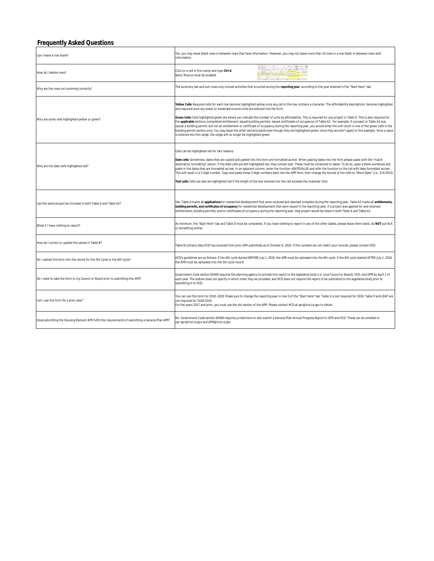#### **Frequently Asked Questions**

| Can I leave a row blank?                                                                           | Yes, you may leave blank rows in between rows that have information. However, you may not leave more than 10 rows in a row blank in between rows with<br>information.                                                                                                                                                                                                                                                                                                                                                                                                                                                                                                                                                                                                                                                                                                                                                                                                                                                                     |
|----------------------------------------------------------------------------------------------------|-------------------------------------------------------------------------------------------------------------------------------------------------------------------------------------------------------------------------------------------------------------------------------------------------------------------------------------------------------------------------------------------------------------------------------------------------------------------------------------------------------------------------------------------------------------------------------------------------------------------------------------------------------------------------------------------------------------------------------------------------------------------------------------------------------------------------------------------------------------------------------------------------------------------------------------------------------------------------------------------------------------------------------------------|
| How do I delete rows?                                                                              | $\mathbb{E}[u] = K \cdot K \quad \equiv \mathbb{H} \equiv \mathbb{E}[\cdot \Phi] \times \mathbb{H}$<br>Click on a cell in the row(s) and type Ctrl-d.<br>Note: Macros must be enabled                                                                                                                                                                                                                                                                                                                                                                                                                                                                                                                                                                                                                                                                                                                                                                                                                                                     |
| Why are the rows not summing correctly?                                                            | The summary tab and sum rows only include activities that occurred during the reporting year, according to the year entered in the "Start Here" tab.                                                                                                                                                                                                                                                                                                                                                                                                                                                                                                                                                                                                                                                                                                                                                                                                                                                                                      |
| Why are some cells highlighted yellow or green?                                                    | Yellow Cells: Required cells for each row become highlighted yellow once any cell in the row contains a character. The affordability descriptions become highlighted<br>and required once any lower or moderate income units are entered into the form.<br>Green Cells: Cells highlighted green are where you indicate the number of units by affordability. This is required for any project in Table A. This is also required for<br>the applicable sections (completed entitlement, issued building permits, issued certificates of occupancy) of Table A2. For example, if a project in Table A2 was<br>issued a building permit, but not an entitlement or certificate of occupancy during the reporting year, you would enter the unit count in one of the green cells in the<br>building permit section only. You may leave the other sections blank even though they are highlighted green, since they wouldn't apply to this example. Once a value<br>is entered into this range, the range will no longer be highlighted green. |
| Why are the date cells highlighted red?                                                            | Cells can be highlighted red for two reasons:<br>Date cells: Sometimes, dates that are copied and pasted into this form are formatted as text. When pasting dates into the form please paste with the "match<br>destination formatting" option. If the date cells are still highlighted red, they contain text. These must be converted to dates. To do so, open a blank workbook and<br>paste in the dates that are formatted as text. In an adjacent column, enter the function =DATEVALUE and refer the function to the cell with date formatted as text.<br>This will result in a 5-digit number. Copy and paste these 5-digit numbers back into the APR form, then change the format of the cells to "Short Date" (i.e., 3/4/2012).<br>Text cells: Cells can also be highlighted red if the length of the text entered into the cell exceeds the character limit.                                                                                                                                                                    |
| Can the same project be included in both Table A and Table A2?                                     | Yes. Table A tracks all applications for residential development that were received and deemed complete during the reporting year. Table A2 tracks all entitlements,<br>building permits, and certificates of occupancy for residential development that were issued in the reporting year. If a project was applied for and received<br>entitlements, building permits, and/or certificates of occupancy during the reporting year, that project would be listed in both Table A and Table A2.                                                                                                                                                                                                                                                                                                                                                                                                                                                                                                                                           |
| What if I have nothing to report?                                                                  | At minimum, the "Start Here" tab and Table D must be completed. If you have nothing to report in any of the other tables, please leave them blank, do NOT put N/A<br>or something similar.                                                                                                                                                                                                                                                                                                                                                                                                                                                                                                                                                                                                                                                                                                                                                                                                                                                |
| How do I correct or update the values in Table B?                                                  | Table B contains data HCD has received from prior APR submittals as of October 6, 2020. If the numbers do not match your records, please contact HCD.                                                                                                                                                                                                                                                                                                                                                                                                                                                                                                                                                                                                                                                                                                                                                                                                                                                                                     |
| Do I upload this form into the record for the 5th Cycle or the 6th Cycle?                          | HCD's quidelines are as follows: If the 6th cycle started BEFORE July 1, 2019, the APR must be uploaded into the 6th cycle. If the 6th cycle started AFTER July 1, 2019,<br>the APR must be uploaded into the 5th cycle record.                                                                                                                                                                                                                                                                                                                                                                                                                                                                                                                                                                                                                                                                                                                                                                                                           |
| Do I need to take the form to my Council or Board prior to submitting the APR?                     | Government Code section 65400 requires the planning agency to provide this report to the legislative body (i.e. local Council or Board), HCD, and OPR by April 1 of<br>each year. The statute does not specify in which order they be provided, and HCD does not require the report to be submitted to the legislative body prior to<br>submitting it to HCD.                                                                                                                                                                                                                                                                                                                                                                                                                                                                                                                                                                                                                                                                             |
| Can I use this form for a prior year?                                                              | You can use this form for 2018 -2020. Make sure to change the reporting year in row 5 of the "Start Here" tab. Table G is not required for 2018. Table H and LEAP are<br>not required for 2018-2019.<br>For the years 2017 and prior, you must use the old version of the APR. Please contact HCD at apr@hcd.ca.gov to obtain.                                                                                                                                                                                                                                                                                                                                                                                                                                                                                                                                                                                                                                                                                                            |
| Does submitting the Housing Element APR fulfill the requirements of submitting a General Plan APR? | No. Government Code section 65400 requires jurisdictions to also submit a General Plan Annual Progress Report to OPR and HCD. These can be emailed to<br>opr.apr@hcd.ca.gov and APR@hcd.ca.gov                                                                                                                                                                                                                                                                                                                                                                                                                                                                                                                                                                                                                                                                                                                                                                                                                                            |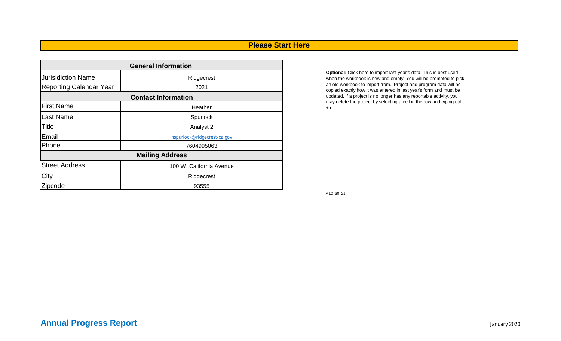### **Please Start Here**

| <b>General Information</b>     |                             |  |  |  |  |  |  |
|--------------------------------|-----------------------------|--|--|--|--|--|--|
| <b>Jurisidiction Name</b>      | Ridgecrest                  |  |  |  |  |  |  |
| <b>Reporting Calendar Year</b> | 2021                        |  |  |  |  |  |  |
|                                | <b>Contact Information</b>  |  |  |  |  |  |  |
| <b>First Name</b><br>Heather   |                             |  |  |  |  |  |  |
| <b>Last Name</b>               | Spurlock                    |  |  |  |  |  |  |
| <b>Title</b>                   | Analyst 2                   |  |  |  |  |  |  |
| Email                          | hspurlock@ridgecrest-ca.gov |  |  |  |  |  |  |
| Phone                          | 7604995063                  |  |  |  |  |  |  |
|                                | <b>Mailing Address</b>      |  |  |  |  |  |  |
| <b>Street Address</b>          | 100 W. California Avenue    |  |  |  |  |  |  |
| City                           | Ridgecrest                  |  |  |  |  |  |  |
| Zipcode<br>93555               |                             |  |  |  |  |  |  |

**Optional:** Click here to import last year's data. This is best used when the workbook is new and empty. You will be prompted to pick an old workbook to import from. Project and program data will be copied exactly how it was entered in last year's form and must be updated. If a project is no longer has any reportable activity, you may delete the project by selecting a cell in the row and typing ctrl + d.

v 12\_30\_21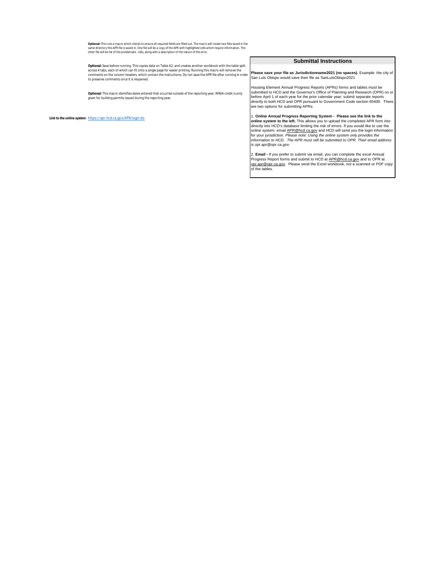**Optional:** This runs a macro which checks to ensure all required fields are filled out. The macro will create two files saved in the same directory this APR file is saved in. One file will be a copy of the APR with highlighted cells which require information. The<br>other file will be list of the problematic cells, along with a description of the nature of

**Optional:** Save before running. This copies data on Table A2, and creates another workbook with the table split across 4 tabs, each of which can fit onto a single page for easier printing. Running this macro will remove the comments on the column headers, which contain the instructions. Do not save the APR file after running in order to preserve comments once it is reopened.

Optional: This macro identifies dates entered that occurred outside of the reporting year. RHNA credit is only<br>given for building permits issued during the reporting year.

**Link to the online system:** https://apr.hcd.ca.gov/APR/login.do

#### **Submittal Instructions**

**e save your file as Jurisdictionname2021 (no spaces).** Example: the city of San Luis Obispo would save their file as SanLuisObispo2021

Housing Element Annual Progress Reports (APRs) forms and tables must be submitted to HCD and the Governor's Office of Planning and Research (OPR) on or before April 1 of each year for the prior calendar year; submit separate reports directly to both HCD and OPR pursuant to Government Code section 65400. There are two options for submitting APRs:

1. **Online Annual Progress Reporting System - Please see the link to the online system to the left.** This allows you to upload the completed APR form into directly into HCD's database limiting the risk of errors. If you would like to use the online system, email <u>APR@hcd.ca.gov</u> and HCD will send you the login information<br>for your jurisdiction. *Please note: Using the online system only provides the*<br>*information to HCD. The APR must still be submitted to OP is opr.apr@opr.ca.gov.*

2. **Email -** If you prefer to submit via email, you can complete the excel Annual Progress Report forms and submit to HCD at APR@hcd.ca.gov and to OPR at opr.apr@opr.ca.gov. Please send the Excel workbook, not a scanned or PDF copy of the tables.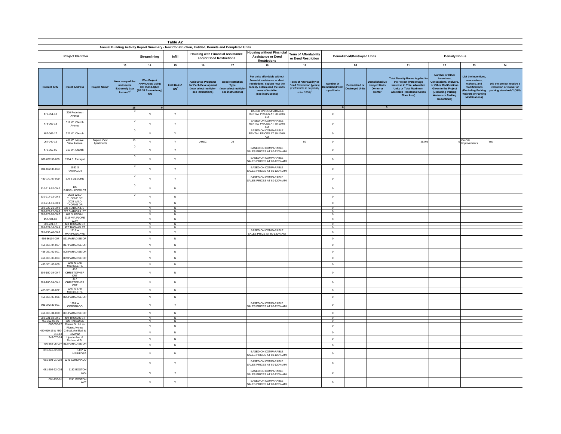|                                                                     |                                                             |                           |                                                                              |                                                                         | Table A2                          |                                                                                                   |                                                                            |                                                                                                                                                                         |                                                                                                                         |                                            |                                                |                                                   |                                                                                                                                                                                      |                                                                                                                                                                                                 |                                                                                                                                                               |                                                                                 |
|---------------------------------------------------------------------|-------------------------------------------------------------|---------------------------|------------------------------------------------------------------------------|-------------------------------------------------------------------------|-----------------------------------|---------------------------------------------------------------------------------------------------|----------------------------------------------------------------------------|-------------------------------------------------------------------------------------------------------------------------------------------------------------------------|-------------------------------------------------------------------------------------------------------------------------|--------------------------------------------|------------------------------------------------|---------------------------------------------------|--------------------------------------------------------------------------------------------------------------------------------------------------------------------------------------|-------------------------------------------------------------------------------------------------------------------------------------------------------------------------------------------------|---------------------------------------------------------------------------------------------------------------------------------------------------------------|---------------------------------------------------------------------------------|
|                                                                     |                                                             |                           |                                                                              |                                                                         |                                   | Annual Building Activity Report Summary - New Construction, Entitled, Permits and Completed Units |                                                                            |                                                                                                                                                                         |                                                                                                                         |                                            |                                                |                                                   |                                                                                                                                                                                      |                                                                                                                                                                                                 |                                                                                                                                                               |                                                                                 |
|                                                                     | Project Identifier                                          |                           |                                                                              | Streamlining                                                            | Infill                            | <b>Housing with Financial Assistance</b><br>and/or Deed Restrictions                              |                                                                            | <b>Housing without Financial</b><br><b>Assistance or Deed</b><br><b>Restrictions</b>                                                                                    | <b>Term of Affordability</b><br>or Deed Restriction                                                                     |                                            | <b>Demolished/Destroyed Units</b>              |                                                   |                                                                                                                                                                                      | <b>Density Bonus</b>                                                                                                                                                                            |                                                                                                                                                               |                                                                                 |
|                                                                     |                                                             |                           | 13                                                                           | 14                                                                      | 15                                | 16                                                                                                | 17                                                                         | 18                                                                                                                                                                      | 19                                                                                                                      |                                            | 20                                             |                                                   | $21$                                                                                                                                                                                 | 22                                                                                                                                                                                              | 23                                                                                                                                                            | $\bf 24$                                                                        |
| <b>Current APN</b>                                                  | <b>Street Address</b>                                       | <b>Project Name</b>       | How many of th<br>units were<br><b>Extremely Low</b><br>Income? <sup>+</sup> | Was Project<br>APPROVED using<br>GC 65913.4(b)?<br>(SB 35 Stream<br>Y/N | Infill Units?<br>Y/N <sup>+</sup> | Assistance Programs<br>for Each Developm<br>(may select multiple -<br>see instructions)           | <b>Deed Restriction</b><br>Type<br>may select multipl<br>see instructions) | For units affordable without<br>financial assistance or deed<br>restrictions, explain how the<br>locality determined the units<br>were affordable<br>(see instructions) | Term of Affordability or<br><b>Deed Restriction (years)</b><br>(if affordable in perpetuity<br>enter 1000) <sup>+</sup> | Number of<br>Demolished/Des<br>royed Units | <b>Demolished or</b><br><b>Destroyed Units</b> | molished/D<br>stroyed Units<br>Owner or<br>Renter | <b>Total Density Bonus Applied t</b><br>the Project (Percentage<br>Increase in Total Allowable<br><b>Units or Total Maximum</b><br><b>Allowable Residential Gross</b><br>Floor Area) | Number of Other<br>Incentives,<br><b>Concessions, Waiver:</b><br>or Other Modifications<br><b>Given to the Project</b><br>(Excluding Parking<br><b>Waivers or Parking</b><br><b>Reductions)</b> | <b>List the incentive:</b><br>concessions.<br>waivers, and<br>modifications<br><b>Excluding Parking</b><br><b>Waivers or Parking</b><br><b>Modifications)</b> | Did the project receive a<br>reduction or waiver of<br>parking standards? (Y/N) |
|                                                                     |                                                             |                           | 16                                                                           |                                                                         |                                   |                                                                                                   |                                                                            | <b>BASED ON COMPARABLE</b>                                                                                                                                              |                                                                                                                         |                                            |                                                |                                                   |                                                                                                                                                                                      |                                                                                                                                                                                                 |                                                                                                                                                               |                                                                                 |
| 478-051-12                                                          | 206 Robertson<br>Avenue                                     |                           |                                                                              | $\mathsf{N}$                                                            | Y                                 |                                                                                                   |                                                                            | RENTAL PRICES AT 80-100%<br>AMI<br><b>BASED ON COMPARABLE</b>                                                                                                           |                                                                                                                         | $\circ$                                    |                                                |                                                   |                                                                                                                                                                                      |                                                                                                                                                                                                 |                                                                                                                                                               |                                                                                 |
| 478-062-18                                                          | 317 W. Church<br>Avenue                                     |                           |                                                                              | N                                                                       | Υ                                 |                                                                                                   |                                                                            | RENTAL PRICES AT 80-100%<br>AMI<br><b>BASED ON COMPARABLE</b>                                                                                                           |                                                                                                                         | $\mathbf 0$                                |                                                |                                                   |                                                                                                                                                                                      |                                                                                                                                                                                                 |                                                                                                                                                               |                                                                                 |
| 487-062-17                                                          | 321 W. Church                                               |                           |                                                                              | ${\sf N}$                                                               | Y                                 |                                                                                                   |                                                                            | RENTAL PRICES AT 80-100%<br>AMI                                                                                                                                         |                                                                                                                         | $\mathbb O$                                |                                                |                                                   |                                                                                                                                                                                      |                                                                                                                                                                                                 |                                                                                                                                                               |                                                                                 |
| 067-040-12                                                          | 400 W. Mojave<br>View Avenue                                | Mojave View<br>Apartments |                                                                              | ${\sf N}$                                                               | Y                                 | AHSC                                                                                              | DB                                                                         |                                                                                                                                                                         | 50                                                                                                                      | $\mathbf 0$                                |                                                |                                                   | 25.0%                                                                                                                                                                                |                                                                                                                                                                                                 | On-Site<br>Improvements                                                                                                                                       | Yes                                                                             |
| 478-062-05                                                          | 313 W. Church                                               |                           |                                                                              | ${\sf N}$                                                               | Y                                 |                                                                                                   |                                                                            | BASED ON COMPARABLE<br>SALES PRICES AT 80-120% AM                                                                                                                       |                                                                                                                         | $\mathbf 0$                                |                                                |                                                   |                                                                                                                                                                                      |                                                                                                                                                                                                 |                                                                                                                                                               |                                                                                 |
| 081-032-50-009                                                      | 1504 S. Farragut                                            |                           |                                                                              | N                                                                       | Y                                 |                                                                                                   |                                                                            | BASED ON COMPARABLE<br>SALES PRICES AT 80-120% AM                                                                                                                       |                                                                                                                         | $\circ$                                    |                                                |                                                   |                                                                                                                                                                                      |                                                                                                                                                                                                 |                                                                                                                                                               |                                                                                 |
| 081-032-34-003                                                      | 1532 S<br>FARRAGUT                                          |                           |                                                                              | N                                                                       | Y                                 |                                                                                                   |                                                                            | BASED ON COMPARABLE<br>SALES PRICES AT 80-120% AMI                                                                                                                      |                                                                                                                         | $\mathbf 0$                                |                                                |                                                   |                                                                                                                                                                                      |                                                                                                                                                                                                 |                                                                                                                                                               |                                                                                 |
| 480-141-07-009                                                      | 579 S ALVORD                                                |                           |                                                                              | $\mathbb{N}$                                                            | Y                                 |                                                                                                   |                                                                            | BASED ON COMPARABLE<br>SALES PRICES AT 80-120% AMI                                                                                                                      |                                                                                                                         | $\mathbb O$                                |                                                |                                                   |                                                                                                                                                                                      |                                                                                                                                                                                                 |                                                                                                                                                               |                                                                                 |
| 510-211-02-00-2                                                     | 105<br>RAINSHADOW C                                         |                           |                                                                              | $\mathsf{N}$                                                            | ${\sf N}$                         |                                                                                                   |                                                                            |                                                                                                                                                                         |                                                                                                                         | $\mathbb O$                                |                                                |                                                   |                                                                                                                                                                                      |                                                                                                                                                                                                 |                                                                                                                                                               |                                                                                 |
| 510-214-12-00-2                                                     | 2019 WILD<br>THORNE DR                                      |                           |                                                                              | ${\sf N}$                                                               | ${\sf N}$                         |                                                                                                   |                                                                            |                                                                                                                                                                         |                                                                                                                         | $\mathbb O$                                |                                                |                                                   |                                                                                                                                                                                      |                                                                                                                                                                                                 |                                                                                                                                                               |                                                                                 |
| 510-214-11-00-9                                                     | 2025 WILD<br>THORNE DR                                      |                           |                                                                              | $\mathsf{N}$                                                            | $\mathbb{N}$                      |                                                                                                   |                                                                            |                                                                                                                                                                         |                                                                                                                         | $\circ$                                    |                                                |                                                   |                                                                                                                                                                                      |                                                                                                                                                                                                 |                                                                                                                                                               |                                                                                 |
| 508-222-21-00-0 333 S ABIGAIL S<br>508-222-22-00-3 327 S ABIGAIL ST |                                                             |                           |                                                                              | N<br>N                                                                  | N<br>$\mathbb{N}$                 |                                                                                                   |                                                                            |                                                                                                                                                                         |                                                                                                                         | $\overline{0}$<br>$\Omega$                 |                                                |                                                   |                                                                                                                                                                                      |                                                                                                                                                                                                 |                                                                                                                                                               |                                                                                 |
| 508-222-20-00-7 401 S ABIGAIL                                       |                                                             |                           |                                                                              | N                                                                       | N                                 |                                                                                                   |                                                                            |                                                                                                                                                                         |                                                                                                                         | $\Omega$                                   |                                                |                                                   |                                                                                                                                                                                      |                                                                                                                                                                                                 |                                                                                                                                                               |                                                                                 |
| 453-301-06                                                          | 1119 VIA FLORE<br>WAY                                       |                           |                                                                              | N                                                                       | $\mathsf{N}$                      |                                                                                                   |                                                                            |                                                                                                                                                                         |                                                                                                                         | $\circ$                                    |                                                |                                                   |                                                                                                                                                                                      |                                                                                                                                                                                                 |                                                                                                                                                               |                                                                                 |
|                                                                     | 508-221-17 423 THOMAS ST<br>508-221-16-00-9 427 THOMAS ST   |                           |                                                                              | N<br>N                                                                  | $\overline{N}$<br>N               |                                                                                                   |                                                                            |                                                                                                                                                                         |                                                                                                                         | $\mathbf 0$<br>$\Omega$                    |                                                |                                                   |                                                                                                                                                                                      |                                                                                                                                                                                                 |                                                                                                                                                               |                                                                                 |
| 081-293-40-00-3                                                     | 1216 W                                                      |                           |                                                                              | N                                                                       | Y                                 |                                                                                                   |                                                                            | <b>BASED ON COMPARABLE</b>                                                                                                                                              |                                                                                                                         | $\mathbf 0$                                |                                                |                                                   |                                                                                                                                                                                      |                                                                                                                                                                                                 |                                                                                                                                                               |                                                                                 |
| 456-36104-007                                                       | MARIPOSA AVI<br>821 PARADISE DF                             |                           |                                                                              | ${\sf N}$                                                               | $\mathsf N$                       |                                                                                                   |                                                                            | SALES PRICE AT 80-120% AM                                                                                                                                               |                                                                                                                         | $\mathbf 0$                                |                                                |                                                   |                                                                                                                                                                                      |                                                                                                                                                                                                 |                                                                                                                                                               |                                                                                 |
| 456-361-04-007                                                      | 817 PARADISE DF                                             |                           |                                                                              | N                                                                       | ${\sf N}$                         |                                                                                                   |                                                                            |                                                                                                                                                                         |                                                                                                                         | $\mathbb O$                                |                                                |                                                   |                                                                                                                                                                                      |                                                                                                                                                                                                 |                                                                                                                                                               |                                                                                 |
| 456-361-02-001                                                      | 805 PARADISE DF                                             |                           |                                                                              | ${\sf N}$                                                               | $\,$ N                            |                                                                                                   |                                                                            |                                                                                                                                                                         |                                                                                                                         | $\mathbf 0$                                |                                                |                                                   |                                                                                                                                                                                      |                                                                                                                                                                                                 |                                                                                                                                                               |                                                                                 |
| 456-361-03-004                                                      | 809 PARADISE DF                                             |                           |                                                                              | ${\sf N}$                                                               | $\mathsf N$                       |                                                                                                   |                                                                            |                                                                                                                                                                         |                                                                                                                         | $\mathbf 0$                                |                                                |                                                   |                                                                                                                                                                                      |                                                                                                                                                                                                 |                                                                                                                                                               |                                                                                 |
| 453-301-03-005                                                      | <b>1201 N SAN</b><br>MICHELE PL                             |                           |                                                                              | N                                                                       | ${\sf N}$                         |                                                                                                   |                                                                            |                                                                                                                                                                         |                                                                                                                         | $\circ$                                    |                                                |                                                   |                                                                                                                                                                                      |                                                                                                                                                                                                 |                                                                                                                                                               |                                                                                 |
| 509-180-19-00-7                                                     | 416<br>CHRISTOPHER<br>CRT                                   |                           |                                                                              | $\mathbb{N}$                                                            | $\mathbb{N}$                      |                                                                                                   |                                                                            |                                                                                                                                                                         |                                                                                                                         | $\circ$                                    |                                                |                                                   |                                                                                                                                                                                      |                                                                                                                                                                                                 |                                                                                                                                                               |                                                                                 |
| 509-180-24-00-1                                                     | 417<br><b>CHRISTOPHER</b><br>CRT                            |                           |                                                                              | N                                                                       | $\mathsf N$                       |                                                                                                   |                                                                            |                                                                                                                                                                         |                                                                                                                         | $\circ$                                    |                                                |                                                   |                                                                                                                                                                                      |                                                                                                                                                                                                 |                                                                                                                                                               |                                                                                 |
| 453-301-02-002                                                      | 1207 N SAN<br>MICHELE PL                                    |                           |                                                                              | $\mathsf{N}$                                                            | $\mathbb{N}$                      |                                                                                                   |                                                                            |                                                                                                                                                                         |                                                                                                                         | $\circ$                                    |                                                |                                                   |                                                                                                                                                                                      |                                                                                                                                                                                                 |                                                                                                                                                               |                                                                                 |
| 456-361-07-006                                                      | 825 PARADISE DF                                             |                           |                                                                              | ${\sf N}$                                                               | ${\sf N}$                         |                                                                                                   |                                                                            |                                                                                                                                                                         |                                                                                                                         | $\mathbb O$                                |                                                |                                                   |                                                                                                                                                                                      |                                                                                                                                                                                                 |                                                                                                                                                               |                                                                                 |
| 081-342-30-001                                                      | 1324 W<br>CORONADO                                          |                           |                                                                              | $\mathsf{N}$                                                            | $\mathsf{Y}$                      |                                                                                                   |                                                                            | BASED ON COMPARABLE<br>SALES PRICES AT 80-120% AMI                                                                                                                      |                                                                                                                         | $\circ$                                    |                                                |                                                   |                                                                                                                                                                                      |                                                                                                                                                                                                 |                                                                                                                                                               |                                                                                 |
| 456-361-01-008                                                      | 801 PARADISE DF                                             |                           |                                                                              | ${\sf N}$                                                               | ${\sf N}$                         |                                                                                                   |                                                                            |                                                                                                                                                                         |                                                                                                                         | $\mathbf 0$                                |                                                |                                                   |                                                                                                                                                                                      |                                                                                                                                                                                                 |                                                                                                                                                               |                                                                                 |
|                                                                     | 508-221-18-00-5 419 THOMAS ST<br>456-362-08-06 800 PARADISE |                           |                                                                              | N<br>N                                                                  | ${\sf N}$<br>N                    |                                                                                                   |                                                                            |                                                                                                                                                                         |                                                                                                                         | $\overline{0}$<br>$\mathbf 0$              |                                                |                                                   |                                                                                                                                                                                      |                                                                                                                                                                                                 |                                                                                                                                                               |                                                                                 |
| 067-050-22                                                          | Downs St. & Las                                             |                           |                                                                              | ${\sf N}$                                                               | ${\sf N}$                         |                                                                                                   |                                                                            |                                                                                                                                                                         |                                                                                                                         | $\mathbf 0$                                |                                                |                                                   |                                                                                                                                                                                      |                                                                                                                                                                                                 |                                                                                                                                                               |                                                                                 |
|                                                                     | Flores Avenue<br>480-010-15 & 480- China Lake Blvd. &       |                           |                                                                              | N                                                                       | $\,$ N                            |                                                                                                   |                                                                            |                                                                                                                                                                         |                                                                                                                         | $\mathbf 0$                                |                                                |                                                   |                                                                                                                                                                                      |                                                                                                                                                                                                 |                                                                                                                                                               |                                                                                 |
| 010-13<br>343-070-24                                                | Bowman<br>Upjohn Ave. &                                     |                           |                                                                              | ${\sf N}$                                                               | ${\sf N}$                         |                                                                                                   |                                                                            |                                                                                                                                                                         |                                                                                                                         | $\mathbb O$                                |                                                |                                                   |                                                                                                                                                                                      |                                                                                                                                                                                                 |                                                                                                                                                               |                                                                                 |
| 456-362-05-007                                                      | Richmond St<br>812 PARADISE DF                              |                           |                                                                              | $\mathsf{N}$                                                            | N                                 |                                                                                                   |                                                                            |                                                                                                                                                                         |                                                                                                                         | $\mathbf 0$                                |                                                |                                                   |                                                                                                                                                                                      |                                                                                                                                                                                                 |                                                                                                                                                               |                                                                                 |
| 081-341-02-003                                                      | 1437V<br>MARIPOS                                            |                           |                                                                              | N                                                                       | ${\sf N}$                         |                                                                                                   |                                                                            | BASED ON COMPARABLE<br>SALES PRICES AT 80-120% AM                                                                                                                       |                                                                                                                         | $\mathbb O$                                |                                                |                                                   |                                                                                                                                                                                      |                                                                                                                                                                                                 |                                                                                                                                                               |                                                                                 |
|                                                                     | 081-303-01-002 1241 CORONADO                                |                           |                                                                              | ${\sf N}$                                                               | Y                                 |                                                                                                   |                                                                            | BASED ON COMPARABLE<br>SALES PRICES AT 80-120% AM                                                                                                                       |                                                                                                                         | $\mathbb O$                                |                                                |                                                   |                                                                                                                                                                                      |                                                                                                                                                                                                 |                                                                                                                                                               |                                                                                 |
| 081-292-32-003                                                      | 1132 BOSTOM<br>AV                                           |                           |                                                                              | ${\sf N}$                                                               | Y                                 |                                                                                                   |                                                                            | BASED ON COMPARABLE<br>SALES PRICES AT 80-120% AM                                                                                                                       |                                                                                                                         | $\circ$                                    |                                                |                                                   |                                                                                                                                                                                      |                                                                                                                                                                                                 |                                                                                                                                                               |                                                                                 |
| 081-293-01                                                          | 1241 BOSTON<br>AVE                                          |                           |                                                                              | $\mathbb{N}$                                                            | Y                                 |                                                                                                   |                                                                            | BASED ON COMPARABLE<br>SALES PRICES AT 80-120% AM                                                                                                                       |                                                                                                                         | $\circ$                                    |                                                |                                                   |                                                                                                                                                                                      |                                                                                                                                                                                                 |                                                                                                                                                               |                                                                                 |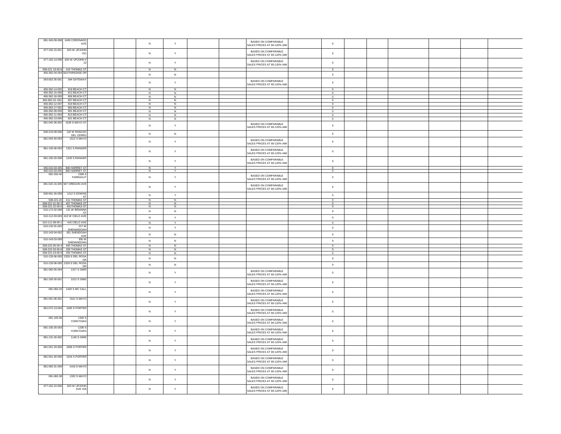| 081-343-09-008 1409 CORONADO<br>AVE                                        | $\mathbb{N}$              | $\mathbf{Y}$            | BASED ON COMPARABLE<br>SALES PRICES AT 80-120% AMI | $\Omega$                      |  |  |
|----------------------------------------------------------------------------|---------------------------|-------------------------|----------------------------------------------------|-------------------------------|--|--|
| 477-162-15-001<br>620 W UPJOHN                                             |                           |                         | BASED ON COMPARABLE                                |                               |  |  |
| #21                                                                        | N                         | Y                       | SALES PRICES AT 80-120% AMI                        | $\circ$                       |  |  |
| 477-162-14-008<br>620 W UPJOHN #                                           |                           |                         | BASED ON COMPARABLE                                |                               |  |  |
| 22                                                                         | ${\sf N}$                 | Y                       | SALES PRICES AT 80-120% AMI                        | $\mathbf 0$                   |  |  |
| 508-221-19-00-8<br>415 THOMAS ST<br>456-362-04-004 816 PARADISE DR         | N                         | N                       |                                                    | $^{\circ}$                    |  |  |
|                                                                            | ${\sf N}$                 | N                       |                                                    | $\circ$                       |  |  |
| 343-052-35-001<br>344 GATEWAY                                              | ${\sf N}$                 | Y                       | BASED ON COMPARABLE                                | $\circ$                       |  |  |
|                                                                            |                           |                         | SALES PRICES AT 80-120% AM                         |                               |  |  |
| 456-362-14-003<br>818 BEACH C<br>456-362-15-006<br>812 BEACH C             | ${\sf N}$<br>N            | N<br>N                  |                                                    | $\circ$<br>$\overline{0}$     |  |  |
| 456-362-16-009<br>806 BEACH C                                              | N                         | N                       |                                                    | $\circ$                       |  |  |
| 456-362-10--001<br>807 BEACH CT<br>456-362-12-007<br>819 BEACH CT          | ${\sf N}$                 | ${\sf N}$<br>${\sf N}$  |                                                    | $\overline{0}$<br>$\mathbf 0$ |  |  |
| 456-362-17-002<br>800 BEACH CT                                             | N<br>N                    | N                       |                                                    | $\circ$                       |  |  |
| 456-362-09-009<br>801 BEACH C                                              | N                         | N                       |                                                    | $\Omega$                      |  |  |
| 456-362-11-004<br>813 BEACH CT<br>456-362-13-000<br>821 BEACH CT           | $\mathsf{N}$<br>${\sf N}$ | N                       |                                                    | $\Omega$                      |  |  |
| 081-042-36-002<br>1528 S MAYO S'                                           |                           | $\,$ N                  |                                                    | $\,$ 0 $\,$                   |  |  |
|                                                                            | N                         | Y                       | BASED ON COMPARABLE<br>SALES PRICES AT 80-120% AM  | $\mathbf 0$                   |  |  |
| 509-210-09-006<br>132 W RANCHO                                             | ${\sf N}$                 | ${\sf N}$               |                                                    | $\mathbf 0$                   |  |  |
| DEL CERRO<br>081-042-40-003<br><b>1512 S MAYO</b>                          |                           |                         |                                                    |                               |  |  |
|                                                                            | ${\sf N}$                 | $\mathsf{Y}$            | BASED ON COMPARABLE<br>SALES PRICES AT 80-120% AM  | $\mathbb O$                   |  |  |
| 081-105-06-003<br>1321 S RANGER                                            |                           |                         |                                                    |                               |  |  |
|                                                                            | ${\sf N}$                 | Y                       | BASED ON COMPARABLE<br>SALES PRICES AT 80-120% AM  | $\mathbf 0$                   |  |  |
| 081-155-20-008<br>1229 S RANGER                                            |                           |                         |                                                    |                               |  |  |
|                                                                            | $\mathsf{N}$              | Y                       | BASED ON COMPARABLE<br>SALES PRICES AT 80-120% AM  | $\mathbf 0$                   |  |  |
| 456-010-03-005<br>846 HARRIET ST                                           | N                         | Y                       |                                                    | $\overline{\mathbf{0}}$       |  |  |
| 456-010-03-005 850 HARRIET S                                               | N                         | $\overline{\mathsf{v}}$ |                                                    | $\overline{0}$                |  |  |
| 081-032-40<br>1508<br>FARRAGU                                              | ${\sf N}$                 | Y                       | BASED ON COMPARABLE                                | $\mathbb O$                   |  |  |
|                                                                            |                           |                         | SALES PRICES AT 80-120% AM                         |                               |  |  |
| 081-022-15-005 927 OREGON AVE                                              | ${\sf N}$                 | Y                       | BASED ON COMPARABLE                                | $\mathbf 0$                   |  |  |
|                                                                            |                           |                         | SALES PRICES AT 80-120% AM                         |                               |  |  |
| 509-061-26-009<br>1212 S DOWNS<br>S <sub>1</sub>                           | ${\sf N}$                 | Y                       |                                                    | $\mathbb O$                   |  |  |
| 411 THOMAS ST<br>508-221-20                                                | N                         | N                       |                                                    | $\mathbf 0$                   |  |  |
| $\frac{508-221-21-00-3}{508-221-22-00-6}$<br>407 THOMAS S'<br>401THOMAS ST | $\mathbf{N}$              | N<br>$\mathbb{N}$       |                                                    | $\Omega$                      |  |  |
| 510-172-02-008<br>131 W BRIANN                                             | N                         | N                       |                                                    | $\circ$                       |  |  |
| 510-112-03-003 413 W CIELO AVE                                             |                           | Y                       |                                                    |                               |  |  |
|                                                                            | ${\sf N}$                 |                         |                                                    | $\mathbb O$                   |  |  |
| 510-111-08-00-1<br>416 CIELO AVE<br>510-132-01-00<br>217 V                 | $\,N\,$                   | Y                       |                                                    | $\mathbb O$                   |  |  |
| SHENANDOAH                                                                 | N                         | Y                       |                                                    | $\circ$                       |  |  |
| 510-143-04-002<br>301 SHENDOAH<br>AVE                                      | ${\sf N}$                 | ${\sf N}$               |                                                    | $\mathbf 0$                   |  |  |
| 510-143-03-009<br>305W                                                     | ${\sf N}$                 | ${\sf N}$               |                                                    | $\mathbf 0$                   |  |  |
| SHENANDOAH<br>508-222-05-00-4<br>400 THOMAS ST                             | N                         | N                       |                                                    | $\Omega$                      |  |  |
| 328 THOMAS ST<br>508-222-03-00-8                                           | N                         | N                       |                                                    | $\Omega$                      |  |  |
| 508-221-23-00-9<br>333 THOMAS ST                                           | $\mathsf{N}$              | N                       |                                                    | $\circ$                       |  |  |
| 510-133-06-005 2329 S DEL ROSA<br>DF                                       | ${\sf N}$                 | ${\sf N}$               |                                                    | $\mathbf 0$                   |  |  |
| 510-133-06-005<br>2329 S DEL ROSA<br>DE                                    | $\mathbb{N}$              | $\,$ N                  |                                                    | $\mathbf 0$                   |  |  |
| 081-082-05-004<br>1317 S SIMS                                              |                           |                         | BASED ON COMPARABLE                                |                               |  |  |
|                                                                            | N                         | Y                       | SALES PRICES AT 80-120% AM                         | $\circ$                       |  |  |
| 081-183-26-001<br>1012 S SIMS                                              |                           |                         | BASED ON COMPARABLE                                |                               |  |  |
|                                                                            | ${\sf N}$                 | Y                       | SALES PRICES AT 80-120% AM                         | $\mathbb O$                   |  |  |
| 081-092-20<br>1433 S MC CALL                                               |                           |                         | BASED ON COMPARABLE                                |                               |  |  |
|                                                                            | ${\sf N}$                 | Y                       | SALES PRICES AT 80-120% AM                         | $\,0\,$                       |  |  |
| 081-051-06-001<br>1521 S MAYO                                              |                           |                         | BASED ON COMPARABLE                                |                               |  |  |
|                                                                            | ${\sf N}$                 | Y                       | SALES PRICES AT 80-120% AM                         | $\mathbb O$                   |  |  |
| 081-072-13-004<br>1405 S PORTER                                            |                           |                         | BASED ON COMPARABLE                                |                               |  |  |
|                                                                            | ${\sf N}$                 | Y                       | SALES PRICES AT 80-120% AMI                        | $\mathbf 0$                   |  |  |
| 081-105-3<br>1340                                                          |                           |                         |                                                    |                               |  |  |
| <b>YORKTOWN</b>                                                            | ${\sf N}$                 | Y                       | BASED ON COMPARABLE<br>SALES PRICES AT 80-120% AMI | $\mathbf 0$                   |  |  |
| 081-155-25-00<br>1236                                                      |                           | Y                       | BASED ON COMPARABLE                                |                               |  |  |
| YORKTOWN                                                                   | ${\sf N}$                 |                         | SALES PRICES AT 80-120% AMI                        | $\circ$                       |  |  |
| 081-131-26-002<br>1140 S SIMS                                              |                           | Y                       | BASED ON COMPARABLE                                |                               |  |  |
|                                                                            | N                         |                         | SALES PRICES AT 80-120% AMI                        | $\mathbb O$                   |  |  |
| 081-051-33-009<br>1608 S PORTER                                            |                           |                         | BASED ON COMPARABLE                                |                               |  |  |
|                                                                            | ${\sf N}$                 | Y                       | SALES PRICES AT 80-120% AM                         | $\mathbb O$                   |  |  |
| 081-051-40-009<br>1524 S PORTER                                            |                           | $\mathsf{Y}$            | BASED ON COMPARABLE                                |                               |  |  |
|                                                                            | $\,N\,$                   |                         | SALES PRICES AT 80-120% AM                         | $\,0\,$                       |  |  |
| 081-082-31-009<br>1416 S MAYO                                              |                           | $\mathsf{Y}$            | BASED ON COMPARABLE                                | $\mathbb O$                   |  |  |
|                                                                            | ${\sf N}$                 |                         | SALES PRICES AT 80-120% AM                         |                               |  |  |
| 081-082-38<br>1332 S MAYO                                                  | ${\sf N}$                 | Y                       | BASED ON COMPARABLE                                | $\mathbf 0$                   |  |  |
|                                                                            |                           |                         | SALES PRICES AT 80-120% AM                         |                               |  |  |
| 477-162-10-006<br>620 W UPJOHN<br>AVE #26                                  | ${\sf N}$                 | Y                       | BASED ON COMPARABLE                                | $\mathbf 0$                   |  |  |
|                                                                            |                           |                         | SALES PRICES AT 80-120% AM                         |                               |  |  |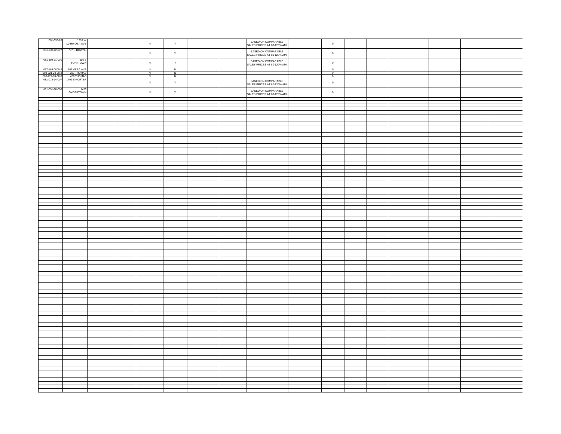| 081-333-28                                |                                                           |                |                                         |  |                                                    |                          |  |  |  |
|-------------------------------------------|-----------------------------------------------------------|----------------|-----------------------------------------|--|----------------------------------------------------|--------------------------|--|--|--|
|                                           | 1316 W<br>MARIPOSA AVE                                    | $\,$ N         | $\mathsf{Y}$                            |  | BASED ON COMPARABLE<br>SALES PRICES AT 80-120% AMI | $\circ$                  |  |  |  |
| 081-232-12-007                            | 737 S DOWNS                                               |                |                                         |  |                                                    |                          |  |  |  |
|                                           |                                                           | $\,$ N         | $\mathsf{Y}$                            |  | BASED ON COMPARABLE<br>SALES PRICES AT 80-120% AMI | $\circ$                  |  |  |  |
|                                           |                                                           |                |                                         |  |                                                    |                          |  |  |  |
| 081-192-31-001                            | 916 S<br>YORKTOWN                                         |                |                                         |  | BASED ON COMPARABLE<br>SALES PRICES AT 80-120% AMI |                          |  |  |  |
|                                           |                                                           | $\,$ N         | $\mathsf{Y}$                            |  |                                                    | $\,$ 0 $\,$              |  |  |  |
| 067-184-0800-2                            | 505 VERA AVE<br>327 THOMAS<br>420 THOMAS<br>1409 S PORTER | $\overline{N}$ | $\overline{N}$                          |  |                                                    | $\overline{\phantom{a}}$ |  |  |  |
|                                           |                                                           | $\frac{N}{N}$  | $\begin{array}{c}\nN \\ N\n\end{array}$ |  |                                                    | $\overline{0}$           |  |  |  |
| $\frac{508-221-24-00-2}{508-222-09-00-6}$ |                                                           |                |                                         |  |                                                    | $\overline{0}$           |  |  |  |
|                                           |                                                           | $\,$ N         | $\mathsf{Y}$                            |  | BASED ON COMPARABLE<br>SALES PRICES AT 80-120% AMI | $\,$ 0 $\,$              |  |  |  |
|                                           |                                                           |                |                                         |  |                                                    |                          |  |  |  |
| 081-091-18-008                            | 1425<br>SYORKTOWN                                         |                |                                         |  |                                                    |                          |  |  |  |
|                                           |                                                           | ${\sf N}$      | $\mathsf{Y}$                            |  | BASED ON COMPARABLE<br>SALES PRICES AT 80-120% AMI | $\,$ 0 $\,$              |  |  |  |
|                                           |                                                           |                |                                         |  |                                                    |                          |  |  |  |
|                                           |                                                           |                |                                         |  |                                                    |                          |  |  |  |
|                                           |                                                           |                |                                         |  |                                                    |                          |  |  |  |
|                                           |                                                           |                |                                         |  |                                                    |                          |  |  |  |
|                                           |                                                           |                |                                         |  |                                                    |                          |  |  |  |
|                                           |                                                           |                |                                         |  |                                                    |                          |  |  |  |
|                                           |                                                           |                |                                         |  |                                                    |                          |  |  |  |
|                                           |                                                           |                |                                         |  |                                                    |                          |  |  |  |
|                                           |                                                           |                |                                         |  |                                                    |                          |  |  |  |
|                                           |                                                           |                |                                         |  |                                                    |                          |  |  |  |
|                                           |                                                           |                |                                         |  |                                                    |                          |  |  |  |
|                                           |                                                           |                |                                         |  |                                                    |                          |  |  |  |
|                                           |                                                           |                |                                         |  |                                                    |                          |  |  |  |
|                                           |                                                           |                |                                         |  |                                                    |                          |  |  |  |
|                                           |                                                           |                |                                         |  |                                                    |                          |  |  |  |
|                                           |                                                           |                |                                         |  |                                                    |                          |  |  |  |
|                                           |                                                           |                |                                         |  |                                                    |                          |  |  |  |
|                                           |                                                           |                |                                         |  |                                                    |                          |  |  |  |
|                                           |                                                           |                |                                         |  |                                                    |                          |  |  |  |
|                                           |                                                           |                |                                         |  |                                                    |                          |  |  |  |
|                                           |                                                           |                |                                         |  |                                                    |                          |  |  |  |
|                                           |                                                           |                |                                         |  |                                                    |                          |  |  |  |
|                                           |                                                           |                |                                         |  |                                                    |                          |  |  |  |
|                                           |                                                           |                |                                         |  |                                                    |                          |  |  |  |
|                                           |                                                           |                |                                         |  |                                                    |                          |  |  |  |
|                                           |                                                           |                |                                         |  |                                                    |                          |  |  |  |
|                                           |                                                           |                |                                         |  |                                                    |                          |  |  |  |
|                                           |                                                           |                |                                         |  |                                                    |                          |  |  |  |
|                                           |                                                           |                |                                         |  |                                                    |                          |  |  |  |
|                                           |                                                           |                |                                         |  |                                                    |                          |  |  |  |
|                                           |                                                           |                |                                         |  |                                                    |                          |  |  |  |
|                                           |                                                           |                |                                         |  |                                                    |                          |  |  |  |
|                                           |                                                           |                |                                         |  |                                                    |                          |  |  |  |
|                                           |                                                           |                |                                         |  |                                                    |                          |  |  |  |
|                                           |                                                           |                |                                         |  |                                                    |                          |  |  |  |
|                                           |                                                           |                |                                         |  |                                                    |                          |  |  |  |
|                                           |                                                           |                |                                         |  |                                                    |                          |  |  |  |
|                                           |                                                           |                |                                         |  |                                                    |                          |  |  |  |
|                                           |                                                           |                |                                         |  |                                                    |                          |  |  |  |
|                                           |                                                           |                |                                         |  |                                                    |                          |  |  |  |
|                                           |                                                           |                |                                         |  |                                                    |                          |  |  |  |
|                                           |                                                           |                |                                         |  |                                                    |                          |  |  |  |
|                                           |                                                           |                |                                         |  |                                                    |                          |  |  |  |
|                                           |                                                           |                |                                         |  |                                                    |                          |  |  |  |
|                                           |                                                           |                |                                         |  |                                                    |                          |  |  |  |
|                                           |                                                           |                |                                         |  |                                                    |                          |  |  |  |
|                                           |                                                           |                |                                         |  |                                                    |                          |  |  |  |
|                                           |                                                           |                |                                         |  |                                                    |                          |  |  |  |
|                                           |                                                           |                |                                         |  |                                                    |                          |  |  |  |
|                                           |                                                           |                |                                         |  |                                                    |                          |  |  |  |
|                                           |                                                           |                |                                         |  |                                                    |                          |  |  |  |
|                                           |                                                           |                |                                         |  |                                                    |                          |  |  |  |
|                                           |                                                           |                |                                         |  |                                                    |                          |  |  |  |
|                                           |                                                           |                |                                         |  |                                                    |                          |  |  |  |
|                                           |                                                           |                |                                         |  |                                                    |                          |  |  |  |
|                                           |                                                           |                |                                         |  |                                                    |                          |  |  |  |
|                                           |                                                           |                |                                         |  |                                                    |                          |  |  |  |
|                                           |                                                           |                |                                         |  |                                                    |                          |  |  |  |
|                                           |                                                           |                |                                         |  |                                                    |                          |  |  |  |
|                                           |                                                           |                |                                         |  |                                                    |                          |  |  |  |
|                                           |                                                           |                |                                         |  |                                                    |                          |  |  |  |
|                                           |                                                           |                |                                         |  |                                                    |                          |  |  |  |
|                                           |                                                           |                |                                         |  |                                                    |                          |  |  |  |
|                                           |                                                           |                |                                         |  |                                                    |                          |  |  |  |
|                                           |                                                           |                |                                         |  |                                                    |                          |  |  |  |
|                                           |                                                           |                |                                         |  |                                                    |                          |  |  |  |
|                                           |                                                           |                |                                         |  |                                                    |                          |  |  |  |
|                                           |                                                           |                |                                         |  |                                                    |                          |  |  |  |
|                                           |                                                           |                |                                         |  |                                                    |                          |  |  |  |
|                                           |                                                           |                |                                         |  |                                                    |                          |  |  |  |
|                                           |                                                           |                |                                         |  |                                                    |                          |  |  |  |
|                                           |                                                           |                |                                         |  |                                                    |                          |  |  |  |
|                                           |                                                           |                |                                         |  |                                                    |                          |  |  |  |
|                                           |                                                           |                |                                         |  |                                                    |                          |  |  |  |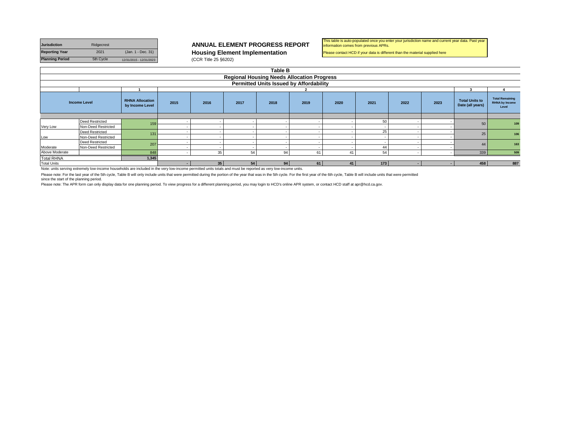| <b>Jurisdiction</b>    | Ridgecrest |                         |
|------------------------|------------|-------------------------|
| <b>Reporting Year</b>  | 2021       | (Jan. 1 - Dec. 31)      |
| <b>Planning Period</b> | 5th Cycle  | 12/31/2015 - 12/31/2023 |

### **ANNUAL ELEMENT PROGRESS REPORT**

**Housing Element Implementation (CCR Title 25 §6202)** 

#### This table is auto-populated once you enter your jurisdiction name and current year data. Past year information comes from previous APRs.

Please contact HCD if your data is different than the material supplied here

|                    | <b>Table B</b>                                                                                                                                              |                                           |      |                 |      |                                                |      |      |      |      |      |                                           |                                                          |
|--------------------|-------------------------------------------------------------------------------------------------------------------------------------------------------------|-------------------------------------------|------|-----------------|------|------------------------------------------------|------|------|------|------|------|-------------------------------------------|----------------------------------------------------------|
|                    | <b>Regional Housing Needs Allocation Progress</b>                                                                                                           |                                           |      |                 |      |                                                |      |      |      |      |      |                                           |                                                          |
|                    |                                                                                                                                                             |                                           |      |                 |      | <b>Permitted Units Issued by Affordability</b> |      |      |      |      |      |                                           |                                                          |
|                    |                                                                                                                                                             |                                           |      |                 |      |                                                |      |      |      |      |      |                                           |                                                          |
|                    | <b>Income Level</b>                                                                                                                                         | <b>RHNA Allocation</b><br>by Income Level | 2015 | 2016            | 2017 | 2018                                           | 2019 | 2020 | 2021 | 2022 | 2023 | <b>Total Units to</b><br>Date (all years) | <b>Total Remaining</b><br><b>RHNA by Income</b><br>Level |
|                    |                                                                                                                                                             |                                           |      |                 |      |                                                |      |      |      |      |      |                                           |                                                          |
|                    | <b>Deed Restricted</b>                                                                                                                                      | 159                                       |      |                 |      |                                                |      |      | 50   |      |      | 50                                        | 109                                                      |
| Very Low           | Non-Deed Restricted                                                                                                                                         |                                           |      |                 |      |                                                |      |      |      |      |      |                                           |                                                          |
|                    | <b>Deed Restricted</b>                                                                                                                                      | 131                                       |      |                 |      |                                                |      |      | 25   |      |      | 25                                        | 106                                                      |
| Low                | Non-Deed Restricted                                                                                                                                         |                                           |      |                 |      |                                                |      |      |      |      |      |                                           |                                                          |
|                    | <b>Deed Restricted</b>                                                                                                                                      | 207                                       |      |                 |      |                                                |      |      |      |      |      | 44                                        | 163                                                      |
| Moderate           | Non-Deed Restricted                                                                                                                                         |                                           |      |                 |      |                                                |      |      |      |      |      |                                           |                                                          |
| Above Moderate     |                                                                                                                                                             | 848                                       |      | 35              | 54   | 94                                             | 61   | 41   | 54   |      |      | 339                                       | 509                                                      |
| <b>Total RHNA</b>  |                                                                                                                                                             | 1,345                                     |      |                 |      |                                                |      |      |      |      |      |                                           |                                                          |
| <b>Total Units</b> |                                                                                                                                                             |                                           |      | 35 <sup>1</sup> | 54   | 94                                             | 61   | 41   | 173  |      |      | 458                                       | 887                                                      |
|                    | Note unite entire assume united with more abundade are included in the very low income permitted unite totale and must be reperted as very low income unite |                                           |      |                 |      |                                                |      |      |      |      |      |                                           |                                                          |

Note: units serving extremely low-income households are included in the very low-income permitted units totals and must be reported as very low-income units.

Please note: For the last year of the 5th cycle, Table B will only include units that were permitted during the portion of the year that was in the 5th cycle. For the first year of the 6th cycle, Table B will include units

since the start of the planning period.

Please note: The APR form can only display data for one planning period. To view progress for a different planning period, you may login to HCD's online APR system, or contact HCD staff at apr@hcd.ca.gov.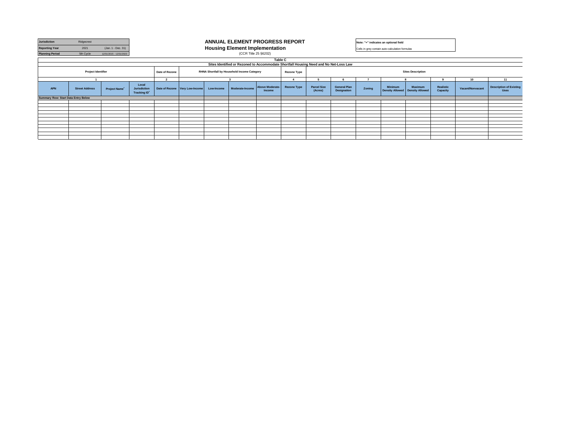| <b>Jurisdiction</b>                        | Ridgecrest                |                         |                                                     | ANNUAL ELEMENT PROGRESS REPORT |                                |            |                                                                                       |                           |                    |                               |                                    | Note: "+" indicates an optional field           |                                   |                                          |                       |                  |                                               |
|--------------------------------------------|---------------------------|-------------------------|-----------------------------------------------------|--------------------------------|--------------------------------|------------|---------------------------------------------------------------------------------------|---------------------------|--------------------|-------------------------------|------------------------------------|-------------------------------------------------|-----------------------------------|------------------------------------------|-----------------------|------------------|-----------------------------------------------|
| <b>Reporting Year</b>                      | 2021                      | (Jan. 1 - Dec. 31)      |                                                     |                                |                                |            | <b>Housing Element Implementation</b>                                                 |                           |                    |                               |                                    | Cells in grey contain auto-calculation formulas |                                   |                                          |                       |                  |                                               |
| <b>Planning Period</b>                     | 5th Cycle                 | 12/31/2015 - 12/31/2023 |                                                     |                                |                                |            | (CCR Title 25 §6202)                                                                  |                           |                    |                               |                                    |                                                 |                                   |                                          |                       |                  |                                               |
|                                            |                           |                         |                                                     |                                |                                |            |                                                                                       | Table C                   |                    |                               |                                    |                                                 |                                   |                                          |                       |                  |                                               |
|                                            |                           |                         |                                                     |                                |                                |            | Sites Identified or Rezoned to Accommodate Shortfall Housing Need and No Net-Loss Law |                           |                    |                               |                                    |                                                 |                                   |                                          |                       |                  |                                               |
|                                            | <b>Project Identifier</b> |                         |                                                     | Date of Rezone                 |                                |            | RHNA Shortfall by Household Income Category                                           |                           | <b>Rezone Type</b> |                               |                                    |                                                 |                                   | <b>Sites Description</b>                 |                       |                  |                                               |
|                                            |                           |                         |                                                     | $\overline{2}$                 |                                |            |                                                                                       |                           |                    |                               |                                    |                                                 |                                   |                                          |                       | 10               | 11                                            |
| <b>APN</b>                                 | <b>Street Address</b>     | Project Name*           | Local<br><b>Jurisdiction</b><br><b>Tracking ID*</b> |                                | Date of Rezone Very Low-Income | Low-Income | Moderate-Income                                                                       | Above Moderate-<br>Income | <b>Rezone Type</b> | <b>Parcel Size</b><br>(Acres) | <b>General Plan</b><br>Designation | Zoning                                          | <b>Minimum</b><br>Density Allowed | <b>Maximum</b><br><b>Density Allowed</b> | Realistic<br>Capacity | Vacant/Nonvacant | <b>Description of Existing</b><br><b>Uses</b> |
| <b>Summary Row: Start Data Entry Below</b> |                           |                         |                                                     |                                |                                |            |                                                                                       |                           |                    |                               |                                    |                                                 |                                   |                                          |                       |                  |                                               |
|                                            |                           |                         |                                                     |                                |                                |            |                                                                                       |                           |                    |                               |                                    |                                                 |                                   |                                          |                       |                  |                                               |
|                                            |                           |                         |                                                     |                                |                                |            |                                                                                       |                           |                    |                               |                                    |                                                 |                                   |                                          |                       |                  |                                               |
|                                            |                           |                         |                                                     |                                |                                |            |                                                                                       |                           |                    |                               |                                    |                                                 |                                   |                                          |                       |                  |                                               |
|                                            |                           |                         |                                                     |                                |                                |            |                                                                                       |                           |                    |                               |                                    |                                                 |                                   |                                          |                       |                  |                                               |
|                                            |                           |                         |                                                     |                                |                                |            |                                                                                       |                           |                    |                               |                                    |                                                 |                                   |                                          |                       |                  |                                               |
|                                            |                           |                         |                                                     |                                |                                |            |                                                                                       |                           |                    |                               |                                    |                                                 |                                   |                                          |                       |                  |                                               |
|                                            |                           |                         |                                                     |                                |                                |            |                                                                                       |                           |                    |                               |                                    |                                                 |                                   |                                          |                       |                  |                                               |
|                                            |                           |                         |                                                     |                                |                                |            |                                                                                       |                           |                    |                               |                                    |                                                 |                                   |                                          |                       |                  |                                               |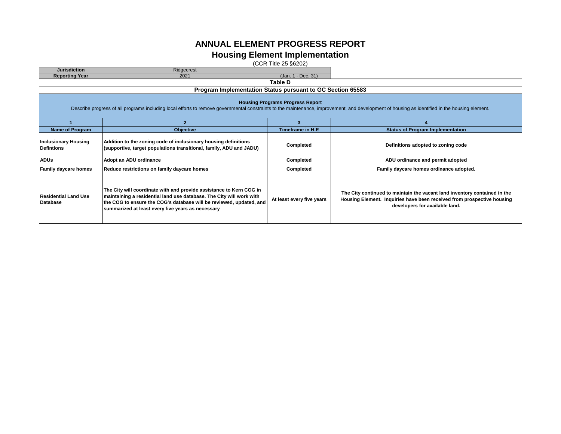### **ANNUAL ELEMENT PROGRESS REPORT**

### **Housing Element Implementation**

(CCR Title 25 §6202)

| <b>Jurisdiction</b>                              | Ridgecrest                                                                                                                                                                                                                                                              |                                         |                                                                                                                                                                                       |  |  |  |  |  |  |  |
|--------------------------------------------------|-------------------------------------------------------------------------------------------------------------------------------------------------------------------------------------------------------------------------------------------------------------------------|-----------------------------------------|---------------------------------------------------------------------------------------------------------------------------------------------------------------------------------------|--|--|--|--|--|--|--|
| <b>Reporting Year</b>                            | (Jan. 1 - Dec. 31)<br>2021                                                                                                                                                                                                                                              |                                         |                                                                                                                                                                                       |  |  |  |  |  |  |  |
|                                                  | Table D                                                                                                                                                                                                                                                                 |                                         |                                                                                                                                                                                       |  |  |  |  |  |  |  |
|                                                  | Program Implementation Status pursuant to GC Section 65583                                                                                                                                                                                                              |                                         |                                                                                                                                                                                       |  |  |  |  |  |  |  |
|                                                  | Describe progress of all programs including local efforts to remove governmental constraints to the maintenance, improvement, and development of housing as identified in the housing element.                                                                          | <b>Housing Programs Progress Report</b> |                                                                                                                                                                                       |  |  |  |  |  |  |  |
|                                                  | 2                                                                                                                                                                                                                                                                       | з                                       |                                                                                                                                                                                       |  |  |  |  |  |  |  |
| <b>Name of Program</b>                           | <b>Objective</b>                                                                                                                                                                                                                                                        | Timeframe in H.E                        | <b>Status of Program Implementation</b>                                                                                                                                               |  |  |  |  |  |  |  |
| <b>Inclusionary Housing</b><br><b>Defintions</b> | Addition to the zoning code of inclusionary housing definitions<br>(supportive, target populations transitional, family, ADU and JADU)                                                                                                                                  | Completed                               | Definitions adopted to zoning code                                                                                                                                                    |  |  |  |  |  |  |  |
| <b>ADUs</b>                                      | Adopt an ADU ordinance                                                                                                                                                                                                                                                  | <b>Completed</b>                        | ADU ordinance and permit adopted                                                                                                                                                      |  |  |  |  |  |  |  |
| <b>Family daycare homes</b>                      | Reduce restrictions on family daycare homes                                                                                                                                                                                                                             | <b>Completed</b>                        | Family daycare homes ordinance adopted.                                                                                                                                               |  |  |  |  |  |  |  |
| <b>Residential Land Use</b><br><b>Database</b>   | The City will coordinate with and provide assistance to Kern COG in<br>maintaining a residential land use database. The City will work with<br>the COG to ensure the COG's database will be reviewed, updated, and<br>summarized at least every five years as necessary | At least every five years               | The City continued to maintain the vacant land inventory contained in the<br>Housing Element. Inquiries have been received from prospective housing<br>developers for available land. |  |  |  |  |  |  |  |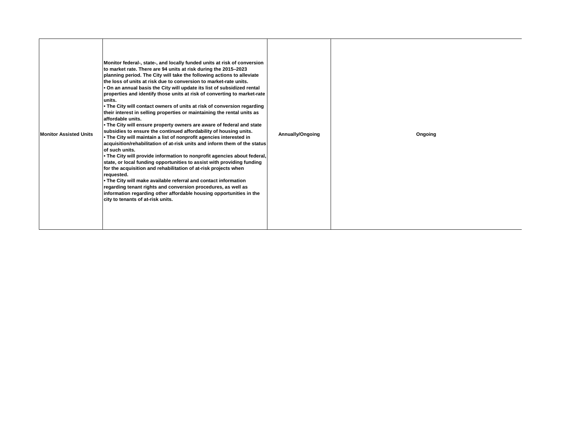| <b>Monitor Assisted Units</b> | Monitor federal-, state-, and locally funded units at risk of conversion<br>to market rate. There are 94 units at risk during the 2015-2023<br>planning period. The City will take the following actions to alleviate<br>the loss of units at risk due to conversion to market-rate units.<br>. On an annual basis the City will update its list of subsidized rental<br>properties and identify those units at risk of converting to market-rate<br>units.<br>. The City will contact owners of units at risk of conversion regarding<br>their interest in selling properties or maintaining the rental units as<br>affordable units.<br>. The City will ensure property owners are aware of federal and state<br>subsidies to ensure the continued affordability of housing units.<br>. The City will maintain a list of nonprofit agencies interested in<br>acquisition/rehabilitation of at-risk units and inform them of the status<br>of such units.<br>. The City will provide information to nonprofit agencies about federal,<br>state, or local funding opportunities to assist with providing funding<br>for the acquisition and rehabilitation of at-risk projects when<br>requested.<br>. The City will make available referral and contact information<br>regarding tenant rights and conversion procedures, as well as<br>information regarding other affordable housing opportunities in the<br>city to tenants of at-risk units. | Annually/Ongoing | Ongoing |  |
|-------------------------------|---------------------------------------------------------------------------------------------------------------------------------------------------------------------------------------------------------------------------------------------------------------------------------------------------------------------------------------------------------------------------------------------------------------------------------------------------------------------------------------------------------------------------------------------------------------------------------------------------------------------------------------------------------------------------------------------------------------------------------------------------------------------------------------------------------------------------------------------------------------------------------------------------------------------------------------------------------------------------------------------------------------------------------------------------------------------------------------------------------------------------------------------------------------------------------------------------------------------------------------------------------------------------------------------------------------------------------------------------------------------------------------------------------------------------------------------------|------------------|---------|--|
|-------------------------------|---------------------------------------------------------------------------------------------------------------------------------------------------------------------------------------------------------------------------------------------------------------------------------------------------------------------------------------------------------------------------------------------------------------------------------------------------------------------------------------------------------------------------------------------------------------------------------------------------------------------------------------------------------------------------------------------------------------------------------------------------------------------------------------------------------------------------------------------------------------------------------------------------------------------------------------------------------------------------------------------------------------------------------------------------------------------------------------------------------------------------------------------------------------------------------------------------------------------------------------------------------------------------------------------------------------------------------------------------------------------------------------------------------------------------------------------------|------------------|---------|--|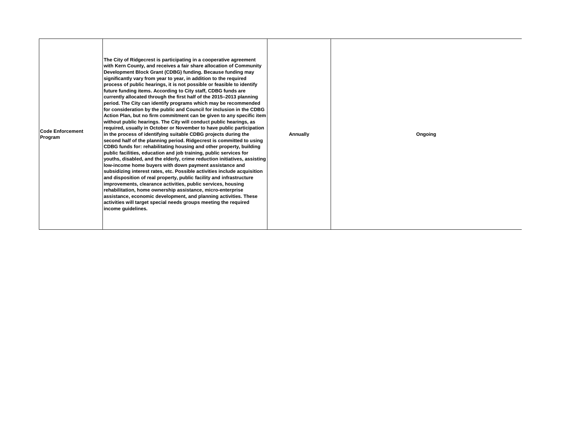| <b>Code Enforcement</b><br>Program | The City of Ridgecrest is participating in a cooperative agreement<br>with Kern County, and receives a fair share allocation of Community<br>Development Block Grant (CDBG) funding. Because funding may<br>significantly vary from year to year, in addition to the required<br>process of public hearings, it is not possible or feasible to identify<br>future funding items. According to City staff, CDBG funds are<br>currently allocated through the first half of the 2015-2013 planning<br>period. The City can identify programs which may be recommended<br>for consideration by the public and Council for inclusion in the CDBG<br>Action Plan, but no firm commitment can be given to any specific item<br>without public hearings. The City will conduct public hearings, as<br>required, usually in October or November to have public participation<br>in the process of identifying suitable CDBG projects during the<br>second half of the planning period. Ridgecrest is committed to using<br>CDBG funds for: rehabilitating housing and other property, building<br>public facilities, education and job training, public services for<br>youths, disabled, and the elderly, crime reduction initiatives, assisting<br>low-income home buyers with down payment assistance and<br>subsidizing interest rates, etc. Possible activities include acquisition<br>and disposition of real property, public facility and infrastructure<br>improvements, clearance activities, public services, housing<br>rehabilitation, home ownership assistance, micro-enterprise<br>assistance, economic development, and planning activities. These<br>activities will target special needs groups meeting the required<br>income guidelines. | Annually | Ongoing |  |
|------------------------------------|-------------------------------------------------------------------------------------------------------------------------------------------------------------------------------------------------------------------------------------------------------------------------------------------------------------------------------------------------------------------------------------------------------------------------------------------------------------------------------------------------------------------------------------------------------------------------------------------------------------------------------------------------------------------------------------------------------------------------------------------------------------------------------------------------------------------------------------------------------------------------------------------------------------------------------------------------------------------------------------------------------------------------------------------------------------------------------------------------------------------------------------------------------------------------------------------------------------------------------------------------------------------------------------------------------------------------------------------------------------------------------------------------------------------------------------------------------------------------------------------------------------------------------------------------------------------------------------------------------------------------------------------------------------------------------------------------------------------------------------------------------|----------|---------|--|
|------------------------------------|-------------------------------------------------------------------------------------------------------------------------------------------------------------------------------------------------------------------------------------------------------------------------------------------------------------------------------------------------------------------------------------------------------------------------------------------------------------------------------------------------------------------------------------------------------------------------------------------------------------------------------------------------------------------------------------------------------------------------------------------------------------------------------------------------------------------------------------------------------------------------------------------------------------------------------------------------------------------------------------------------------------------------------------------------------------------------------------------------------------------------------------------------------------------------------------------------------------------------------------------------------------------------------------------------------------------------------------------------------------------------------------------------------------------------------------------------------------------------------------------------------------------------------------------------------------------------------------------------------------------------------------------------------------------------------------------------------------------------------------------------------|----------|---------|--|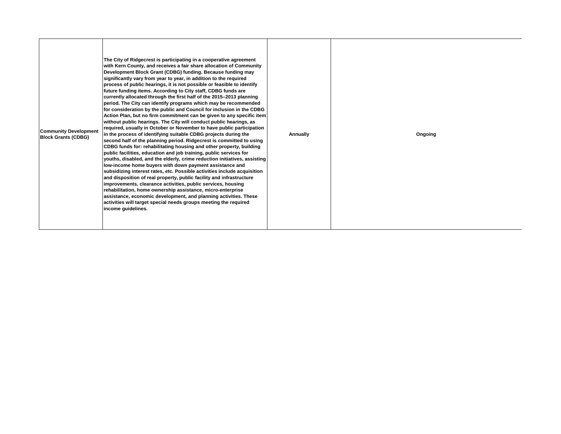| <b>Community Development</b><br><b>Block Grants (CDBG)</b> | The City of Ridgecrest is participating in a cooperative agreement<br>with Kern County, and receives a fair share allocation of Community<br>Development Block Grant (CDBG) funding. Because funding may<br>significantly vary from year to year, in addition to the required<br>process of public hearings, it is not possible or feasible to identify<br>future funding items. According to City staff, CDBG funds are<br>currently allocated through the first half of the 2015-2013 planning<br>period. The City can identify programs which may be recommended<br>for consideration by the public and Council for inclusion in the CDBG<br>Action Plan, but no firm commitment can be given to any specific item<br>without public hearings. The City will conduct public hearings, as<br>required, usually in October or November to have public participation<br>in the process of identifying suitable CDBG projects during the<br>second half of the planning period. Ridgecrest is committed to using<br>CDBG funds for: rehabilitating housing and other property, building<br>public facilities, education and job training, public services for<br>vouths, disabled, and the elderly, crime reduction initiatives, assisting<br>low-income home buyers with down payment assistance and<br>subsidizing interest rates, etc. Possible activities include acquisition<br>and disposition of real property, public facility and infrastructure<br>improvements, clearance activities, public services, housing<br>rehabilitation, home ownership assistance, micro-enterprise<br>assistance, economic development, and planning activities. These<br>activities will target special needs groups meeting the required<br>income guidelines. | Annually | Ongoing |
|------------------------------------------------------------|-------------------------------------------------------------------------------------------------------------------------------------------------------------------------------------------------------------------------------------------------------------------------------------------------------------------------------------------------------------------------------------------------------------------------------------------------------------------------------------------------------------------------------------------------------------------------------------------------------------------------------------------------------------------------------------------------------------------------------------------------------------------------------------------------------------------------------------------------------------------------------------------------------------------------------------------------------------------------------------------------------------------------------------------------------------------------------------------------------------------------------------------------------------------------------------------------------------------------------------------------------------------------------------------------------------------------------------------------------------------------------------------------------------------------------------------------------------------------------------------------------------------------------------------------------------------------------------------------------------------------------------------------------------------------------------------------------------------------------------------------------|----------|---------|
|------------------------------------------------------------|-------------------------------------------------------------------------------------------------------------------------------------------------------------------------------------------------------------------------------------------------------------------------------------------------------------------------------------------------------------------------------------------------------------------------------------------------------------------------------------------------------------------------------------------------------------------------------------------------------------------------------------------------------------------------------------------------------------------------------------------------------------------------------------------------------------------------------------------------------------------------------------------------------------------------------------------------------------------------------------------------------------------------------------------------------------------------------------------------------------------------------------------------------------------------------------------------------------------------------------------------------------------------------------------------------------------------------------------------------------------------------------------------------------------------------------------------------------------------------------------------------------------------------------------------------------------------------------------------------------------------------------------------------------------------------------------------------------------------------------------------------|----------|---------|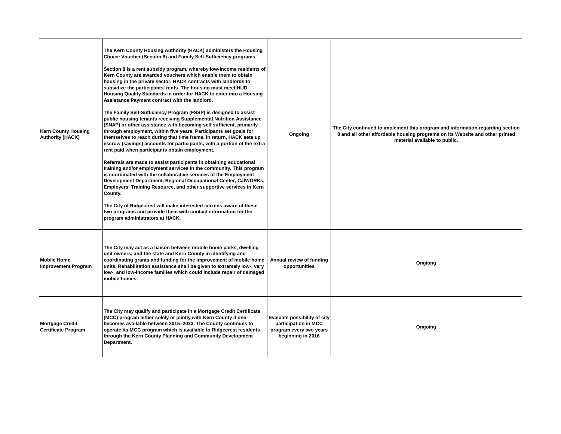| <b>Kern County Housing</b><br><b>Authority (HACK)</b> | The Kern County Housing Authority (HACK) administers the Housing<br>Choice Voucher (Section 8) and Family Self-Sufficiency programs.<br>Section 8 is a rent subsidy program, whereby low-income residents of<br>Kern County are awarded vouchers which enable them to obtain<br>housing in the private sector. HACK contracts with landlords to<br>subsidize the participants' rents. The housing must meet HUD<br>Housing Quality Standards in order for HACK to enter into a Housing<br>Assistance Payment contract with the landlord.<br>The Family Self-Sufficiency Program (FSSP) is designed to assist<br>public housing tenants receiving Supplemental Nutrition Assistance<br>(SNAP) or other assistance with becoming self sufficient, primarily<br>through employment, within five years. Participants set goals for<br>themselves to reach during that time frame. In return, HACK sets up<br>escrow (savings) accounts for participants, with a portion of the extra<br>rent paid when participants obtain employment.<br>Referrals are made to assist participants in obtaining educational<br>training and/or employment services in the community. This program<br>is coordinated with the collaborative services of the Employment<br>Development Department, Regional Occupational Center, CalWORKs,<br>Employers' Training Resource, and other supportive services in Kern<br>County.<br>The City of Ridgecrest will make interested citizens aware of these<br>two programs and provide them with contact information for the<br>program administrators at HACK. | Ongoing                                                                                              | The City continued to implement this program and information regarding section<br>8 and all other affordable housing programs on its Website and other printed<br>material available to public. |
|-------------------------------------------------------|-------------------------------------------------------------------------------------------------------------------------------------------------------------------------------------------------------------------------------------------------------------------------------------------------------------------------------------------------------------------------------------------------------------------------------------------------------------------------------------------------------------------------------------------------------------------------------------------------------------------------------------------------------------------------------------------------------------------------------------------------------------------------------------------------------------------------------------------------------------------------------------------------------------------------------------------------------------------------------------------------------------------------------------------------------------------------------------------------------------------------------------------------------------------------------------------------------------------------------------------------------------------------------------------------------------------------------------------------------------------------------------------------------------------------------------------------------------------------------------------------------------------------------------------------------------------------------------|------------------------------------------------------------------------------------------------------|-------------------------------------------------------------------------------------------------------------------------------------------------------------------------------------------------|
| <b>Mobile Home</b><br><b>Improvement Program</b>      | The City may act as a liaison between mobile home parks, dwelling<br>unit owners, and the state and Kern County in identifying and<br>coordinating grants and funding for the improvement of mobile home<br>units. Rehabilitation assistance shall be given to extremely low-, very<br>low-, and low-income families which could include repair of damaged<br>mobile homes.                                                                                                                                                                                                                                                                                                                                                                                                                                                                                                                                                                                                                                                                                                                                                                                                                                                                                                                                                                                                                                                                                                                                                                                                         | Annual review of funding<br>opportunities                                                            | Ongiong                                                                                                                                                                                         |
| <b>Mortgage Credit</b><br><b>Certificate Program</b>  | The City may qualify and participate in a Mortgage Credit Certificate<br>(MCC) program either solely or jointly with Kern County if one<br>becomes available between 2015-2023. The County continues to<br>operate its MCC program which is available to Ridgecrest residents<br>through the Kern County Planning and Community Development<br>Department.                                                                                                                                                                                                                                                                                                                                                                                                                                                                                                                                                                                                                                                                                                                                                                                                                                                                                                                                                                                                                                                                                                                                                                                                                          | Evaluate possibility of city<br>participation in MCC<br>program every two years<br>beginning in 2016 | Ongoing                                                                                                                                                                                         |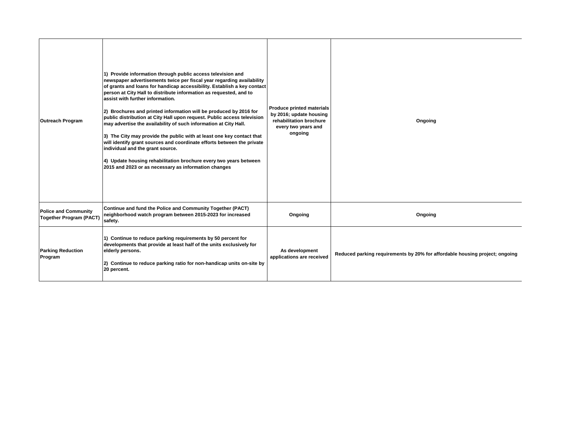| <b>Outreach Program</b>                                       | 1) Provide information through public access television and<br>newspaper advertisements twice per fiscal year regarding availability<br>of grants and loans for handicap accessibility. Establish a key contact<br>person at City Hall to distribute information as requested, and to<br>assist with further information.<br>2) Brochures and printed information will be produced by 2016 for<br>public distribution at City Hall upon request. Public access television<br>may advertise the availability of such information at City Hall.<br>3) The City may provide the public with at least one key contact that<br>will identify grant sources and coordinate efforts between the private<br>individual and the grant source.<br>4) Update housing rehabilitation brochure every two years between<br>2015 and 2023 or as necessary as information changes | <b>Produce printed materials</b><br>by 2016; update housing<br>rehabilitation brochure<br>every two years and<br>ongoing | Ongoing                                                                     |
|---------------------------------------------------------------|-------------------------------------------------------------------------------------------------------------------------------------------------------------------------------------------------------------------------------------------------------------------------------------------------------------------------------------------------------------------------------------------------------------------------------------------------------------------------------------------------------------------------------------------------------------------------------------------------------------------------------------------------------------------------------------------------------------------------------------------------------------------------------------------------------------------------------------------------------------------|--------------------------------------------------------------------------------------------------------------------------|-----------------------------------------------------------------------------|
| <b>Police and Community</b><br><b>Together Program (PACT)</b> | Continue and fund the Police and Community Together (PACT)<br>neighborhood watch program between 2015-2023 for increased<br>safety.                                                                                                                                                                                                                                                                                                                                                                                                                                                                                                                                                                                                                                                                                                                               | Ongoing                                                                                                                  | Ongoing                                                                     |
| <b>Parking Reduction</b><br>Program                           | 1) Continue to reduce parking requirements by 50 percent for<br>developments that provide at least half of the units exclusively for<br>elderly persons.<br>2) Continue to reduce parking ratio for non-handicap units on-site by<br>20 percent.                                                                                                                                                                                                                                                                                                                                                                                                                                                                                                                                                                                                                  | As development<br>applications are received                                                                              | Reduced parking requirements by 20% for affordable housing project; ongoing |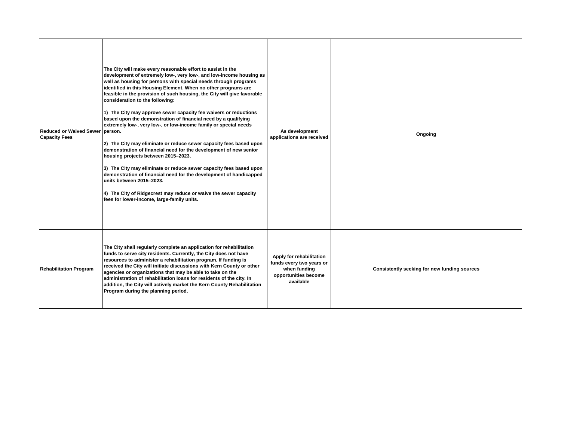| Reduced or Waived Sewer person.<br><b>Capacity Fees</b> | The City will make every reasonable effort to assist in the<br>development of extremely low-, very low-, and low-income housing as<br>well as housing for persons with special needs through programs<br>identified in this Housing Element. When no other programs are<br>feasible in the provision of such housing, the City will give favorable<br>consideration to the following:<br>1) The City may approve sewer capacity fee waivers or reductions<br>based upon the demonstration of financial need by a qualifying<br>extremely low-, very low-, or low-income family or special needs<br>2) The City may eliminate or reduce sewer capacity fees based upon<br>demonstration of financial need for the development of new senior<br>housing projects between 2015-2023.<br>3) The City may eliminate or reduce sewer capacity fees based upon<br>demonstration of financial need for the development of handicapped<br>units between 2015-2023.<br>4) The City of Ridgecrest may reduce or waive the sewer capacity<br>fees for lower-income, large-family units. | As development<br>applications are received                                                               | Ongoing                                      |
|---------------------------------------------------------|-----------------------------------------------------------------------------------------------------------------------------------------------------------------------------------------------------------------------------------------------------------------------------------------------------------------------------------------------------------------------------------------------------------------------------------------------------------------------------------------------------------------------------------------------------------------------------------------------------------------------------------------------------------------------------------------------------------------------------------------------------------------------------------------------------------------------------------------------------------------------------------------------------------------------------------------------------------------------------------------------------------------------------------------------------------------------------|-----------------------------------------------------------------------------------------------------------|----------------------------------------------|
| <b>Rehabilitation Program</b>                           | The City shall regularly complete an application for rehabilitation<br>funds to serve city residents. Currently, the City does not have<br>resources to administer a rehabilitation program. If funding is<br>received the City will initiate discussions with Kern County or other<br>agencies or organizations that may be able to take on the<br>administration of rehabilitation loans for residents of the city. In<br>addition, the City will actively market the Kern County Rehabilitation<br>Program during the planning period.                                                                                                                                                                                                                                                                                                                                                                                                                                                                                                                                   | Apply for rehabilitation<br>funds every two years or<br>when funding<br>opportunities become<br>available | Consistently seeking for new funding sources |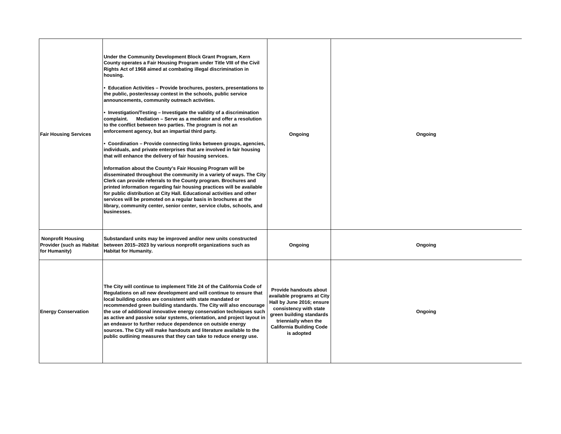| <b>Fair Housing Services</b>                                           | Under the Community Development Block Grant Program, Kern<br>County operates a Fair Housing Program under Title VIII of the Civil<br>Rights Act of 1968 aimed at combating illegal discrimination in<br>housing.<br>• Education Activities - Provide brochures, posters, presentations to<br>the public, poster/essay contest in the schools, public service<br>announcements, community outreach activities.<br>• Investigation/Testing – Investigate the validity of a discrimination<br>complaint. Mediation - Serve as a mediator and offer a resolution<br>to the conflict between two parties. The program is not an<br>enforcement agency, but an impartial third party.<br>• Coordination - Provide connecting links between groups, agencies,<br>individuals, and private enterprises that are involved in fair housing<br>that will enhance the delivery of fair housing services.<br>Information about the County's Fair Housing Program will be<br>disseminated throughout the community in a variety of ways. The City<br>Clerk can provide referrals to the County program. Brochures and<br>printed information regarding fair housing practices will be available<br>for public distribution at City Hall. Educational activities and other<br>services will be promoted on a regular basis in brochures at the<br>library, community center, senior center, service clubs, schools, and<br>businesses. | Ongoing                                                                                                                                                                                                          | Ongoing |
|------------------------------------------------------------------------|-------------------------------------------------------------------------------------------------------------------------------------------------------------------------------------------------------------------------------------------------------------------------------------------------------------------------------------------------------------------------------------------------------------------------------------------------------------------------------------------------------------------------------------------------------------------------------------------------------------------------------------------------------------------------------------------------------------------------------------------------------------------------------------------------------------------------------------------------------------------------------------------------------------------------------------------------------------------------------------------------------------------------------------------------------------------------------------------------------------------------------------------------------------------------------------------------------------------------------------------------------------------------------------------------------------------------------------------------------------------------------------------------------------------------|------------------------------------------------------------------------------------------------------------------------------------------------------------------------------------------------------------------|---------|
| <b>Nonprofit Housing</b><br>Provider (such as Habitat<br>for Humanity) | Substandard units may be improved and/or new units constructed<br>between 2015-2023 by various nonprofit organizations such as<br><b>Habitat for Humanity.</b>                                                                                                                                                                                                                                                                                                                                                                                                                                                                                                                                                                                                                                                                                                                                                                                                                                                                                                                                                                                                                                                                                                                                                                                                                                                          | Ongoing                                                                                                                                                                                                          | Ongoing |
| <b>Energy Conservation</b>                                             | The City will continue to implement Title 24 of the California Code of<br>Requiations on all new development and will continue to ensure that<br>local building codes are consistent with state mandated or<br>recommended green building standards. The City will also encourage<br>the use of additional innovative energy conservation techniques such<br>as active and passive solar systems, orientation, and project layout in<br>an endeavor to further reduce dependence on outside energy<br>sources. The City will make handouts and literature available to the<br>public outlining measures that they can take to reduce energy use.                                                                                                                                                                                                                                                                                                                                                                                                                                                                                                                                                                                                                                                                                                                                                                        | Provide handouts about<br>available programs at City<br>Hall by June 2016; ensure<br>consistency with state<br>green building standards<br>triennially when the<br><b>California Building Code</b><br>is adopted | Ongoing |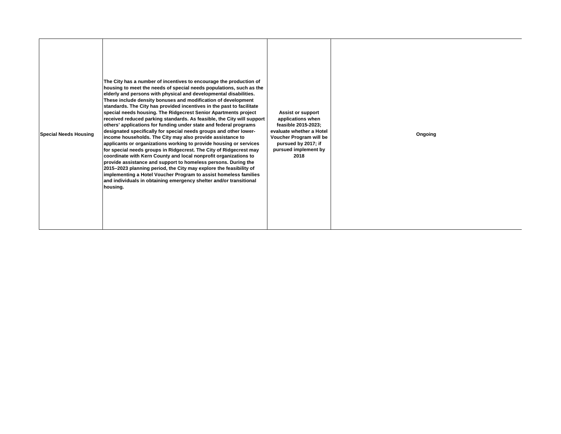| Special Needs Housing | The City has a number of incentives to encourage the production of<br>housing to meet the needs of special needs populations, such as the<br>elderly and persons with physical and developmental disabilities.<br>These include density bonuses and modification of development<br>standards. The City has provided incentives in the past to facilitate<br>special needs housing. The Ridgecrest Senior Apartments project<br>received reduced parking standards. As feasible, the City will support<br>others' applications for funding under state and federal programs<br>designated specifically for special needs groups and other lower-<br>income households. The City may also provide assistance to<br>applicants or organizations working to provide housing or services<br>for special needs groups in Ridgecrest. The City of Ridgecrest may<br>coordinate with Kern County and local nonprofit organizations to<br>provide assistance and support to homeless persons. During the<br>2015–2023 planning period, the City may explore the feasibility of<br>implementing a Hotel Voucher Program to assist homeless families<br>and individuals in obtaining emergency shelter and/or transitional<br>housing. | <b>Assist or support</b><br>applications when<br>feasible 2015-2023;<br>evaluate whether a Hotel<br>Voucher Program will be<br>pursued by 2017; if<br>pursued implement by<br>2018 | Ongoing |
|-----------------------|-----------------------------------------------------------------------------------------------------------------------------------------------------------------------------------------------------------------------------------------------------------------------------------------------------------------------------------------------------------------------------------------------------------------------------------------------------------------------------------------------------------------------------------------------------------------------------------------------------------------------------------------------------------------------------------------------------------------------------------------------------------------------------------------------------------------------------------------------------------------------------------------------------------------------------------------------------------------------------------------------------------------------------------------------------------------------------------------------------------------------------------------------------------------------------------------------------------------------------|------------------------------------------------------------------------------------------------------------------------------------------------------------------------------------|---------|
|-----------------------|-----------------------------------------------------------------------------------------------------------------------------------------------------------------------------------------------------------------------------------------------------------------------------------------------------------------------------------------------------------------------------------------------------------------------------------------------------------------------------------------------------------------------------------------------------------------------------------------------------------------------------------------------------------------------------------------------------------------------------------------------------------------------------------------------------------------------------------------------------------------------------------------------------------------------------------------------------------------------------------------------------------------------------------------------------------------------------------------------------------------------------------------------------------------------------------------------------------------------------|------------------------------------------------------------------------------------------------------------------------------------------------------------------------------------|---------|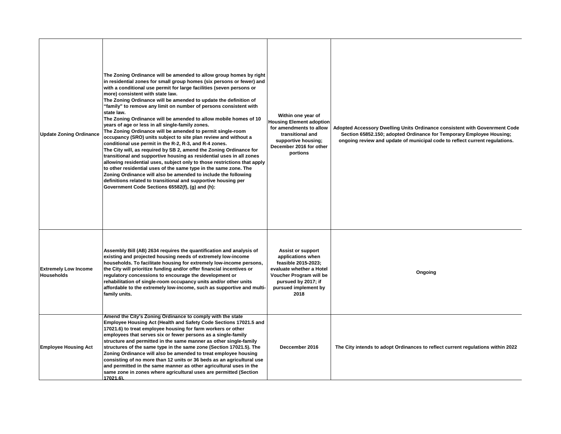| <b>Update Zoning Ordinance</b>                   | The Zoning Ordinance will be amended to allow group homes by right<br>in residential zones for small group homes (six persons or fewer) and<br>with a conditional use permit for large facilities (seven persons or<br>more) consistent with state law.<br>The Zoning Ordinance will be amended to update the definition of<br>"family" to remove any limit on number of persons consistent with<br>state law.<br>The Zoning Ordinance will be amended to allow mobile homes of 10<br>years of age or less in all single-family zones.<br>The Zoning Ordinance will be amended to permit single-room<br>occupancy (SRO) units subject to site plan review and without a<br>conditional use permit in the R-2, R-3, and R-4 zones.<br>The City will, as required by SB 2, amend the Zoning Ordinance for<br>transitional and supportive housing as residential uses in all zones<br>allowing residential uses, subject only to those restrictions that apply<br>to other residential uses of the same type in the same zone. The<br>Zoning Ordinance will also be amended to include the following<br>definitions related to transitional and supportive housing per<br>Government Code Sections 65582(f), (g) and (h): | Within one year of<br><b>Housing Element adoption</b><br>for amendments to allow<br>transitional and<br>supportive housing;<br>December 2016 for other<br>portions                 | Adopted Accessory Dwelling Units Ordinance consistent with Govenrment Code<br>Section 65852.150; adopted Ordinance for Temporary Employee Housing;<br>ongoing review and update of municipal code to reflect current regulations. |
|--------------------------------------------------|------------------------------------------------------------------------------------------------------------------------------------------------------------------------------------------------------------------------------------------------------------------------------------------------------------------------------------------------------------------------------------------------------------------------------------------------------------------------------------------------------------------------------------------------------------------------------------------------------------------------------------------------------------------------------------------------------------------------------------------------------------------------------------------------------------------------------------------------------------------------------------------------------------------------------------------------------------------------------------------------------------------------------------------------------------------------------------------------------------------------------------------------------------------------------------------------------------------------|------------------------------------------------------------------------------------------------------------------------------------------------------------------------------------|-----------------------------------------------------------------------------------------------------------------------------------------------------------------------------------------------------------------------------------|
| <b>Extremely Low Income</b><br><b>Households</b> | Assembly Bill (AB) 2634 requires the quantification and analysis of<br>existing and projected housing needs of extremely low-income<br>households. To facilitate housing for extremely low-income persons,<br>the City will prioritize funding and/or offer financial incentives or<br>regulatory concessions to encourage the development or<br>rehabilitation of single-room occupancy units and/or other units<br>affordable to the extremely low-income, such as supportive and multi-<br>family units.                                                                                                                                                                                                                                                                                                                                                                                                                                                                                                                                                                                                                                                                                                            | <b>Assist or support</b><br>applications when<br>feasible 2015-2023;<br>evaluate whether a Hotel<br>Voucher Program will be<br>pursued by 2017; if<br>pursued implement by<br>2018 | Ongoing                                                                                                                                                                                                                           |
| <b>Employee Housing Act</b>                      | Amend the City's Zoning Ordinance to comply with the state<br>Employee Housing Act (Health and Safety Code Sections 17021.5 and<br>17021.6) to treat employee housing for farm workers or other<br>employees that serves six or fewer persons as a single-family<br>structure and permitted in the same manner as other single-family<br>structures of the same type in the same zone (Section 17021.5). The<br>Zoning Ordinance will also be amended to treat employee housing<br>consisting of no more than 12 units or 36 beds as an agricultural use<br>and permitted in the same manner as other agricultural uses in the<br>same zone in zones where agricultural uses are permitted (Section<br>17021.6).                                                                                                                                                                                                                                                                                                                                                                                                                                                                                                       | Deccember 2016                                                                                                                                                                     | The City intends to adopt Ordinances to reflect current regulations within 2022                                                                                                                                                   |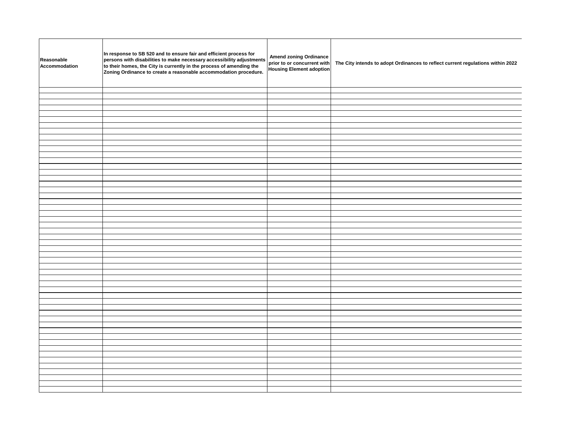| Reasonable<br>Accommodation | In response to SB 520 and to ensure fair and efficient process for<br>persons with disabilities to make necessary accessibility adjustments<br>to their homes, the City is currently in the process of amending the<br>Zoning Ordinance to create a reasonable accommodation procedure. | Amend zoning Ordinance<br>prior to or concurrent with<br>Housing Element adoption | The City intends to adopt Ordinances to reflect current regulations within 2022 |
|-----------------------------|-----------------------------------------------------------------------------------------------------------------------------------------------------------------------------------------------------------------------------------------------------------------------------------------|-----------------------------------------------------------------------------------|---------------------------------------------------------------------------------|
|                             |                                                                                                                                                                                                                                                                                         |                                                                                   |                                                                                 |
|                             |                                                                                                                                                                                                                                                                                         |                                                                                   |                                                                                 |
|                             |                                                                                                                                                                                                                                                                                         |                                                                                   |                                                                                 |
|                             |                                                                                                                                                                                                                                                                                         |                                                                                   |                                                                                 |
|                             |                                                                                                                                                                                                                                                                                         |                                                                                   |                                                                                 |
|                             |                                                                                                                                                                                                                                                                                         |                                                                                   |                                                                                 |
|                             |                                                                                                                                                                                                                                                                                         |                                                                                   |                                                                                 |
|                             |                                                                                                                                                                                                                                                                                         |                                                                                   |                                                                                 |
|                             |                                                                                                                                                                                                                                                                                         |                                                                                   |                                                                                 |
|                             |                                                                                                                                                                                                                                                                                         |                                                                                   |                                                                                 |
|                             |                                                                                                                                                                                                                                                                                         |                                                                                   |                                                                                 |
|                             |                                                                                                                                                                                                                                                                                         |                                                                                   |                                                                                 |
|                             |                                                                                                                                                                                                                                                                                         |                                                                                   |                                                                                 |
|                             |                                                                                                                                                                                                                                                                                         |                                                                                   |                                                                                 |
|                             |                                                                                                                                                                                                                                                                                         |                                                                                   |                                                                                 |
|                             |                                                                                                                                                                                                                                                                                         |                                                                                   |                                                                                 |
|                             |                                                                                                                                                                                                                                                                                         |                                                                                   |                                                                                 |
|                             |                                                                                                                                                                                                                                                                                         |                                                                                   |                                                                                 |
|                             |                                                                                                                                                                                                                                                                                         |                                                                                   |                                                                                 |
|                             |                                                                                                                                                                                                                                                                                         |                                                                                   |                                                                                 |
|                             |                                                                                                                                                                                                                                                                                         |                                                                                   |                                                                                 |
|                             |                                                                                                                                                                                                                                                                                         |                                                                                   |                                                                                 |
|                             |                                                                                                                                                                                                                                                                                         |                                                                                   |                                                                                 |
|                             |                                                                                                                                                                                                                                                                                         |                                                                                   |                                                                                 |
|                             |                                                                                                                                                                                                                                                                                         |                                                                                   |                                                                                 |
|                             |                                                                                                                                                                                                                                                                                         |                                                                                   |                                                                                 |
|                             |                                                                                                                                                                                                                                                                                         |                                                                                   |                                                                                 |
|                             |                                                                                                                                                                                                                                                                                         |                                                                                   |                                                                                 |
|                             |                                                                                                                                                                                                                                                                                         |                                                                                   |                                                                                 |
|                             |                                                                                                                                                                                                                                                                                         |                                                                                   |                                                                                 |
|                             |                                                                                                                                                                                                                                                                                         |                                                                                   |                                                                                 |
|                             |                                                                                                                                                                                                                                                                                         |                                                                                   |                                                                                 |
|                             |                                                                                                                                                                                                                                                                                         |                                                                                   |                                                                                 |
|                             |                                                                                                                                                                                                                                                                                         |                                                                                   |                                                                                 |
|                             |                                                                                                                                                                                                                                                                                         |                                                                                   |                                                                                 |
|                             |                                                                                                                                                                                                                                                                                         |                                                                                   |                                                                                 |
|                             |                                                                                                                                                                                                                                                                                         |                                                                                   |                                                                                 |
|                             |                                                                                                                                                                                                                                                                                         |                                                                                   |                                                                                 |
|                             |                                                                                                                                                                                                                                                                                         |                                                                                   |                                                                                 |
|                             |                                                                                                                                                                                                                                                                                         |                                                                                   |                                                                                 |
|                             |                                                                                                                                                                                                                                                                                         |                                                                                   |                                                                                 |
|                             |                                                                                                                                                                                                                                                                                         |                                                                                   |                                                                                 |
|                             |                                                                                                                                                                                                                                                                                         |                                                                                   |                                                                                 |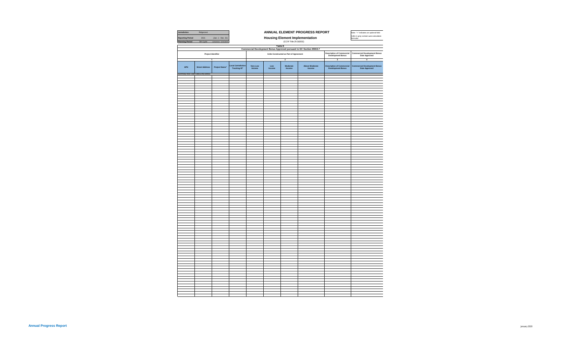| Jurisdiction                        | Ridgecrest            |                         | ANNUAL ELEMENT PROGRESS REPORT                        |                                       |                |                                        |                                                                      | Note: "+" indicates an optional field<br>Cells in grey contain auto-calculation |                                                       |
|-------------------------------------|-----------------------|-------------------------|-------------------------------------------------------|---------------------------------------|----------------|----------------------------------------|----------------------------------------------------------------------|---------------------------------------------------------------------------------|-------------------------------------------------------|
| <b>Reporting Period</b>             | 2021                  | (Jan. 1 - Dec. 31)      |                                                       | <b>Housing Element Implementation</b> |                |                                        |                                                                      |                                                                                 |                                                       |
| <b>Planning Period</b>              | 5th Cycle             | 12/31/2015 - 12/31/2023 |                                                       |                                       |                | (CCR Title 25 §6202)                   |                                                                      |                                                                                 | formulas                                              |
|                                     |                       |                         |                                                       |                                       | <b>Table E</b> |                                        |                                                                      |                                                                                 |                                                       |
|                                     |                       |                         |                                                       |                                       |                |                                        | Commercial Development Bonus Approved pursuant to GC Section 65915.7 |                                                                                 |                                                       |
|                                     | Project Identifier    |                         |                                                       |                                       |                | Units Constructed as Part of Agreement |                                                                      | <b>Description of Commercial<br/>Development Bonus</b>                          | Commercial Development Bonus<br>Date Approved         |
|                                     |                       |                         |                                                       |                                       |                | $\overline{\mathbf{2}}$                |                                                                      | 3                                                                               | $\boldsymbol{4}$                                      |
|                                     |                       |                         |                                                       |                                       |                |                                        |                                                                      |                                                                                 |                                                       |
| <b>APN</b>                          | <b>Street Address</b> | Project Name*           | <b>Local Jurisdiction</b><br>Tracking ID <sup>+</sup> | <b>Very Low<br/>Income</b>            | Low<br>Income  | Moderate<br>Income                     | <b>Above Moderate</b><br>Income                                      | <b>Description of Commercial<br/>Development Bonus</b>                          | <b>Commercial Development Bonus<br/>Date Approved</b> |
| Summary Row: Start Data Entry Below |                       |                         |                                                       |                                       |                |                                        |                                                                      |                                                                                 |                                                       |
|                                     |                       |                         |                                                       |                                       |                |                                        |                                                                      |                                                                                 |                                                       |
|                                     |                       |                         |                                                       |                                       |                |                                        |                                                                      |                                                                                 |                                                       |
|                                     |                       |                         |                                                       |                                       |                |                                        |                                                                      |                                                                                 |                                                       |
|                                     |                       |                         |                                                       |                                       |                |                                        |                                                                      |                                                                                 |                                                       |
|                                     |                       |                         |                                                       |                                       |                |                                        |                                                                      |                                                                                 |                                                       |
|                                     |                       |                         |                                                       |                                       |                |                                        |                                                                      |                                                                                 |                                                       |
|                                     |                       |                         |                                                       |                                       |                |                                        |                                                                      |                                                                                 |                                                       |
|                                     |                       |                         |                                                       |                                       |                |                                        |                                                                      |                                                                                 |                                                       |
|                                     |                       |                         |                                                       |                                       |                |                                        |                                                                      |                                                                                 |                                                       |
|                                     |                       |                         |                                                       |                                       |                |                                        |                                                                      |                                                                                 |                                                       |
|                                     |                       |                         |                                                       |                                       |                |                                        |                                                                      |                                                                                 |                                                       |
|                                     |                       |                         |                                                       |                                       |                |                                        |                                                                      |                                                                                 |                                                       |
|                                     |                       |                         |                                                       |                                       |                |                                        |                                                                      |                                                                                 |                                                       |
|                                     |                       |                         |                                                       |                                       |                |                                        |                                                                      |                                                                                 |                                                       |
|                                     |                       |                         |                                                       |                                       |                |                                        |                                                                      |                                                                                 |                                                       |
|                                     |                       |                         |                                                       |                                       |                |                                        |                                                                      |                                                                                 |                                                       |
|                                     |                       |                         |                                                       |                                       |                |                                        |                                                                      |                                                                                 |                                                       |
|                                     |                       |                         |                                                       |                                       |                |                                        |                                                                      |                                                                                 |                                                       |
|                                     |                       |                         |                                                       |                                       |                |                                        |                                                                      |                                                                                 |                                                       |
|                                     |                       |                         |                                                       |                                       |                |                                        |                                                                      |                                                                                 |                                                       |
|                                     |                       |                         |                                                       |                                       |                |                                        |                                                                      |                                                                                 |                                                       |
|                                     |                       |                         |                                                       |                                       |                |                                        |                                                                      |                                                                                 |                                                       |
|                                     |                       |                         |                                                       |                                       |                |                                        |                                                                      |                                                                                 |                                                       |
|                                     |                       |                         |                                                       |                                       |                |                                        |                                                                      |                                                                                 |                                                       |
|                                     |                       |                         |                                                       |                                       |                |                                        |                                                                      |                                                                                 |                                                       |
|                                     |                       |                         |                                                       |                                       |                |                                        |                                                                      |                                                                                 |                                                       |
|                                     |                       |                         |                                                       |                                       |                |                                        |                                                                      |                                                                                 |                                                       |
|                                     |                       |                         |                                                       |                                       |                |                                        |                                                                      |                                                                                 |                                                       |
|                                     |                       |                         |                                                       |                                       |                |                                        |                                                                      |                                                                                 |                                                       |
|                                     |                       |                         |                                                       |                                       |                |                                        |                                                                      |                                                                                 |                                                       |
|                                     |                       |                         |                                                       |                                       |                |                                        |                                                                      |                                                                                 |                                                       |
|                                     |                       |                         |                                                       |                                       |                |                                        |                                                                      |                                                                                 |                                                       |
|                                     |                       |                         |                                                       |                                       |                |                                        |                                                                      |                                                                                 |                                                       |
|                                     |                       |                         |                                                       |                                       |                |                                        |                                                                      |                                                                                 |                                                       |
|                                     |                       |                         |                                                       |                                       |                |                                        |                                                                      |                                                                                 |                                                       |
|                                     |                       |                         |                                                       |                                       |                |                                        |                                                                      |                                                                                 |                                                       |
|                                     |                       |                         |                                                       |                                       |                |                                        |                                                                      |                                                                                 |                                                       |
|                                     |                       |                         |                                                       |                                       |                |                                        |                                                                      |                                                                                 |                                                       |
|                                     |                       |                         |                                                       |                                       |                |                                        |                                                                      |                                                                                 |                                                       |
|                                     |                       |                         |                                                       |                                       |                |                                        |                                                                      |                                                                                 |                                                       |
|                                     |                       |                         |                                                       |                                       |                |                                        |                                                                      |                                                                                 |                                                       |
|                                     |                       |                         |                                                       |                                       |                |                                        |                                                                      |                                                                                 |                                                       |
|                                     |                       |                         |                                                       |                                       |                |                                        |                                                                      |                                                                                 |                                                       |
|                                     |                       |                         |                                                       |                                       |                |                                        |                                                                      |                                                                                 |                                                       |
|                                     |                       |                         |                                                       |                                       |                |                                        |                                                                      |                                                                                 |                                                       |
|                                     |                       |                         |                                                       |                                       |                |                                        |                                                                      |                                                                                 |                                                       |
|                                     |                       |                         |                                                       |                                       |                |                                        |                                                                      |                                                                                 |                                                       |
|                                     |                       |                         |                                                       |                                       |                |                                        |                                                                      |                                                                                 |                                                       |
|                                     |                       |                         |                                                       |                                       |                |                                        |                                                                      |                                                                                 |                                                       |
|                                     |                       |                         |                                                       |                                       |                |                                        |                                                                      |                                                                                 |                                                       |
|                                     |                       |                         |                                                       |                                       |                |                                        |                                                                      |                                                                                 |                                                       |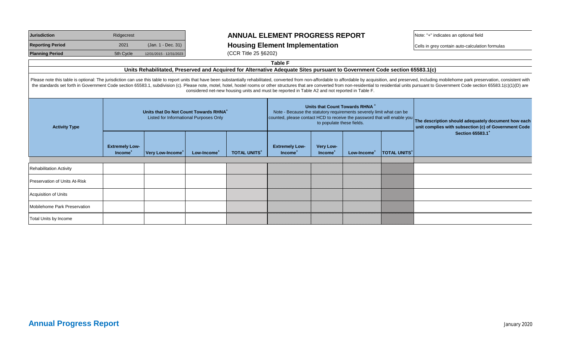| <b>Jurisdiction</b>     | Ridgecrest |                         |  |  |
|-------------------------|------------|-------------------------|--|--|
| <b>Reporting Period</b> | 2021       | (Jan. 1 - Dec. 31)      |  |  |
| <b>Planning Period</b>  | 5th Cycle  | 12/31/2015 - 12/31/2023 |  |  |

### **JURISDICTION ANNUAL ELEMENT PROGRESS REPORT** Note: "+" indicates an optional field

### **Rousing Element Implementation** and  $\big|$  Cells in grey contain auto-calculation formulas

**(CCR Title 25 §6202)** 

**Table F**

#### **Units Rehabilitated, Preserved and Acquired for Alternative Adequate Sites pursuant to Government Code section 65583.1(c)**

Please note this table is optional: The jurisdiction can use this table to report units that have been substantially rehabilitated, converted from non-affordable to affordable by acquisition, and preserved, including mobil the standards set forth in Government Code section 65583.1, subdivision (c). Please note, motel, hotel, hostel rooms or other structures that are converted from non-residential to residential units pursuant to Government C considered net-new housing units and must be reported in Table A2 and not reported in Table F.

| <b>Activity Type</b>           | Units that Do Not Count Towards RHNA <sup>+</sup><br>Listed for Informational Purposes Only |                              |                         | Units that Count Towards RHNA <sup>+</sup><br>Note - Because the statutory requirements severely limit what can be<br>counted, please contact HCD to receive the password that will enable you<br>to populate these fields. |                                              |                                  |                         | The description should adequately document how each<br>unit complies with subsection (c) of Government Code |                              |
|--------------------------------|---------------------------------------------------------------------------------------------|------------------------------|-------------------------|-----------------------------------------------------------------------------------------------------------------------------------------------------------------------------------------------------------------------------|----------------------------------------------|----------------------------------|-------------------------|-------------------------------------------------------------------------------------------------------------|------------------------------|
|                                | <b>Extremely Low-</b><br>Income <sup>+</sup>                                                | Very Low-Income <sup>+</sup> | Low-Income <sup>+</sup> | <b>TOTAL UNITS*</b>                                                                                                                                                                                                         | <b>Extremely Low-</b><br>Income <sup>+</sup> | Very Low-<br>Income <sup>+</sup> | Low-Income <sup>+</sup> | <b>TOTAL UNITS*</b>                                                                                         | Section 65583.1 <sup>+</sup> |
|                                |                                                                                             |                              |                         |                                                                                                                                                                                                                             |                                              |                                  |                         |                                                                                                             |                              |
| <b>Rehabilitation Activity</b> |                                                                                             |                              |                         |                                                                                                                                                                                                                             |                                              |                                  |                         |                                                                                                             |                              |
| Preservation of Units At-Risk  |                                                                                             |                              |                         |                                                                                                                                                                                                                             |                                              |                                  |                         |                                                                                                             |                              |
| Acquisition of Units           |                                                                                             |                              |                         |                                                                                                                                                                                                                             |                                              |                                  |                         |                                                                                                             |                              |
| Mobilehome Park Preservation   |                                                                                             |                              |                         |                                                                                                                                                                                                                             |                                              |                                  |                         |                                                                                                             |                              |
| <b>Total Units by Income</b>   |                                                                                             |                              |                         |                                                                                                                                                                                                                             |                                              |                                  |                         |                                                                                                             |                              |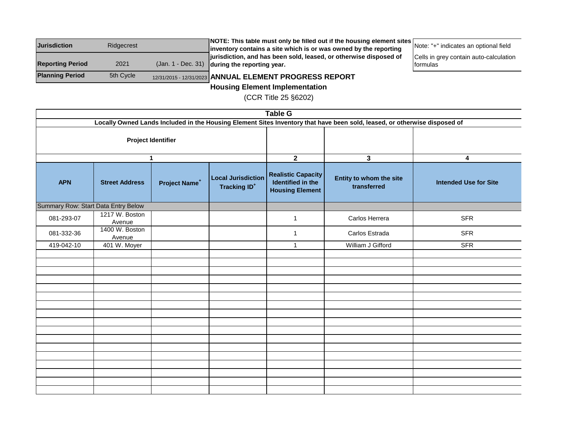| <b>Jurisdiction</b><br>Ridgecrest |           | NOTE: This table must only be filled out if the housing element sites [ |                                        |
|-----------------------------------|-----------|-------------------------------------------------------------------------|----------------------------------------|
|                                   |           | inventory contains a site which is or was owned by the reporting        | Note: "+" indicates an optional field  |
|                                   |           | jurisdiction, and has been sold, leased, or otherwise disposed of       | Cells in grey contain auto-calculation |
| <b>Reporting Period</b>           | 2021      | $($ Jan. 1 - Dec. 31) during the reporting year.                        | Iformulas                              |
| <b>Planning Period</b>            | 5th Cycle | 12/31/2015 - 12/31/2023 ANNUAL ELEMENT PROGRESS REPORT                  |                                        |

**Housing Element Implementation**

(CCR Title 25 §6202)

|                                                                                                                           | <b>Table G</b>           |                           |                                                             |                                                                          |                                        |                              |  |  |  |
|---------------------------------------------------------------------------------------------------------------------------|--------------------------|---------------------------|-------------------------------------------------------------|--------------------------------------------------------------------------|----------------------------------------|------------------------------|--|--|--|
| Locally Owned Lands Included in the Housing Element Sites Inventory that have been sold, leased, or otherwise disposed of |                          |                           |                                                             |                                                                          |                                        |                              |  |  |  |
| <b>Project Identifier</b>                                                                                                 |                          |                           |                                                             |                                                                          |                                        |                              |  |  |  |
|                                                                                                                           |                          | 1                         |                                                             | $\overline{2}$                                                           | $\mathbf{3}$                           | $\overline{\mathbf{4}}$      |  |  |  |
| <b>APN</b>                                                                                                                | <b>Street Address</b>    | Project Name <sup>+</sup> | <b>Local Jurisdiction</b><br><b>Tracking ID<sup>+</sup></b> | <b>Realistic Capacity</b><br>Identified in the<br><b>Housing Element</b> | Entity to whom the site<br>transferred | <b>Intended Use for Site</b> |  |  |  |
| Summary Row: Start Data Entry Below                                                                                       |                          |                           |                                                             |                                                                          |                                        |                              |  |  |  |
| 081-293-07                                                                                                                | 1217 W. Boston<br>Avenue |                           |                                                             | 1                                                                        | Carlos Herrera                         | <b>SFR</b>                   |  |  |  |
| 081-332-36                                                                                                                | 1400 W. Boston<br>Avenue |                           |                                                             | 1                                                                        | Carlos Estrada                         | <b>SFR</b>                   |  |  |  |
| 419-042-10                                                                                                                | 401 W. Moyer             |                           |                                                             | 1                                                                        | William J Gifford                      | SFR                          |  |  |  |
|                                                                                                                           |                          |                           |                                                             |                                                                          |                                        |                              |  |  |  |
|                                                                                                                           |                          |                           |                                                             |                                                                          |                                        |                              |  |  |  |
|                                                                                                                           |                          |                           |                                                             |                                                                          |                                        |                              |  |  |  |
|                                                                                                                           |                          |                           |                                                             |                                                                          |                                        |                              |  |  |  |
|                                                                                                                           |                          |                           |                                                             |                                                                          |                                        |                              |  |  |  |
|                                                                                                                           |                          |                           |                                                             |                                                                          |                                        |                              |  |  |  |
|                                                                                                                           |                          |                           |                                                             |                                                                          |                                        |                              |  |  |  |
|                                                                                                                           |                          |                           |                                                             |                                                                          |                                        |                              |  |  |  |
|                                                                                                                           |                          |                           |                                                             |                                                                          |                                        |                              |  |  |  |
|                                                                                                                           |                          |                           |                                                             |                                                                          |                                        |                              |  |  |  |
|                                                                                                                           |                          |                           |                                                             |                                                                          |                                        |                              |  |  |  |
|                                                                                                                           |                          |                           |                                                             |                                                                          |                                        |                              |  |  |  |
|                                                                                                                           |                          |                           |                                                             |                                                                          |                                        |                              |  |  |  |
|                                                                                                                           |                          |                           |                                                             |                                                                          |                                        |                              |  |  |  |
|                                                                                                                           |                          |                           |                                                             |                                                                          |                                        |                              |  |  |  |
|                                                                                                                           |                          |                           |                                                             |                                                                          |                                        |                              |  |  |  |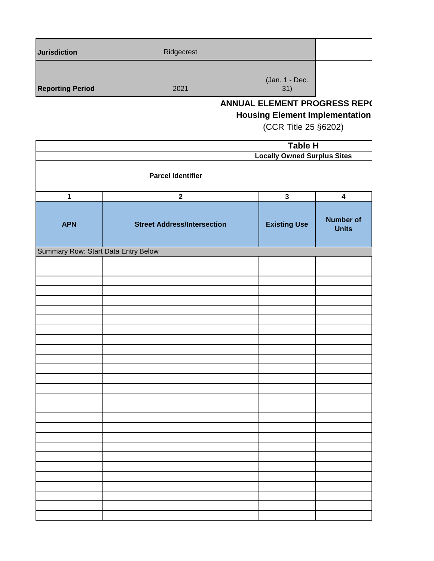| <b>Jurisdiction</b>     | Ridgecrest |                                     |  |
|-------------------------|------------|-------------------------------------|--|
| <b>Reporting Period</b> | 2021       | (Jan. 1 - Dec.<br>31)               |  |
|                         |            | <b>ANNUAL ELEMENT PROGRESS REPO</b> |  |

### **ANNUAL ELEMENT PROGRESS REP(**

**Housing Element Implementation**

(CCR Title 25 §6202)

| Table H                             |                                    |                                    |                                  |  |
|-------------------------------------|------------------------------------|------------------------------------|----------------------------------|--|
|                                     |                                    | <b>Locally Owned Surplus Sites</b> |                                  |  |
| <b>Parcel Identifier</b>            |                                    |                                    |                                  |  |
| $\mathbf 1$                         | $\mathbf{2}$                       | $\mathbf{3}$                       | $\overline{\mathbf{4}}$          |  |
| <b>APN</b>                          | <b>Street Address/Intersection</b> | <b>Existing Use</b>                | <b>Number of</b><br><b>Units</b> |  |
| Summary Row: Start Data Entry Below |                                    |                                    |                                  |  |
|                                     |                                    |                                    |                                  |  |
|                                     |                                    |                                    |                                  |  |
|                                     |                                    |                                    |                                  |  |
|                                     |                                    |                                    |                                  |  |
|                                     |                                    |                                    |                                  |  |
|                                     |                                    |                                    |                                  |  |
|                                     |                                    |                                    |                                  |  |
|                                     |                                    |                                    |                                  |  |
|                                     |                                    |                                    |                                  |  |
|                                     |                                    |                                    |                                  |  |
|                                     |                                    |                                    |                                  |  |
|                                     |                                    |                                    |                                  |  |
|                                     |                                    |                                    |                                  |  |
|                                     |                                    |                                    |                                  |  |
|                                     |                                    |                                    |                                  |  |
|                                     |                                    |                                    |                                  |  |
|                                     |                                    |                                    |                                  |  |
|                                     |                                    |                                    |                                  |  |
|                                     |                                    |                                    |                                  |  |
|                                     |                                    |                                    |                                  |  |
|                                     |                                    |                                    |                                  |  |
|                                     |                                    |                                    |                                  |  |
|                                     |                                    |                                    |                                  |  |
|                                     |                                    |                                    |                                  |  |
|                                     |                                    |                                    |                                  |  |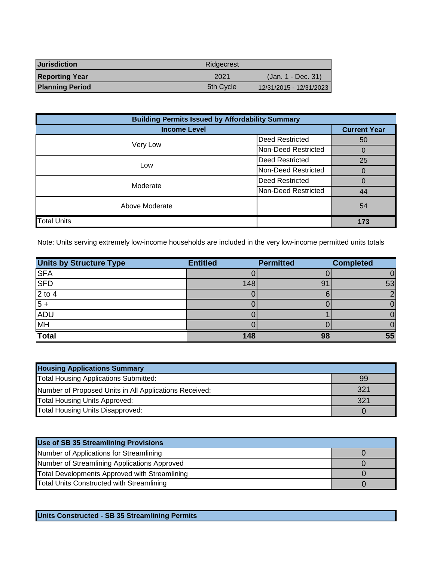| <b>Jurisdiction</b>    | Ridgecrest |                         |
|------------------------|------------|-------------------------|
| <b>Reporting Year</b>  | 2021       | (Jan. 1 - Dec. 31)      |
| <b>Planning Period</b> | 5th Cycle  | 12/31/2015 - 12/31/2023 |

| <b>Building Permits Issued by Affordability Summary</b> |                        |                     |  |
|---------------------------------------------------------|------------------------|---------------------|--|
| <b>Income Level</b>                                     |                        | <b>Current Year</b> |  |
| Very Low                                                | <b>Deed Restricted</b> | 50                  |  |
|                                                         | Non-Deed Restricted    | 0                   |  |
| <b>Deed Restricted</b><br>Low<br>Non-Deed Restricted    |                        | 25                  |  |
|                                                         |                        |                     |  |
| <b>Deed Restricted</b><br>Moderate                      |                        | 0                   |  |
|                                                         | Non-Deed Restricted    | 44                  |  |
| Above Moderate                                          | 54                     |                     |  |
| <b>Total Units</b>                                      |                        | 173                 |  |

Note: Units serving extremely low-income households are included in the very low-income permitted units totals

| <b>Units by Structure Type</b> | <b>Entitled</b> | <b>Permitted</b> | <b>Completed</b> |
|--------------------------------|-----------------|------------------|------------------|
| <b>SFA</b>                     |                 |                  |                  |
| <b>SFD</b>                     | 148             | 91               | 53               |
| $2 \text{ to } 4$              |                 |                  |                  |
| $5 +$                          |                 |                  |                  |
| <b>ADU</b>                     |                 |                  |                  |
| MH                             |                 |                  |                  |
| <b>Total</b>                   | 148             | 98               | 55               |

| <b>Housing Applications Summary</b>                    |     |  |  |
|--------------------------------------------------------|-----|--|--|
| Total Housing Applications Submitted:                  | 99  |  |  |
| Number of Proposed Units in All Applications Received: | 321 |  |  |
| <b>Total Housing Units Approved:</b>                   | 321 |  |  |
| Total Housing Units Disapproved:                       |     |  |  |

| Use of SB 35 Streamlining Provisions          |  |
|-----------------------------------------------|--|
| Number of Applications for Streamlining       |  |
| Number of Streamlining Applications Approved  |  |
| Total Developments Approved with Streamlining |  |
| Total Units Constructed with Streamlining     |  |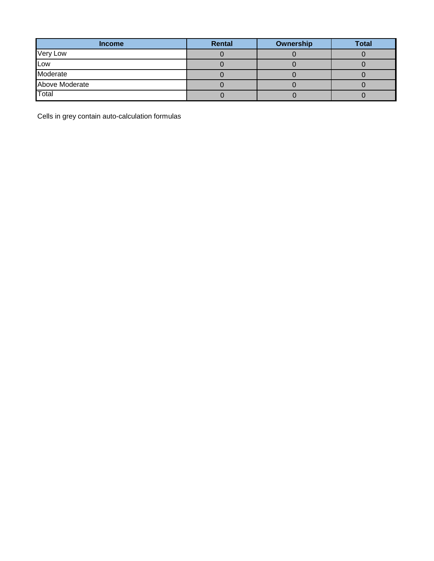| <b>Income</b>  | <b>Rental</b> | Ownership | <b>Total</b> |
|----------------|---------------|-----------|--------------|
| Very Low       |               |           |              |
| Low            |               |           |              |
| Moderate       |               |           |              |
| Above Moderate |               |           |              |
| Total          |               |           |              |

Cells in grey contain auto-calculation formulas